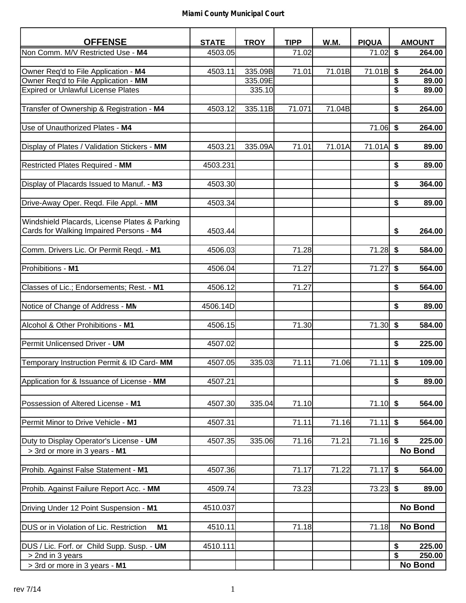| <b>OFFENSE</b>                                            | <b>STATE</b> | <b>TROY</b> | <b>TIPP</b>        | W.M.   | <b>PIQUA</b> | <b>AMOUNT</b>  |
|-----------------------------------------------------------|--------------|-------------|--------------------|--------|--------------|----------------|
| Non Comm. M/V Restricted Use - M4                         | 4503.05      |             | 71.02              |        | 71.02        | \$<br>264.00   |
|                                                           |              |             |                    |        |              |                |
| Owner Req'd to File Application - M4                      | 4503.11      | 335.09B     | 71.01              | 71.01B | 71.01B       | \$<br>264.00   |
| Owner Req'd to File Application - MM                      |              | 335.09E     |                    |        |              | \$<br>89.00    |
| <b>Expired or Unlawful License Plates</b>                 |              | 335.10      |                    |        |              | \$<br>89.00    |
|                                                           |              |             |                    |        |              |                |
| Transfer of Ownership & Registration - M4                 | 4503.12      | 335.11B     | 71.071             | 71.04B |              | \$<br>264.00   |
|                                                           |              |             |                    |        |              |                |
| Use of Unauthorized Plates - M4                           |              |             |                    |        | 71.06        | \$<br>264.00   |
|                                                           |              |             |                    |        |              |                |
| Display of Plates / Validation Stickers - MM              | 4503.21      | 335.09A     | 71.01              | 71.01A | 71.01A       | \$<br>89.00    |
|                                                           |              |             |                    |        |              |                |
| <b>Restricted Plates Required - MM</b>                    | 4503.231     |             |                    |        |              | \$<br>89.00    |
|                                                           |              |             |                    |        |              |                |
| Display of Placards Issued to Manuf. - M3                 | 4503.30      |             |                    |        |              | \$<br>364.00   |
|                                                           |              |             |                    |        |              |                |
| Drive-Away Oper. Reqd. File Appl. - MM                    | 4503.34      |             |                    |        |              | \$<br>89.00    |
|                                                           |              |             |                    |        |              |                |
| Windshield Placards, License Plates & Parking             |              |             |                    |        |              |                |
| Cards for Walking Impaired Persons - M4                   | 4503.44      |             |                    |        |              | \$<br>264.00   |
|                                                           |              |             |                    |        |              |                |
| Comm. Drivers Lic. Or Permit Reqd. - M1                   | 4506.03      |             | $\overline{7}1.28$ |        | 71.28        | \$<br>584.00   |
|                                                           |              |             |                    |        |              |                |
| Prohibitions - M1                                         | 4506.04      |             | 71.27              |        | 71.27        | \$<br>564.00   |
|                                                           |              |             |                    |        |              |                |
| Classes of Lic.; Endorsements; Rest. - M1                 | 4506.12      |             | 71.27              |        |              | \$<br>564.00   |
|                                                           | 4506.14D     |             |                    |        |              | \$<br>89.00    |
| Notice of Change of Address - MN                          |              |             |                    |        |              |                |
| Alcohol & Other Prohibitions - M1                         | 4506.15      |             | 71.30              |        | 71.30        | \$<br>584.00   |
|                                                           |              |             |                    |        |              |                |
| Permit Unlicensed Driver - UM                             | 4507.02      |             |                    |        |              | \$<br>225.00   |
|                                                           |              |             |                    |        |              |                |
| Temporary Instruction Permit & ID Card-MM                 | 4507.05      | 335.03      | 71.11              | 71.06  | 71.11        | \$<br>109.00   |
|                                                           |              |             |                    |        |              |                |
| Application for & Issuance of License - MM                | 4507.21      |             |                    |        |              | \$<br>89.00    |
|                                                           |              |             |                    |        |              |                |
|                                                           |              |             |                    |        |              |                |
| Possession of Altered License - M1                        | 4507.30      | 335.04      | 71.10              |        | 71.10        | \$<br>564.00   |
| Permit Minor to Drive Vehicle - M1                        | 4507.31      |             | 71.11              | 71.16  | 71.11        | \$<br>564.00   |
|                                                           |              |             |                    |        |              |                |
| Duty to Display Operator's License - UM                   | 4507.35      | 335.06      | 71.16              | 71.21  | $71.16$ \$   | 225.00         |
| > 3rd or more in 3 years - M1                             |              |             |                    |        |              | <b>No Bond</b> |
|                                                           |              |             |                    |        |              |                |
| Prohib. Against False Statement - M1                      | 4507.36      |             | 71.17              | 71.22  | 71.17        | \$<br>564.00   |
|                                                           |              |             |                    |        |              |                |
| Prohib. Against Failure Report Acc. - MM                  | 4509.74      |             | 73.23              |        | 73.23        | \$<br>89.00    |
|                                                           |              |             |                    |        |              |                |
| Driving Under 12 Point Suspension - M1                    | 4510.037     |             |                    |        |              | <b>No Bond</b> |
|                                                           |              |             |                    |        |              |                |
| DUS or in Violation of Lic. Restriction<br>M <sub>1</sub> | 4510.11      |             | 71.18              |        | 71.18        | <b>No Bond</b> |
|                                                           |              |             |                    |        |              |                |
| DUS / Lic. Forf. or Child Supp. Susp. - UM                | 4510.111     |             |                    |        |              | 225.00<br>\$   |
| > 2nd in 3 years                                          |              |             |                    |        |              | \$<br>250.00   |
| > 3rd or more in 3 years - M1                             |              |             |                    |        |              | No Bond        |
|                                                           |              |             |                    |        |              |                |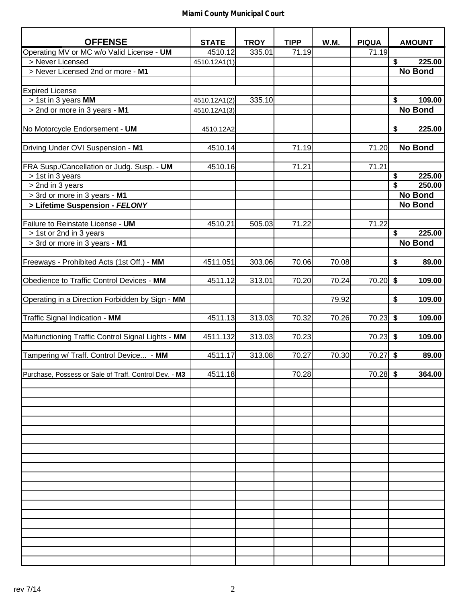| <b>OFFENSE</b>                                        | <b>STATE</b> | <b>TROY</b> | <b>TIPP</b> | <b>W.M.</b> | <b>PIQUA</b> | <b>AMOUNT</b>  |
|-------------------------------------------------------|--------------|-------------|-------------|-------------|--------------|----------------|
| Operating MV or MC w/o Valid License - UM             | 4510.12      | 335.01      | 71.19       |             | 71.19        |                |
| > Never Licensed                                      | 4510.12A1(1) |             |             |             |              | 225.00<br>\$   |
| > Never Licensed 2nd or more - M1                     |              |             |             |             |              | <b>No Bond</b> |
|                                                       |              |             |             |             |              |                |
| <b>Expired License</b>                                |              |             |             |             |              |                |
| > 1st in 3 years MM                                   | 4510.12A1(2) | 335.10      |             |             |              | \$<br>109.00   |
| > 2nd or more in 3 years - M1                         | 4510.12A1(3) |             |             |             |              | <b>No Bond</b> |
|                                                       |              |             |             |             |              |                |
| No Motorcycle Endorsement - UM                        | 4510.12A2    |             |             |             |              | \$<br>225.00   |
|                                                       |              |             |             |             |              |                |
| Driving Under OVI Suspension - M1                     | 4510.14      |             | 71.19       |             | 71.20        | <b>No Bond</b> |
|                                                       |              |             |             |             |              |                |
| FRA Susp./Cancellation or Judg. Susp. - UM            | 4510.16      |             | 71.21       |             | 71.21        |                |
| > 1st in 3 years                                      |              |             |             |             |              | 225.00<br>\$   |
| > 2nd in 3 years                                      |              |             |             |             |              | \$<br>250.00   |
| > 3rd or more in 3 years - M1                         |              |             |             |             |              | <b>No Bond</b> |
| > Lifetime Suspension - FELONY                        |              |             |             |             |              | <b>No Bond</b> |
|                                                       |              |             |             |             |              |                |
| Failure to Reinstate License - UM                     | 4510.21      | 505.03      | 71.22       |             | 71.22        |                |
| > 1st or 2nd in 3 years                               |              |             |             |             |              | \$<br>225.00   |
| > 3rd or more in 3 years - M1                         |              |             |             |             |              | <b>No Bond</b> |
|                                                       |              |             |             |             |              |                |
| Freeways - Prohibited Acts (1st Off.) - MM            | 4511.051     | 303.06      | 70.06       | 70.08       |              | \$<br>89.00    |
|                                                       |              |             |             |             |              |                |
| Obedience to Traffic Control Devices - MM             | 4511.12      | 313.01      | 70.20       | 70.24       | 70.20        | \$<br>109.00   |
|                                                       |              |             |             |             |              | \$             |
| Operating in a Direction Forbidden by Sign - MM       |              |             |             | 79.92       |              | 109.00         |
| Traffic Signal Indication - MM                        | 4511.13      | 313.03      | 70.32       | 70.26       | 70.23        | \$<br>109.00   |
|                                                       |              |             |             |             |              |                |
| Malfunctioning Traffic Control Signal Lights - MM     | 4511.132     | 313.03      | 70.23       |             | $70.23$ \$   | 109.00         |
|                                                       |              |             |             |             |              |                |
| Tampering w/ Traff. Control Device - MM               | 4511.17      | 313.08      | 70.27       | 70.30       | 70.27        | \$<br>89.00    |
|                                                       |              |             |             |             |              |                |
| Purchase, Possess or Sale of Traff. Control Dev. - M3 | 4511.18      |             | 70.28       |             | $70.28$ \$   | 364.00         |
|                                                       |              |             |             |             |              |                |
|                                                       |              |             |             |             |              |                |
|                                                       |              |             |             |             |              |                |
|                                                       |              |             |             |             |              |                |
|                                                       |              |             |             |             |              |                |
|                                                       |              |             |             |             |              |                |
|                                                       |              |             |             |             |              |                |
|                                                       |              |             |             |             |              |                |
|                                                       |              |             |             |             |              |                |
|                                                       |              |             |             |             |              |                |
|                                                       |              |             |             |             |              |                |
|                                                       |              |             |             |             |              |                |
|                                                       |              |             |             |             |              |                |
|                                                       |              |             |             |             |              |                |
|                                                       |              |             |             |             |              |                |
|                                                       |              |             |             |             |              |                |
|                                                       |              |             |             |             |              |                |
|                                                       |              |             |             |             |              |                |
|                                                       |              |             |             |             |              |                |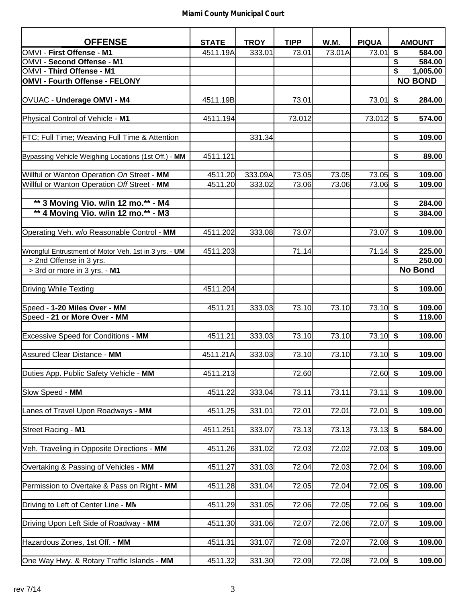| <b>OFFENSE</b>                                                                            | <b>STATE</b>       | <b>TROY</b>       | <b>TIPP</b>    | W.M.           | <b>PIQUA</b>      | <b>AMOUNT</b>          |
|-------------------------------------------------------------------------------------------|--------------------|-------------------|----------------|----------------|-------------------|------------------------|
| OMVI - First Offense - M1                                                                 | 4511.19A           | 333.01            | 73.01          | 73.01A         | 73.01             | \$<br>584.00           |
| <b>OMVI - Second Offense - M1</b>                                                         |                    |                   |                |                |                   | \$<br>584.00           |
| OMVI - Third Offense - M1                                                                 |                    |                   |                |                |                   | \$<br>1,005.00         |
| OMVI - Fourth Offense - FELONY                                                            |                    |                   |                |                |                   | <b>NO BOND</b>         |
|                                                                                           |                    |                   |                |                |                   |                        |
| OVUAC - Underage OMVI - M4                                                                | 4511.19B           |                   | 73.01          |                | 73.01             | \$<br>284.00           |
| Physical Control of Vehicle - M1                                                          | 4511.194           |                   | 73.012         |                | 73.012            | \$<br>574.00           |
|                                                                                           |                    |                   |                |                |                   |                        |
| <b>FTC; Full Time; Weaving Full Time &amp; Attention</b>                                  |                    | 331.34            |                |                |                   | \$<br>109.00           |
|                                                                                           |                    |                   |                |                |                   |                        |
| Bypassing Vehicle Weighing Locations (1st Off.) - MM                                      | 4511.121           |                   |                |                |                   | \$<br>89.00            |
|                                                                                           |                    |                   |                |                |                   |                        |
| Willful or Wanton Operation On Street - MM<br>Willful or Wanton Operation Off Street - MM | 4511.20<br>4511.20 | 333.09A<br>333.02 | 73.05<br>73.06 | 73.05<br>73.06 | 73.05<br>73.06 \$ | \$<br>109.00<br>109.00 |
|                                                                                           |                    |                   |                |                |                   |                        |
| ** 3 Moving Vio. w/in 12 mo.** - M4                                                       |                    |                   |                |                |                   | \$<br>284.00           |
| ** 4 Moving Vio. w/in 12 mo.** - M3                                                       |                    |                   |                |                |                   | \$<br>384.00           |
|                                                                                           |                    |                   |                |                |                   |                        |
| Operating Veh. w/o Reasonable Control - MM                                                | 4511.202           | 333.08            | 73.07          |                | 73.07             | \$<br>109.00           |
|                                                                                           |                    |                   |                |                |                   |                        |
| Wrongful Entrustment of Motor Veh. 1st in 3 yrs. - UM                                     | 4511.203           |                   | 71.14          |                | 71.14             | \$<br>225.00           |
| > 2nd Offense in 3 yrs.                                                                   |                    |                   |                |                |                   | \$<br>250.00           |
| > 3rd or more in 3 yrs. - M1                                                              |                    |                   |                |                |                   | <b>No Bond</b>         |
| Driving While Texting                                                                     | 4511.204           |                   |                |                |                   | \$<br>109.00           |
|                                                                                           |                    |                   |                |                |                   |                        |
| Speed - 1-20 Miles Over - MM                                                              | 4511.21            | 333.03            | 73.10          | 73.10          | 73.10             | \$<br>109.00           |
| Speed - 21 or More Over - MM                                                              |                    |                   |                |                |                   | \$<br>119.00           |
|                                                                                           |                    |                   |                |                |                   |                        |
| <b>Excessive Speed for Conditions - MM</b>                                                | 4511.21            | 333.03            | 73.10          | 73.10          | $73.10$ \$        | 109.00                 |
|                                                                                           |                    |                   |                |                |                   |                        |
| Assured Clear Distance - MM                                                               | 4511.21A           | 333.03            | 73.10          | 73.10          | $73.10$ \$        | 109.00                 |
| Duties App. Public Safety Vehicle - MM                                                    | 4511.213           |                   | 72.60          |                | $72.60$ \$        | 109.00                 |
|                                                                                           |                    |                   |                |                |                   |                        |
| Slow Speed - MM                                                                           | 4511.22            | 333.04            | 73.11          | 73.11          | $73.11$ \$        | 109.00                 |
|                                                                                           |                    |                   |                |                |                   |                        |
| Lanes of Travel Upon Roadways - MM                                                        | 4511.25            | 331.01            | 72.01          | 72.01          | 72.01             | \$<br>109.00           |
|                                                                                           |                    |                   |                |                |                   |                        |
| Street Racing - M1                                                                        | 4511.251           | 333.07            | 73.13          | 73.13          | $73.13$ \$        | 584.00                 |
| Veh. Traveling in Opposite Directions - MM                                                | 4511.26            | 331.02            | 72.03          | 72.02          | $72.03$ \$        | 109.00                 |
|                                                                                           |                    |                   |                |                |                   |                        |
| Overtaking & Passing of Vehicles - MM                                                     | 4511.27            | 331.03            | 72.04          | 72.03          | $72.04$ \$        | 109.00                 |
|                                                                                           |                    |                   |                |                |                   |                        |
| Permission to Overtake & Pass on Right - MM                                               | 4511.28            | 331.04            | 72.05          | 72.04          | $72.05$ \$        | 109.00                 |
|                                                                                           |                    |                   |                |                |                   |                        |
| Driving to Left of Center Line - MN                                                       | 4511.29            | 331.05            | 72.06          | 72.05          | $72.06$ \$        | 109.00                 |
|                                                                                           |                    |                   |                |                |                   |                        |
| Driving Upon Left Side of Roadway - MM                                                    | 4511.30            | 331.06            | 72.07          | 72.06          | 72.07             | \$<br>109.00           |
| Hazardous Zones, 1st Off. - MM                                                            | 4511.31            | 331.07            | 72.08          | 72.07          | $72.08$ \$        | 109.00                 |
|                                                                                           |                    |                   |                |                |                   |                        |
| One Way Hwy. & Rotary Traffic Islands - MM                                                | 4511.32            | 331.30            | 72.09          | 72.08          | $72.09$ \$        | 109.00                 |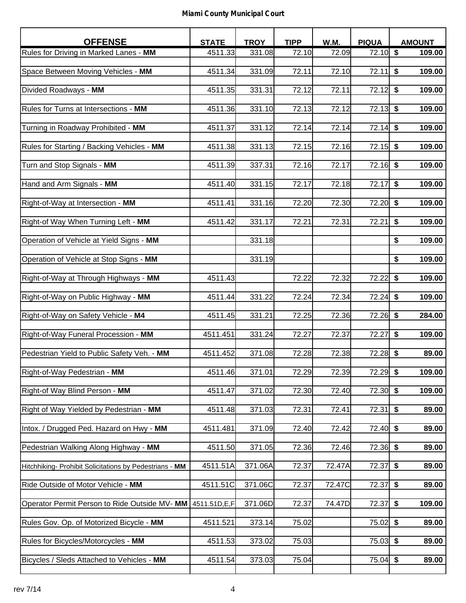| <b>OFFENSE</b>                                          | <b>STATE</b> | <b>TROY</b> | <b>TIPP</b> | <b>W.M.</b> | <b>PIQUA</b> | <b>AMOUNT</b>                     |
|---------------------------------------------------------|--------------|-------------|-------------|-------------|--------------|-----------------------------------|
| Rules for Driving in Marked Lanes - MM                  | 4511.33      | 331.08      | 72.10       | 72.09       | 72.10        | $\sqrt[6]{\frac{1}{2}}$<br>109.00 |
| Space Between Moving Vehicles - MM                      | 4511.34      | 331.09      | 72.11       | 72.10       | 72.11        | \$<br>109.00                      |
| Divided Roadways - MM                                   | 4511.35      | 331.31      | 72.12       | 72.11       | 72.12        | \$<br>109.00                      |
| Rules for Turns at Intersections - MM                   | 4511.36      | 331.10      | 72.13       | 72.12       | 72.13        | \$<br>109.00                      |
| Turning in Roadway Prohibited - MM                      | 4511.37      | 331.12      | 72.14       | 72.14       | 72.14        | \$<br>109.00                      |
| Rules for Starting / Backing Vehicles - MM              | 4511.38      | 331.13      | 72.15       | 72.16       | 72.15        | \$<br>109.00                      |
| Turn and Stop Signals - MM                              | 4511.39      | 337.31      | 72.16       | 72.17       | 72.16        | \$<br>109.00                      |
| Hand and Arm Signals - MM                               | 4511.40      | 331.15      | 72.17       | 72.18       | 72.17        | \$<br>109.00                      |
| Right-of-Way at Intersection - MM                       | 4511.41      | 331.16      | 72.20       | 72.30       | 72.20        | \$<br>109.00                      |
| Right-of Way When Turning Left - MM                     | 4511.42      | 331.17      | 72.21       | 72.31       | 72.21        | \$<br>109.00                      |
| Operation of Vehicle at Yield Signs - MM                |              | 331.18      |             |             |              | \$<br>109.00                      |
| Operation of Vehicle at Stop Signs - MM                 |              | 331.19      |             |             |              | \$<br>109.00                      |
| Right-of-Way at Through Highways - MM                   | 4511.43      |             | 72.22       | 72.32       | 72.22        | \$<br>109.00                      |
| Right-of-Way on Public Highway - MM                     | 4511.44      | 331.22      | 72.24       | 72.34       | 72.24        | \$<br>109.00                      |
| Right-of-Way on Safety Vehicle - M4                     | 4511.45      | 331.21      | 72.25       | 72.36       | 72.26        | \$<br>284.00                      |
| Right-of-Way Funeral Procession - MM                    | 4511.451     | 331.24      | 72.27       | 72.37       | 72.27        | \$<br>109.00                      |
| Pedestrian Yield to Public Safety Veh. - MM             | 4511.452     | 371.08      | 72.28       | 72.38       | 72.28        | \$<br>89.00                       |
| Right-of-Way Pedestrian - MM                            | 4511.46      | 371.01      | 72.29       | 72.39       | $72.29$ \$   | 109.00                            |
| Right-of Way Blind Person - MM                          | 4511.47      | 371.02      | 72.30       | 72.40       | $72.30$ \$   | 109.00                            |
| Right of Way Yielded by Pedestrian - MM                 | 4511.48      | 371.03      | 72.31       | 72.41       | 72.31        | \$<br>89.00                       |
| Intox. / Drugged Ped. Hazard on Hwy - MM                | 4511.481     | 371.09      | 72.40       | 72.42       | $72.40$ \$   | 89.00                             |
| Pedestrian Walking Along Highway - MM                   | 4511.50      | 371.05      | 72.36       | 72.46       | 72.36        | \$<br>89.00                       |
| Hitchhiking- Prohibit Solicitations by Pedestrians - MM | 4511.51A     | 371.06A     | 72.37       | 72.47A      | 72.37        | $\overline{\$}$<br>89.00          |
| Ride Outside of Motor Vehicle - MM                      | 4511.51C     | 371.06C     | 72.37       | 72.47C      | 72.37        | \$<br>89.00                       |
| Operator Permit Person to Ride Outside MV- MM           | 4511.51D,E,F | 371.06D     | 72.37       | 74.47D      | 72.37        | \$<br>109.00                      |
| Rules Gov. Op. of Motorized Bicycle - MM                | 4511.521     | 373.14      | 75.02       |             | 75.02        | \$<br>89.00                       |
| Rules for Bicycles/Motorcycles - MM                     | 4511.53      | 373.02      | 75.03       |             | $75.03$ \$   | 89.00                             |
| Bicycles / Sleds Attached to Vehicles - MM              | 4511.54      | 373.03      | 75.04       |             | $75.04$ \$   | 89.00                             |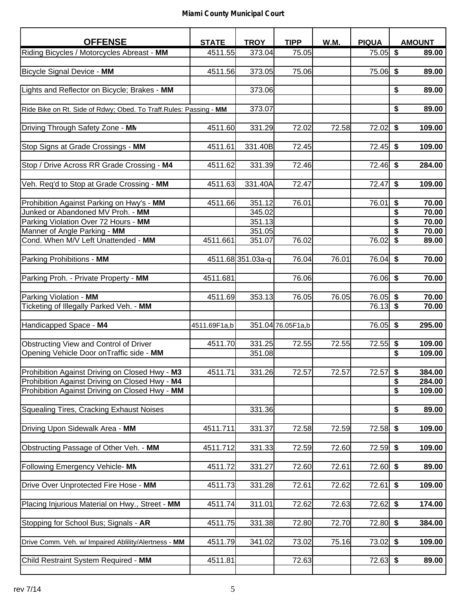| <b>OFFENSE</b>                                                                                   | <b>STATE</b> | <b>TROY</b>       | <b>TIPP</b>        | W.M.  | <b>PIQUA</b> |                 | <b>AMOUNT</b>    |
|--------------------------------------------------------------------------------------------------|--------------|-------------------|--------------------|-------|--------------|-----------------|------------------|
| Riding Bicycles / Motorcycles Abreast - MM                                                       | 4511.55      | 373.04            | 75.05              |       | $75.05$ \$   |                 | 89.00            |
|                                                                                                  |              |                   |                    |       |              |                 |                  |
| Bicycle Signal Device - MM                                                                       | 4511.56      | 373.05            | 75.06              |       | 75.06 \$     |                 | 89.00            |
|                                                                                                  |              |                   |                    |       |              |                 |                  |
| Lights and Reflector on Bicycle; Brakes - MM                                                     |              | 373.06            |                    |       |              | \$              | 89.00            |
|                                                                                                  |              | 373.07            |                    |       |              | \$              | 89.00            |
| Ride Bike on Rt. Side of Rdwy; Obed. To Traff. Rules: Passing - MM                               |              |                   |                    |       |              |                 |                  |
| Driving Through Safety Zone - MN                                                                 | 4511.60      | 331.29            | 72.02              | 72.58 | 72.02        | \$              | 109.00           |
|                                                                                                  |              |                   |                    |       |              |                 |                  |
| Stop Signs at Grade Crossings - MM                                                               | 4511.61      | 331.40B           | 72.45              |       | 72.45        | \$              | 109.00           |
|                                                                                                  |              |                   |                    |       |              |                 |                  |
| Stop / Drive Across RR Grade Crossing - M4                                                       | 4511.62      | 331.39            | 72.46              |       | 72.46        | \$              | 284.00           |
|                                                                                                  |              |                   |                    |       |              |                 |                  |
| Veh. Req'd to Stop at Grade Crossing - MM                                                        | 4511.63      | 331.40A           | 72.47              |       | 72.47        | \$              | 109.00           |
| Prohibition Against Parking on Hwy's - MM                                                        | 4511.66      | 351.12            | 76.01              |       | 76.01        | \$              | 70.00            |
| Junked or Abandoned MV Proh. - MM                                                                |              | 345.02            |                    |       |              | \$              | 70.00            |
| Parking Violation Over 72 Hours - MM                                                             |              | 351.13            |                    |       |              | \$              | 70.00            |
| Manner of Angle Parking - MM                                                                     |              | 351.05            |                    |       |              | $\overline{\$}$ | 70.00            |
| Cond. When M/V Left Unattended - MM                                                              | 4511.661     | 351.07            | 76.02              |       | 76.02        | \$              | 89.00            |
|                                                                                                  |              |                   |                    |       |              |                 |                  |
| Parking Prohibitions - MM                                                                        |              | 4511.68 351.03a-q | 76.04              | 76.01 | 76.04        | \$              | 70.00            |
|                                                                                                  |              |                   |                    |       |              |                 |                  |
| Parking Proh. - Private Property - MM                                                            | 4511.681     |                   | 76.06              |       | 76.06        | \$              | 70.00            |
| Parking Violation - MM                                                                           | 4511.69      | 353.13            | 76.05              | 76.05 | 76.05        | \$              | 70.00            |
| Ticketing of Illegally Parked Veh. - MM                                                          |              |                   |                    |       | $76.13$ \$   |                 | 70.00            |
|                                                                                                  |              |                   |                    |       |              |                 |                  |
| Handicapped Space - M4                                                                           | 4511.69F1a,b |                   | 351.04 76.05 F1a,b |       | 76.05        | \$              | 295.00           |
|                                                                                                  |              |                   |                    |       |              |                 |                  |
| Obstructing View and Control of Driver                                                           | 4511.70      | 331.25            | 72.55              | 72.55 | 72.55        | \$              | 109.00           |
| Opening Vehicle Door onTraffic side - MM                                                         |              | 351.08            |                    |       |              | \$              | 109.00           |
|                                                                                                  |              |                   |                    |       |              |                 |                  |
| Prohibition Against Driving on Closed Hwy - M3<br>Prohibition Against Driving on Closed Hwy - M4 | 4511.71      | 331.26            | 72.57              | 72.57 | 72.57        | \$              | 384.00<br>284.00 |
| Prohibition Against Driving on Closed Hwy - MM                                                   |              |                   |                    |       |              | \$<br>\$        | 109.00           |
|                                                                                                  |              |                   |                    |       |              |                 |                  |
| Squealing Tires, Cracking Exhaust Noises                                                         |              | 331.36            |                    |       |              | \$              | 89.00            |
|                                                                                                  |              |                   |                    |       |              |                 |                  |
| Driving Upon Sidewalk Area - MM                                                                  | 4511.711     | 331.37            | 72.58              | 72.59 | 72.58        | \$              | 109.00           |
|                                                                                                  |              |                   |                    |       |              |                 |                  |
| Obstructing Passage of Other Veh. - MM                                                           | 4511.712     | 331.33            | 72.59              | 72.60 | $72.59$ \$   |                 | 109.00           |
|                                                                                                  |              |                   |                    |       |              |                 |                  |
| Following Emergency Vehicle-MN                                                                   | 4511.72      | 331.27            | 72.60              | 72.61 | $72.60$ \$   |                 | 89.00            |
| Drive Over Unprotected Fire Hose - MM                                                            | 4511.73      | 331.28            | 72.61              | 72.62 | 72.61        | \$              | 109.00           |
|                                                                                                  |              |                   |                    |       |              |                 |                  |
| Placing Injurious Material on Hwy., Street - MM                                                  | 4511.74      | 311.01            | 72.62              | 72.63 | 72.62        | \$              | 174.00           |
|                                                                                                  |              |                   |                    |       |              |                 |                  |
| Stopping for School Bus; Signals - AR                                                            | 4511.75      | 331.38            | 72.80              | 72.70 | $72.80$ \$   |                 | 384.00           |
|                                                                                                  |              |                   |                    |       |              |                 |                  |
| Drive Comm. Veh. w/ Impaired Ablility/Alertness - MM                                             | 4511.79      | 341.02            | 73.02              | 75.16 | $73.02$ \$   |                 | 109.00           |
| Child Restraint System Required - MM                                                             | 4511.81      |                   | 72.63              |       | $72.63$ \$   |                 | 89.00            |
|                                                                                                  |              |                   |                    |       |              |                 |                  |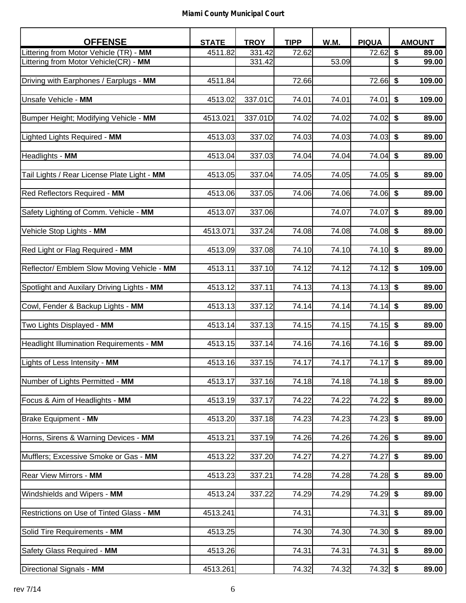| <b>OFFENSE</b>                              | <b>STATE</b> | <b>TROY</b> | <b>TIPP</b> | W.M.  | <b>PIQUA</b> | <b>AMOUNT</b> |
|---------------------------------------------|--------------|-------------|-------------|-------|--------------|---------------|
| Littering from Motor Vehicle (TR)<br>- MM   | 4511.82      | 331.42      | 72.62       |       | 72.62        | \$<br>89.00   |
| Littering from Motor Vehicle(CR) - MM       |              | 331.42      |             | 53.09 |              | \$<br>99.00   |
|                                             |              |             |             |       |              |               |
| Driving with Earphones / Earplugs - MM      | 4511.84      |             | 72.66       |       | $72.66$ \$   | 109.00        |
|                                             |              |             |             |       |              |               |
| Unsafe Vehicle - MM                         | 4513.02      | 337.01C     | 74.01       | 74.01 | 74.01        | \$<br>109.00  |
|                                             |              |             |             |       |              |               |
| Bumper Height; Modifying Vehicle - MM       | 4513.021     | 337.01D     | 74.02       | 74.02 | 74.02        | \$<br>89.00   |
|                                             |              |             |             |       |              |               |
| Lighted Lights Required - MM                | 4513.03      | 337.02      | 74.03       | 74.03 | 74.03        | \$<br>89.00   |
|                                             |              |             |             |       |              |               |
|                                             |              |             |             |       |              |               |
| Headlights - MM                             | 4513.04      | 337.03      | 74.04       | 74.04 | 74.04        | \$<br>89.00   |
|                                             |              |             |             |       |              |               |
| Tail Lights / Rear License Plate Light - MM | 4513.05      | 337.04      | 74.05       | 74.05 | 74.05        | \$<br>89.00   |
|                                             |              |             |             |       |              |               |
| Red Reflectors Required - MM                | 4513.06      | 337.05      | 74.06       | 74.06 | $74.06$ \$   | 89.00         |
|                                             |              |             |             |       |              |               |
| Safety Lighting of Comm. Vehicle - MM       | 4513.07      | 337.06      |             | 74.07 | 74.07        | \$<br>89.00   |
|                                             |              |             |             |       |              |               |
| Vehicle Stop Lights - MM                    | 4513.071     | 337.24      | 74.08       | 74.08 | 74.08        | \$<br>89.00   |
|                                             |              |             |             |       |              |               |
| Red Light or Flag Required - MM             | 4513.09      | 337.08      | 74.10       | 74.10 | $74.10$ \$   | 89.00         |
|                                             |              |             |             |       |              |               |
| Reflector/ Emblem Slow Moving Vehicle - MM  | 4513.11      | 337.10      | 74.12       | 74.12 | 74.12        | \$<br>109.00  |
|                                             |              |             |             |       |              |               |
| Spotlight and Auxilary Driving Lights - MM  | 4513.12      | 337.11      | 74.13       | 74.13 | 74.13        | \$<br>89.00   |
|                                             |              |             |             |       |              |               |
| Cowl, Fender & Backup Lights - MM           | 4513.13      | 337.12      | 74.14       | 74.14 | 74.14        | \$<br>89.00   |
|                                             |              |             |             |       |              |               |
|                                             |              |             |             |       |              |               |
| Two Lights Displayed - MM                   | 4513.14      | 337.13      | 74.15       | 74.15 | 74.15        | \$<br>89.00   |
|                                             |              |             |             |       |              |               |
| Headlight Illumination Requirements - MM    | 4513.15      | 337.14      | 74.16       | 74.16 | $74.16$ \$   | 89.00         |
|                                             |              |             |             |       |              |               |
| Lights of Less Intensity - MM               | 4513.16      | 337.15      | 74.17       | 74.17 | 74.17        | \$<br>89.00   |
|                                             |              |             |             |       |              |               |
| Number of Lights Permitted - MM             | 4513.17      | 337.16      | 74.18       | 74.18 | $74.18$ \$   | 89.00         |
|                                             |              |             |             |       |              |               |
| Focus & Aim of Headlights - MM              | 4513.19      | 337.17      | 74.22       | 74.22 | $74.22$ \$   | 89.00         |
|                                             |              |             |             |       |              |               |
| Brake Equipment - MN                        | 4513.20      | 337.18      | 74.23       | 74.23 | $74.23$ \$   | 89.00         |
|                                             |              |             |             |       |              |               |
| Horns, Sirens & Warning Devices - MM        | 4513.21      | 337.19      | 74.26       | 74.26 | $74.26$ \$   | 89.00         |
|                                             |              |             |             |       |              |               |
| Mufflers; Excessive Smoke or Gas - MM       | 4513.22      | 337.20      | 74.27       | 74.27 | 74.27        | \$<br>89.00   |
|                                             |              |             |             |       |              |               |
| <b>Rear View Mirrors - MM</b>               | 4513.23      | 337.21      | 74.28       | 74.28 | $74.28$ \$   | 89.00         |
|                                             |              |             |             |       |              |               |
| Windshields and Wipers - MM                 | 4513.24      | 337.22      | 74.29       | 74.29 | $74.29$ \$   | 89.00         |
|                                             |              |             |             |       |              |               |
| Restrictions on Use of Tinted Glass - MM    | 4513.241     |             | 74.31       |       | 74.31        | \$<br>89.00   |
|                                             |              |             |             |       |              |               |
| Solid Tire Requirements - MM                | 4513.25      |             | 74.30       | 74.30 | $74.30$ \$   | 89.00         |
|                                             |              |             |             |       |              |               |
|                                             |              |             |             |       |              |               |
| Safety Glass Required - MM                  | 4513.26      |             | 74.31       | 74.31 | 74.31        | \$<br>89.00   |
|                                             |              |             |             |       |              |               |
| Directional Signals - MM                    | 4513.261     |             | 74.32       | 74.32 | $74.32$ \$   | 89.00         |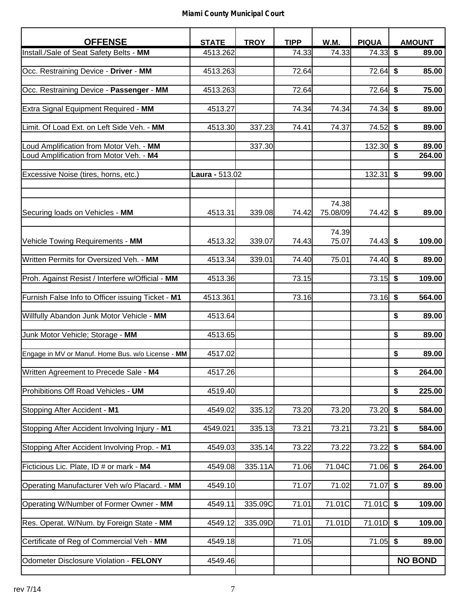| <b>OFFENSE</b>                                    | <b>STATE</b>   | <b>TROY</b> | <b>TIPP</b> | W.M.     | <b>PIQUA</b> | <b>AMOUNT</b>  |
|---------------------------------------------------|----------------|-------------|-------------|----------|--------------|----------------|
| Install./Sale of Seat Safety Belts - MM           | 4513.262       |             | 74.33       | 74.33    | 74.33        | \$<br>89.00    |
|                                                   |                |             |             |          |              |                |
| Occ. Restraining Device - Driver - MM             | 4513.263       |             | 72.64       |          | 72.64        | \$<br>85.00    |
|                                                   |                |             | 72.64       |          | 72.64        | \$<br>75.00    |
| Occ. Restraining Device - Passenger - MM          | 4513.263       |             |             |          |              |                |
| Extra Signal Equipment Required - MM              | 4513.27        |             | 74.34       | 74.34    | 74.34        | \$<br>89.00    |
|                                                   |                |             |             |          |              |                |
| Limit. Of Load Ext. on Left Side Veh. - MM        | 4513.30        | 337.23      | 74.41       | 74.37    | 74.52        | \$<br>89.00    |
|                                                   |                |             |             |          |              |                |
| Loud Amplification from Motor Veh. - MM           |                | 337.30      |             |          | 132.30       | \$<br>89.00    |
| Loud Amplification from Motor Veh. - M4           |                |             |             |          |              | \$<br>264.00   |
| Excessive Noise (tires, horns, etc.)              | Laura - 513.02 |             |             |          | 132.31       | \$<br>99.00    |
|                                                   |                |             |             |          |              |                |
|                                                   |                |             |             |          |              |                |
|                                                   |                |             |             | 74.38    |              |                |
| Securing loads on Vehicles - MM                   | 4513.31        | 339.08      | 74.42       | 75.08/09 | 74.42        | \$<br>89.00    |
|                                                   |                |             |             |          |              |                |
|                                                   |                |             |             | 74.39    |              |                |
| Vehicle Towing Requirements - MM                  | 4513.32        | 339.07      | 74.43       | 75.07    | 74.43        | \$<br>109.00   |
|                                                   |                |             |             |          |              |                |
| Written Permits for Oversized Veh. - MM           | 4513.34        | 339.01      | 74.40       | 75.01    | 74.40        | \$<br>89.00    |
| Proh. Against Resist / Interfere w/Official - MM  | 4513.36        |             | 73.15       |          | 73.15        | \$<br>109.00   |
|                                                   |                |             |             |          |              |                |
| Furnish False Info to Officer issuing Ticket - M1 | 4513.361       |             | 73.16       |          | 73.16        | \$<br>564.00   |
|                                                   |                |             |             |          |              |                |
| Willfully Abandon Junk Motor Vehicle - MM         | 4513.64        |             |             |          |              | \$<br>89.00    |
|                                                   |                |             |             |          |              |                |
| Junk Motor Vehicle; Storage - MM                  | 4513.65        |             |             |          |              | \$<br>89.00    |
|                                                   |                |             |             |          |              | \$<br>89.00    |
| Engage in MV or Manuf. Home Bus. w/o License - MM | 4517.02        |             |             |          |              |                |
| Written Agreement to Precede Sale - M4            | 4517.26        |             |             |          |              | \$<br>264.00   |
|                                                   |                |             |             |          |              |                |
| Prohibitions Off Road Vehicles - UM               | 4519.40        |             |             |          |              | \$<br>225.00   |
|                                                   |                |             |             |          |              |                |
| Stopping After Accident - M1                      | 4549.02        | 335.12      | 73.20       | 73.20    | $73.20$ \$   | 584.00         |
|                                                   |                |             |             |          |              |                |
| Stopping After Accident Involving Injury - M1     | 4549.021       | 335.13      | 73.21       | 73.21    | 73.21        | \$<br>584.00   |
| Stopping After Accident Involving Prop. - M1      | 4549.03        | 335.14      | 73.22       | 73.22    | 73.22        | \$<br>584.00   |
|                                                   |                |             |             |          |              |                |
| Ficticious Lic. Plate, ID # or mark - M4          | 4549.08        | 335.11A     | 71.06       | 71.04C   | 71.06        | \$<br>264.00   |
|                                                   |                |             |             |          |              |                |
| Operating Manufacturer Veh w/o Placard. - MM      | 4549.10        |             | 71.07       | 71.02    | 71.07        | \$<br>89.00    |
|                                                   |                |             |             |          |              |                |
| Operating W/Number of Former Owner - MM           | 4549.11        | 335.09C     | 71.01       | 71.01C   | 71.01C       | \$<br>109.00   |
| Res. Operat. W/Num. by Foreign State - MM         | 4549.12        | 335.09D     | 71.01       | 71.01D   | $71.01D$ \$  | 109.00         |
|                                                   |                |             |             |          |              |                |
| Certificate of Reg of Commercial Veh - MM         | 4549.18        |             | 71.05       |          | $71.05$ \$   | 89.00          |
|                                                   |                |             |             |          |              |                |
| Odometer Disclosure Violation - FELONY            | 4549.46        |             |             |          |              | <b>NO BOND</b> |
|                                                   |                |             |             |          |              |                |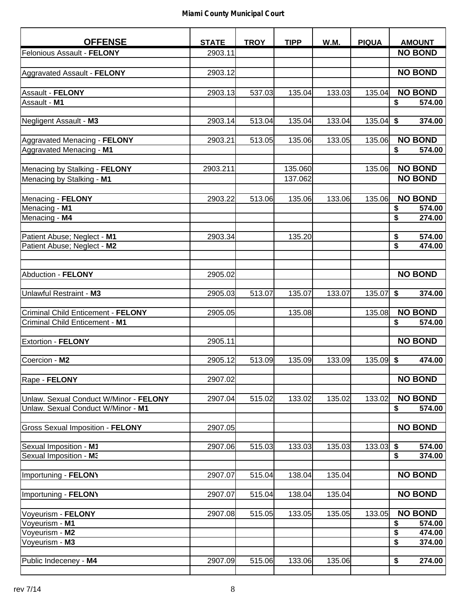| <b>OFFENSE</b>                                           | <b>STATE</b> | <b>TROY</b> | <b>TIPP</b> | W.M.   | <b>PIQUA</b> | <b>AMOUNT</b>  |
|----------------------------------------------------------|--------------|-------------|-------------|--------|--------------|----------------|
| Felonious Assault - FELONY                               | 2903.11      |             |             |        |              | <b>NO BOND</b> |
|                                                          |              |             |             |        |              |                |
| Aggravated Assault - FELONY                              | 2903.12      |             |             |        |              | <b>NO BOND</b> |
|                                                          |              |             |             |        |              |                |
| Assault - FELONY                                         | 2903.13      | 537.03      | 135.04      | 133.03 | 135.04       | <b>NO BOND</b> |
| Assault - M1                                             |              |             |             |        |              | \$<br>574.00   |
|                                                          |              |             |             |        |              |                |
| Negligent Assault - M3                                   | 2903.14      | 513.04      | 135.04      | 133.04 | 135.04       | \$<br>374.00   |
|                                                          |              |             |             |        |              | <b>NO BOND</b> |
| Aggravated Menacing - FELONY<br>Aggravated Menacing - M1 | 2903.21      | 513.05      | 135.06      | 133.05 | 135.06       | \$<br>574.00   |
|                                                          |              |             |             |        |              |                |
| Menacing by Stalking - FELONY                            | 2903.211     |             | 135.060     |        | 135.06       | <b>NO BOND</b> |
| Menacing by Stalking - M1                                |              |             | 137.062     |        |              | <b>NO BOND</b> |
|                                                          |              |             |             |        |              |                |
| Menacing - FELONY                                        | 2903.22      | 513.06      | 135.06      | 133.06 | 135.06       | <b>NO BOND</b> |
| Menacing - M1                                            |              |             |             |        |              | \$<br>574.00   |
| Menacing - M4                                            |              |             |             |        |              | \$<br>274.00   |
|                                                          |              |             |             |        |              |                |
| Patient Abuse; Neglect - M1                              | 2903.34      |             | 135.20      |        |              | \$<br>574.00   |
| Patient Abuse; Neglect - M2                              |              |             |             |        |              | \$<br>474.00   |
|                                                          |              |             |             |        |              |                |
| Abduction - FELONY                                       | 2905.02      |             |             |        |              | <b>NO BOND</b> |
|                                                          |              |             |             |        |              |                |
| Unlawful Restraint - M3                                  | 2905.03      | 513.07      | 135.07      | 133.07 | 135.07       | \$<br>374.00   |
|                                                          |              |             |             |        |              |                |
| Criminal Child Enticement - FELONY                       | 2905.05      |             | 135.08      |        | 135.08       | <b>NO BOND</b> |
| Criminal Child Enticement - M1                           |              |             |             |        |              | \$<br>574.00   |
|                                                          |              |             |             |        |              |                |
| <b>Extortion - FELONY</b>                                | 2905.11      |             |             |        |              | <b>NO BOND</b> |
|                                                          |              |             |             |        |              |                |
| Coercion - M2                                            | 2905.12      | 513.09      | 135.09      | 133.09 | 135.09       | \$<br>474.00   |
|                                                          |              |             |             |        |              | <b>NO BOND</b> |
| Rape - FELONY                                            | 2907.02      |             |             |        |              |                |
| Unlaw. Sexual Conduct W/Minor - FELONY                   | 2907.04      | 515.02      | 133.02      | 135.02 | 133.02       | <b>NO BOND</b> |
| Unlaw. Sexual Conduct W/Minor - M1                       |              |             |             |        |              | \$<br>574.00   |
|                                                          |              |             |             |        |              |                |
| <b>Gross Sexual Imposition - FELONY</b>                  | 2907.05      |             |             |        |              | <b>NO BOND</b> |
|                                                          |              |             |             |        |              |                |
| Sexual Imposition - M1                                   | 2907.06      | 515.03      | 133.03      | 135.03 | 133.03       | \$<br>574.00   |
| Sexual Imposition - M3                                   |              |             |             |        |              | \$<br>374.00   |
|                                                          |              |             |             |        |              |                |
| Importuning - FELONY                                     | 2907.07      | 515.04      | 138.04      | 135.04 |              | <b>NO BOND</b> |
|                                                          |              |             |             |        |              | <b>NO BOND</b> |
| Importuning - FELONY                                     | 2907.07      | 515.04      | 138.04      | 135.04 |              |                |
| Voyeurism - FELONY                                       | 2907.08      | 515.05      | 133.05      | 135.05 | 133.05       | <b>NO BOND</b> |
| Voyeurism - M1                                           |              |             |             |        |              | \$<br>574.00   |
| Voyeurism - M2                                           |              |             |             |        |              | \$<br>474.00   |
| Voyeurism - M3                                           |              |             |             |        |              | \$<br>374.00   |
|                                                          |              |             |             |        |              |                |
| Public Indeceney - M4                                    | 2907.09      | 515.06      | 133.06      | 135.06 |              | \$<br>274.00   |
|                                                          |              |             |             |        |              |                |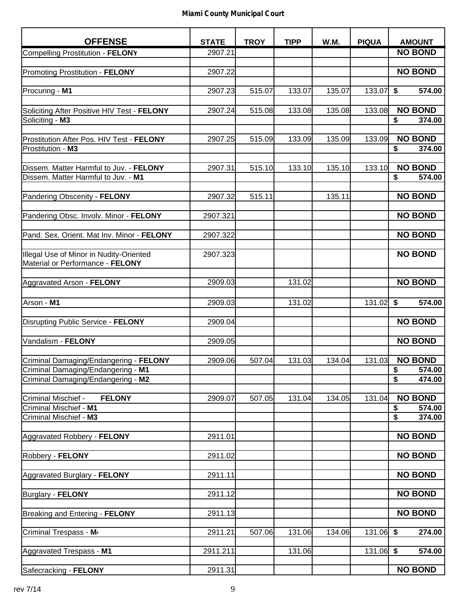| <b>OFFENSE</b>                                                                 | <b>STATE</b> | <b>TROY</b> | <b>TIPP</b> | <b>W.M.</b> | <b>PIQUA</b> | <b>AMOUNT</b>                     |
|--------------------------------------------------------------------------------|--------------|-------------|-------------|-------------|--------------|-----------------------------------|
| Compelling Prostitution - FELONY                                               | 2907.21      |             |             |             |              | <b>NO BOND</b>                    |
|                                                                                |              |             |             |             |              |                                   |
| Promoting Prostitution - FELONY                                                | 2907.22      |             |             |             |              | <b>NO BOND</b>                    |
|                                                                                |              |             |             |             |              |                                   |
| Procuring - M1                                                                 | 2907.23      | 515.07      | 133.07      | 135.07      | 133.07       | \$<br>574.00                      |
| Soliciting After Positive HIV Test - FELONY                                    | 2907.24      | 515.08      | 133.08      | 135.08      | 133.08       | <b>NO BOND</b>                    |
| Soliciting - M3                                                                |              |             |             |             |              | \$<br>374.00                      |
|                                                                                |              |             |             |             |              |                                   |
| Prostitution After Pos. HIV Test - FELONY                                      | 2907.25      | 515.09      | 133.09      | 135.09      | 133.09       | <b>NO BOND</b>                    |
| Prostitution - M3                                                              |              |             |             |             |              | \$<br>374.00                      |
|                                                                                |              | 515.10      | 133.10      |             | 133.10       | <b>NO BOND</b>                    |
| Dissem. Matter Harmful to Juv. - FELONY<br>Dissem. Matter Harmful to Juv. - M1 | 2907.31      |             |             | 135.10      |              | \$<br>574.00                      |
|                                                                                |              |             |             |             |              |                                   |
| Pandering Obscenity - FELONY                                                   | 2907.32      | 515.11      |             | 135.11      |              | <b>NO BOND</b>                    |
|                                                                                |              |             |             |             |              |                                   |
| Pandering Obsc. Involv. Minor - FELONY                                         | 2907.321     |             |             |             |              | <b>NO BOND</b>                    |
|                                                                                |              |             |             |             |              |                                   |
| Pand. Sex. Orient. Mat Inv. Minor - FELONY                                     | 2907.322     |             |             |             |              | <b>NO BOND</b>                    |
| Illegal Use of Minor in Nudity-Oriented                                        | 2907.323     |             |             |             |              | <b>NO BOND</b>                    |
| Material or Performance - FELONY                                               |              |             |             |             |              |                                   |
|                                                                                |              |             |             |             |              |                                   |
| Aggravated Arson - FELONY                                                      | 2909.03      |             | 131.02      |             |              | <b>NO BOND</b>                    |
|                                                                                |              |             |             |             |              |                                   |
| Arson - M1                                                                     | 2909.03      |             | 131.02      |             | 131.02       | \$<br>574.00                      |
|                                                                                |              |             |             |             |              |                                   |
| Disrupting Public Service - FELONY                                             | 2909.04      |             |             |             |              | <b>NO BOND</b>                    |
| Vandalism - FELONY                                                             | 2909.05      |             |             |             |              | <b>NO BOND</b>                    |
|                                                                                |              |             |             |             |              |                                   |
| Criminal Damaging/Endangering - FELONY                                         | 2909.06      | 507.04      | 131.03      | 134.04      | 131.03       | <b>NO BOND</b>                    |
| Criminal Damaging/Endangering - M1                                             |              |             |             |             |              | $\frac{1}{2}$<br>574.00           |
| Criminal Damaging/Endangering - M2                                             |              |             |             |             |              | $\overline{\mathbf{s}}$<br>474.00 |
|                                                                                |              |             |             |             |              |                                   |
| Criminal Mischief -<br><b>FELONY</b>                                           | 2909.07      | 507.05      | 131.04      | 134.05      | 131.04       | <b>NO BOND</b>                    |
| Criminal Mischief - M1<br>Criminal Mischief - M3                               |              |             |             |             |              | \$<br>574.00<br>\$<br>374.00      |
|                                                                                |              |             |             |             |              |                                   |
| Aggravated Robbery - FELONY                                                    | 2911.01      |             |             |             |              | <b>NO BOND</b>                    |
|                                                                                |              |             |             |             |              |                                   |
| Robbery - FELONY                                                               | 2911.02      |             |             |             |              | <b>NO BOND</b>                    |
|                                                                                |              |             |             |             |              |                                   |
| Aggravated Burglary - FELONY                                                   | 2911.11      |             |             |             |              | <b>NO BOND</b>                    |
| <b>Burglary - FELONY</b>                                                       | 2911.12      |             |             |             |              | <b>NO BOND</b>                    |
|                                                                                |              |             |             |             |              |                                   |
| Breaking and Entering - FELONY                                                 | 2911.13      |             |             |             |              | <b>NO BOND</b>                    |
|                                                                                |              |             |             |             |              |                                   |
| Criminal Trespass - M                                                          | 2911.21      | 507.06      | 131.06      | 134.06      | $131.06$ \$  | 274.00                            |
|                                                                                |              |             |             |             |              |                                   |
| Aggravated Trespass - M1                                                       | 2911.211     |             | 131.06      |             | $131.06$ \$  | 574.00                            |
| Safecracking - FELONY                                                          | 2911.31      |             |             |             |              | <b>NO BOND</b>                    |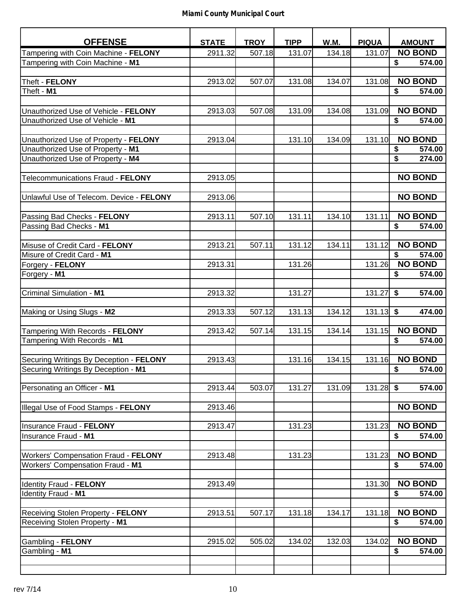| <b>OFFENSE</b>                           | <b>STATE</b> | <b>TROY</b> | <b>TIPP</b> | <b>W.M.</b> | <b>PIQUA</b> | <b>AMOUNT</b>                     |
|------------------------------------------|--------------|-------------|-------------|-------------|--------------|-----------------------------------|
| Tampering with Coin Machine - FELONY     | 2911.32      | 507.18      | 131.07      | 134.18      | 131.07       | <b>NO BOND</b>                    |
| Tampering with Coin Machine - M1         |              |             |             |             |              | 574.00<br>\$                      |
|                                          |              |             |             |             |              |                                   |
| Theft - FELONY                           | 2913.02      | 507.07      | 131.08      | 134.07      | 131.08       | <b>NO BOND</b>                    |
| Theft - M1                               |              |             |             |             |              | \$<br>574.00                      |
|                                          |              |             |             |             |              |                                   |
| Unauthorized Use of Vehicle - FELONY     | 2913.03      | 507.08      | 131.09      | 134.08      | 131.09       | <b>NO BOND</b>                    |
| Unauthorized Use of Vehicle - M1         |              |             |             |             |              | \$<br>574.00                      |
|                                          |              |             |             |             |              |                                   |
| Unauthorized Use of Property - FELONY    | 2913.04      |             | 131.10      | 134.09      | 131.10       | <b>NO BOND</b>                    |
| Unauthorized Use of Property - M1        |              |             |             |             |              | \$<br>574.00                      |
| Unauthorized Use of Property - M4        |              |             |             |             |              | \$<br>274.00                      |
|                                          |              |             |             |             |              |                                   |
| Telecommunications Fraud - FELONY        | 2913.05      |             |             |             |              | <b>NO BOND</b>                    |
|                                          |              |             |             |             |              |                                   |
| Unlawful Use of Telecom. Device - FELONY | 2913.06      |             |             |             |              | <b>NO BOND</b>                    |
|                                          |              |             |             |             |              |                                   |
| Passing Bad Checks - FELONY              | 2913.11      | 507.10      | 131.11      | 134.10      | 131.11       | <b>NO BOND</b>                    |
| Passing Bad Checks - M1                  |              |             |             |             |              | \$<br>574.00                      |
| Misuse of Credit Card - FELONY           | 2913.21      | 507.11      | 131.12      | 134.11      | 131.12       | <b>NO BOND</b>                    |
| Misure of Credit Card - M1               |              |             |             |             |              | \$<br>574.00                      |
| Forgery - FELONY                         | 2913.31      |             | 131.26      |             | 131.26       | <b>NO BOND</b>                    |
| Forgery - M1                             |              |             |             |             |              | \$<br>574.00                      |
|                                          |              |             |             |             |              |                                   |
| <b>Criminal Simulation - M1</b>          | 2913.32      |             | 131.27      |             | 131.27       | $\overline{\mathbf{s}}$<br>574.00 |
|                                          |              |             |             |             |              |                                   |
| Making or Using Slugs - M2               | 2913.33      | 507.12      | 131.13      | 134.12      | 131.13       | \$<br>474.00                      |
|                                          |              |             |             |             |              |                                   |
| Tampering With Records - FELONY          | 2913.42      | 507.14      | 131.15      | 134.14      | 131.15       | <b>NO BOND</b>                    |
| Tampering With Records - M1              |              |             |             |             |              | \$<br>574.00                      |
|                                          |              |             |             |             |              |                                   |
| Securing Writings By Deception - FELONY  | 2913.43      |             | 131.16      | 134.15      | 131.16       | <b>NO BOND</b>                    |
| Securing Writings By Deception - M1      |              |             |             |             |              | $\frac{1}{2}$<br>574.00           |
|                                          |              |             |             |             |              |                                   |
| Personating an Officer - M1              | 2913.44      | 503.07      | 131.27      | 131.09      | 131.28       | \$<br>574.00                      |
| Illegal Use of Food Stamps - FELONY      | 2913.46      |             |             |             |              | <b>NO BOND</b>                    |
|                                          |              |             |             |             |              |                                   |
| Insurance Fraud - FELONY                 | 2913.47      |             | 131.23      |             | 131.23       | <b>NO BOND</b>                    |
| Insurance Fraud - M1                     |              |             |             |             |              | \$<br>574.00                      |
|                                          |              |             |             |             |              |                                   |
| Workers' Compensation Fraud - FELONY     | 2913.48      |             | 131.23      |             | 131.23       | <b>NO BOND</b>                    |
| Workers' Compensation Fraud - M1         |              |             |             |             |              | \$<br>574.00                      |
|                                          |              |             |             |             |              |                                   |
| Identity Fraud - FELONY                  | 2913.49      |             |             |             | 131.30       | <b>NO BOND</b>                    |
| Identity Fraud - M1                      |              |             |             |             |              | \$<br>574.00                      |
|                                          |              |             |             |             |              |                                   |
| Receiving Stolen Property - FELONY       | 2913.51      | 507.17      | 131.18      | 134.17      | 131.18       | <b>NO BOND</b>                    |
| Receiving Stolen Property - M1           |              |             |             |             |              | 574.00<br>\$                      |
|                                          |              |             |             |             |              |                                   |
| Gambling - FELONY                        | 2915.02      | 505.02      | 134.02      | 132.03      | 134.02       | <b>NO BOND</b>                    |
| Gambling - M1                            |              |             |             |             |              | \$<br>574.00                      |
|                                          |              |             |             |             |              |                                   |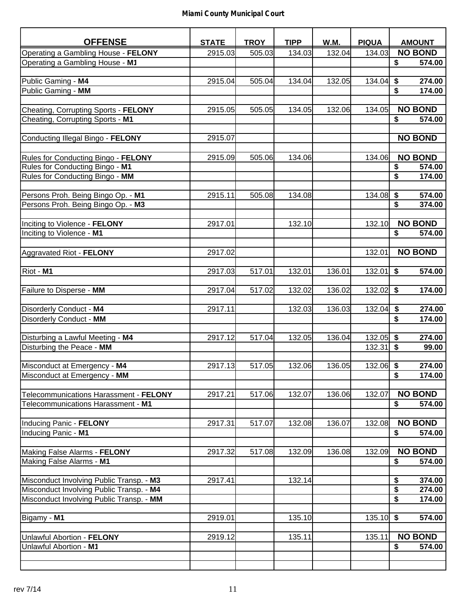| <b>OFFENSE</b>                           | <b>STATE</b> | <b>TROY</b> | <b>TIPP</b> | W.M.   | <b>PIQUA</b> | <b>AMOUNT</b>             |
|------------------------------------------|--------------|-------------|-------------|--------|--------------|---------------------------|
| Operating a Gambling House - FELONY      | 2915.03      | 505.03      | 134.03      | 132.04 | 134.03       | <b>NO BOND</b>            |
| Operating a Gambling House - M1          |              |             |             |        |              | 574.00<br>\$              |
|                                          |              |             |             |        |              |                           |
| Public Gaming - M4                       | 2915.04      | 505.04      | 134.04      | 132.05 | 134.04       | \$<br>274.00              |
| Public Gaming - MM                       |              |             |             |        |              | \$<br>174.00              |
|                                          |              |             |             |        |              |                           |
| Cheating, Corrupting Sports - FELONY     | 2915.05      | 505.05      | 134.05      | 132.06 | 134.05       | <b>NO BOND</b>            |
| Cheating, Corrupting Sports - M1         |              |             |             |        |              | \$<br>574.00              |
|                                          |              |             |             |        |              |                           |
| Conducting Illegal Bingo - FELONY        | 2915.07      |             |             |        |              | <b>NO BOND</b>            |
|                                          |              |             |             |        |              |                           |
| Rules for Conducting Bingo - FELONY      | 2915.09      | 505.06      | 134.06      |        | 134.06       | <b>NO BOND</b>            |
| Rules for Conducting Bingo - M1          |              |             |             |        |              | 574.00<br>\$              |
| Rules for Conducting Bingo - MM          |              |             |             |        |              | \$<br>174.00              |
| Persons Proh. Being Bingo Op. - M1       | 2915.11      | 505.08      | 134.08      |        | 134.08       | \$<br>574.00              |
| Persons Proh. Being Bingo Op. - M3       |              |             |             |        |              | \$<br>374.00              |
|                                          |              |             |             |        |              |                           |
| Inciting to Violence - FELONY            | 2917.01      |             | 132.10      |        | 132.10       | <b>NO BOND</b>            |
| Inciting to Violence - M1                |              |             |             |        |              | \$<br>574.00              |
|                                          |              |             |             |        |              |                           |
| Aggravated Riot - FELONY                 | 2917.02      |             |             |        | 132.01       | <b>NO BOND</b>            |
|                                          |              |             |             |        |              |                           |
| Riot - M1                                | 2917.03      | 517.01      | 132.01      | 136.01 | 132.01       | \$<br>574.00              |
|                                          |              |             |             |        |              |                           |
| Failure to Disperse - MM                 | 2917.04      | 517.02      | 132.02      | 136.02 | 132.02       | \$<br>174.00              |
|                                          |              |             |             |        |              |                           |
| Disorderly Conduct - M4                  | 2917.11      |             | 132.03      | 136.03 | 132.04       | \$<br>274.00              |
| Disorderly Conduct - MM                  |              |             |             |        |              | \$<br>174.00              |
| Disturbing a Lawful Meeting - M4         | 2917.12      | 517.04      | 132.05      | 136.04 | 132.05       | \$<br>274.00              |
| Disturbing the Peace - MM                |              |             |             |        | 132.31       | $\sqrt{2}$<br>99.00       |
|                                          |              |             |             |        |              |                           |
| Misconduct at Emergency - M4             | 2917.13      | 517.05      | 132.06      | 136.05 | $132.06$ \$  | 274.00                    |
| Misconduct at Emergency - MM             |              |             |             |        |              | \$<br>174.00              |
|                                          |              |             |             |        |              |                           |
| Telecommunications Harassment - FELONY   | 2917.21      | 517.06      | 132.07      | 136.06 | 132.07       | <b>NO BOND</b>            |
| Telecommunications Harassment - M1       |              |             |             |        |              | \$<br>574.00              |
|                                          |              |             |             |        |              |                           |
| Inducing Panic - FELONY                  | 2917.31      | 517.07      | 132.08      | 136.07 | 132.08       | <b>NO BOND</b>            |
| Inducing Panic - M1                      |              |             |             |        |              | \$<br>574.00              |
|                                          |              |             |             |        |              |                           |
| Making False Alarms - FELONY             | 2917.32      | 517.08      | 132.09      | 136.08 | 132.09       | <b>NO BOND</b>            |
| Making False Alarms - M1                 |              |             |             |        |              | \$<br>574.00              |
| Misconduct Involving Public Transp. - M3 | 2917.41      |             | 132.14      |        |              | \$<br>374.00              |
| Misconduct Involving Public Transp. - M4 |              |             |             |        |              | $\overline{\$}$<br>274.00 |
| Misconduct Involving Public Transp. - MM |              |             |             |        |              | \$<br>174.00              |
|                                          |              |             |             |        |              |                           |
| Bigamy - M1                              | 2919.01      |             | 135.10      |        | $135.10$ \$  | 574.00                    |
|                                          |              |             |             |        |              |                           |
| Unlawful Abortion - FELONY               | 2919.12      |             | 135.11      |        | 135.11       | <b>NO BOND</b>            |
| Unlawful Abortion - M1                   |              |             |             |        |              | \$<br>574.00              |
|                                          |              |             |             |        |              |                           |
|                                          |              |             |             |        |              |                           |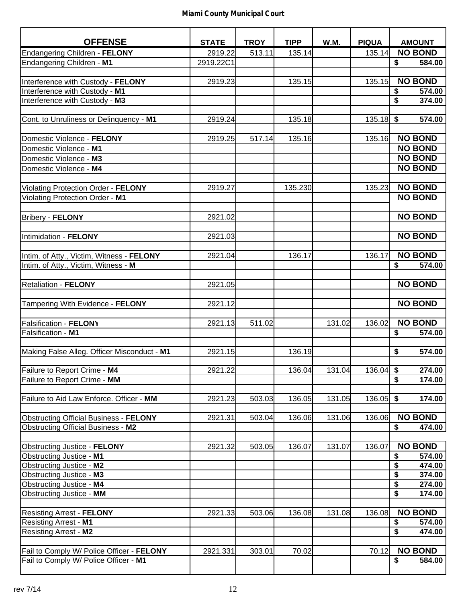| <b>OFFENSE</b>                                | <b>STATE</b> | <b>TROY</b> | <b>TIPP</b> | W.M.   | <b>PIQUA</b> | <b>AMOUNT</b>  |
|-----------------------------------------------|--------------|-------------|-------------|--------|--------------|----------------|
| Endangering Children - FELONY                 | 2919.22      | 513.11      | 135.14      |        | 135.14       | <b>NO BOND</b> |
| Endangering Children - M1                     | 2919.22C1    |             |             |        |              | \$<br>584.00   |
|                                               |              |             |             |        |              |                |
| Interference with Custody - FELONY            | 2919.23      |             | 135.15      |        | 135.15       | <b>NO BOND</b> |
| Interference with Custody - M1                |              |             |             |        |              | \$<br>574.00   |
| Interference with Custody - M3                |              |             |             |        |              | \$<br>374.00   |
|                                               |              |             |             |        |              |                |
| Cont. to Unruliness or Delinquency - M1       | 2919.24      |             | 135.18      |        | $135.18$ \$  | 574.00         |
|                                               |              |             |             |        |              |                |
| Domestic Violence - FELONY                    | 2919.25      | 517.14      | 135.16      |        | 135.16       | <b>NO BOND</b> |
| Domestic Violence - M1                        |              |             |             |        |              | <b>NO BOND</b> |
| Domestic Violence - M3                        |              |             |             |        |              | <b>NO BOND</b> |
| Domestic Violence - M4                        |              |             |             |        |              | <b>NO BOND</b> |
|                                               |              |             |             |        |              |                |
| Violating Protection Order - FELONY           | 2919.27      |             | 135.230     |        | 135.23       | <b>NO BOND</b> |
| Violating Protection Order - M1               |              |             |             |        |              | <b>NO BOND</b> |
|                                               |              |             |             |        |              |                |
| <b>Bribery - FELONY</b>                       | 2921.02      |             |             |        |              | <b>NO BOND</b> |
|                                               |              |             |             |        |              |                |
| Intimidation - FELONY                         | 2921.03      |             |             |        |              | <b>NO BOND</b> |
|                                               |              |             |             |        |              |                |
| Intim. of Atty., Victim, Witness - FELONY     | 2921.04      |             | 136.17      |        | 136.17       | <b>NO BOND</b> |
| Intim. of Atty., Victim, Witness - M          |              |             |             |        |              | \$<br>574.00   |
|                                               |              |             |             |        |              |                |
| <b>Retaliation - FELONY</b>                   | 2921.05      |             |             |        |              | <b>NO BOND</b> |
|                                               |              |             |             |        |              |                |
| Tampering With Evidence - FELONY              | 2921.12      |             |             |        |              | <b>NO BOND</b> |
|                                               |              |             |             |        |              |                |
| <b>Falsification - FELONY</b>                 | 2921.13      | 511.02      |             | 131.02 | 136.02       | <b>NO BOND</b> |
| Falsification - M1                            |              |             |             |        |              | \$<br>574.00   |
| Making False Alleg. Officer Misconduct - M1   | 2921.15      |             | 136.19      |        |              | \$<br>574.00   |
|                                               |              |             |             |        |              |                |
| Failure to Report Crime - M4                  | 2921.22      |             | 136.04      | 131.04 | $136.04$ \$  | 274.00         |
| Failure to Report Crime - MM                  |              |             |             |        |              | \$<br>174.00   |
|                                               |              |             |             |        |              |                |
| Failure to Aid Law Enforce. Officer - MM      | 2921.23      | 503.03      | 136.05      | 131.05 | 136.05       | \$<br>174.00   |
|                                               |              |             |             |        |              |                |
| <b>Obstructing Official Business - FELONY</b> | 2921.31      | 503.04      | 136.06      | 131.06 | 136.06       | <b>NO BOND</b> |
| <b>Obstructing Official Business - M2</b>     |              |             |             |        |              | \$<br>474.00   |
|                                               |              |             |             |        |              |                |
| <b>Obstructing Justice - FELONY</b>           | 2921.32      | 503.05      | 136.07      | 131.07 | 136.07       | <b>NO BOND</b> |
| Obstructing Justice - M1                      |              |             |             |        |              | \$<br>574.00   |
| Obstructing Justice - M2                      |              |             |             |        |              | \$<br>474.00   |
| Obstructing Justice - M3                      |              |             |             |        |              | \$<br>374.00   |
| Obstructing Justice - M4                      |              |             |             |        |              | \$<br>274.00   |
| Obstructing Justice - MM                      |              |             |             |        |              | \$<br>174.00   |
|                                               |              |             |             |        |              |                |
| <b>Resisting Arrest - FELONY</b>              | 2921.33      | 503.06      | 136.08      | 131.08 | 136.08       | <b>NO BOND</b> |
| <b>Resisting Arrest - M1</b>                  |              |             |             |        |              | \$<br>574.00   |
| <b>Resisting Arrest - M2</b>                  |              |             |             |        |              | \$<br>474.00   |
| Fail to Comply W/ Police Officer - FELONY     | 2921.331     | 303.01      | 70.02       |        | 70.12        | <b>NO BOND</b> |
| Fail to Comply W/ Police Officer - M1         |              |             |             |        |              | \$<br>584.00   |
|                                               |              |             |             |        |              |                |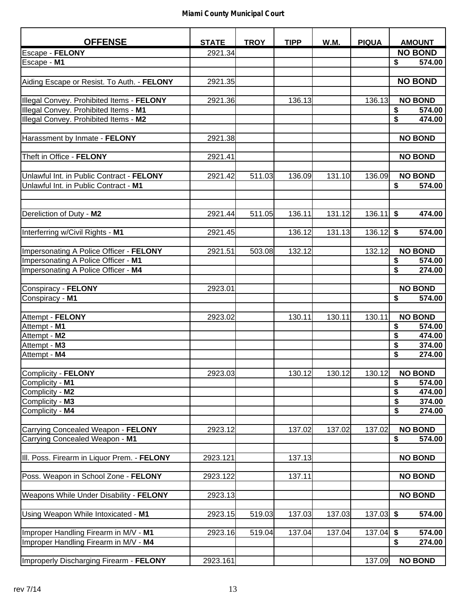| <b>OFFENSE</b>                              | <b>STATE</b> | <b>TROY</b> | <b>TIPP</b> | W.M.   | <b>PIQUA</b> | <b>AMOUNT</b>           |        |
|---------------------------------------------|--------------|-------------|-------------|--------|--------------|-------------------------|--------|
| Escape - FELONY                             | 2921.34      |             |             |        |              | <b>NO BOND</b>          |        |
| Escape - M1                                 |              |             |             |        |              | \$                      | 574.00 |
|                                             |              |             |             |        |              |                         |        |
| Aiding Escape or Resist. To Auth. - FELONY  | 2921.35      |             |             |        |              | <b>NO BOND</b>          |        |
|                                             |              |             |             |        |              |                         |        |
| Illegal Convey. Prohibited Items - FELONY   | 2921.36      |             | 136.13      |        | 136.13       | <b>NO BOND</b>          |        |
| Illegal Convey. Prohibited Items - M1       |              |             |             |        |              | \$                      | 574.00 |
| Illegal Convey. Prohibited Items - M2       |              |             |             |        |              | $\overline{\mathbf{S}}$ | 474.00 |
|                                             |              |             |             |        |              |                         |        |
| Harassment by Inmate - FELONY               | 2921.38      |             |             |        |              | <b>NO BOND</b>          |        |
|                                             |              |             |             |        |              |                         |        |
| Theft in Office - FELONY                    | 2921.41      |             |             |        |              | <b>NO BOND</b>          |        |
|                                             |              |             |             |        |              |                         |        |
| Unlawful Int. in Public Contract - FELONY   | 2921.42      | 511.03      | 136.09      | 131.10 | 136.09       | <b>NO BOND</b>          |        |
| Unlawful Int. in Public Contract - M1       |              |             |             |        |              | \$                      | 574.00 |
|                                             |              |             |             |        |              |                         |        |
|                                             |              |             |             |        |              |                         |        |
| Dereliction of Duty - M2                    | 2921.44      | 511.05      | 136.11      | 131.12 | 136.11       | \$                      | 474.00 |
|                                             |              |             |             |        |              |                         |        |
| Interferring w/Civil Rights - M1            | 2921.45      |             | 136.12      | 131.13 | 136.12       | \$                      | 574.00 |
|                                             |              |             |             |        |              |                         |        |
| Impersonating A Police Officer - FELONY     | 2921.51      | 503.08      | 132.12      |        | 132.12       | <b>NO BOND</b>          |        |
| Impersonating A Police Officer - M1         |              |             |             |        |              | \$                      | 574.00 |
| Impersonating A Police Officer - M4         |              |             |             |        |              | \$                      | 274.00 |
|                                             |              |             |             |        |              |                         |        |
| Conspiracy - FELONY                         | 2923.01      |             |             |        |              | <b>NO BOND</b>          |        |
| Conspiracy - M1                             |              |             |             |        |              | \$                      | 574.00 |
| Attempt - FELONY                            | 2923.02      |             | 130.11      | 130.11 | 130.11       | <b>NO BOND</b>          |        |
| Attempt - M1                                |              |             |             |        |              | \$                      | 574.00 |
| Attempt - M2                                |              |             |             |        |              | \$                      | 474.00 |
| Attempt - M3                                |              |             |             |        |              | \$                      | 374.00 |
| Attempt - M4                                |              |             |             |        |              | \$                      | 274.00 |
|                                             |              |             |             |        |              |                         |        |
| Complicity - FELONY                         | 2923.03      |             | 130.12      | 130.12 | 130.12       | <b>NO BOND</b>          |        |
| Complicity - M1                             |              |             |             |        |              | \$                      | 574.00 |
| Complicity - M2                             |              |             |             |        |              | \$                      | 474.00 |
| Complicity - M3                             |              |             |             |        |              | \$                      | 374.00 |
| Complicity - M4                             |              |             |             |        |              | \$                      | 274.00 |
|                                             |              |             |             |        |              |                         |        |
| Carrying Concealed Weapon - FELONY          | 2923.12      |             | 137.02      | 137.02 | 137.02       | <b>NO BOND</b>          |        |
| Carrying Concealed Weapon - M1              |              |             |             |        |              | \$                      | 574.00 |
|                                             |              |             |             |        |              |                         |        |
| III. Poss. Firearm in Liquor Prem. - FELONY | 2923.121     |             | 137.13      |        |              | <b>NO BOND</b>          |        |
|                                             |              |             |             |        |              |                         |        |
| Poss. Weapon in School Zone - FELONY        | 2923.122     |             | 137.11      |        |              | <b>NO BOND</b>          |        |
|                                             |              |             |             |        |              |                         |        |
| Weapons While Under Disability - FELONY     | 2923.13      |             |             |        |              | <b>NO BOND</b>          |        |
|                                             |              |             |             |        |              |                         |        |
| Using Weapon While Intoxicated - M1         | 2923.15      | 519.03      | 137.03      | 137.03 | $137.03$ \$  |                         | 574.00 |
| Improper Handling Firearm in M/V - M1       | 2923.16      | 519.04      | 137.04      | 137.04 | 137.04       | \$                      | 574.00 |
| Improper Handling Firearm in M/V - M4       |              |             |             |        |              | \$                      | 274.00 |
|                                             |              |             |             |        |              |                         |        |
| Improperly Discharging Firearm - FELONY     | 2923.161     |             |             |        | 137.09       | <b>NO BOND</b>          |        |
|                                             |              |             |             |        |              |                         |        |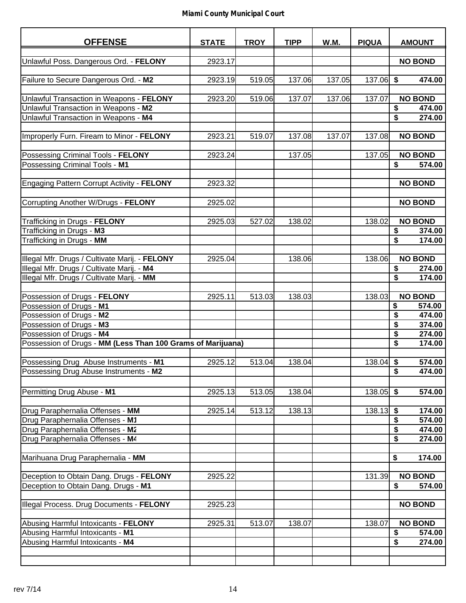| <b>OFFENSE</b>                                              | <b>STATE</b> | <b>TROY</b> | <b>TIPP</b> | W.M.   | <b>PIQUA</b> | <b>AMOUNT</b>                     |
|-------------------------------------------------------------|--------------|-------------|-------------|--------|--------------|-----------------------------------|
| Unlawful Poss. Dangerous Ord. - FELONY                      | 2923.17      |             |             |        |              | <b>NO BOND</b>                    |
|                                                             |              |             |             |        |              |                                   |
| Failure to Secure Dangerous Ord. - M2                       | 2923.19      | 519.05      | 137.06      | 137.05 | $137.06$ \$  | 474.00                            |
| Unlawful Transaction in Weapons - FELONY                    | 2923.20      | 519.06      | 137.07      | 137.06 | 137.07       | <b>NO BOND</b>                    |
| Unlawful Transaction in Weapons - M2                        |              |             |             |        |              | \$<br>474.00                      |
| Unlawful Transaction in Weapons - M4                        |              |             |             |        |              | \$<br>274.00                      |
|                                                             |              |             |             |        |              |                                   |
| Improperly Furn. Fiream to Minor - FELONY                   | 2923.21      | 519.07      | 137.08      | 137.07 | 137.08       | <b>NO BOND</b>                    |
| Possessing Criminal Tools - FELONY                          | 2923.24      |             | 137.05      |        | 137.05       | <b>NO BOND</b>                    |
| Possessing Criminal Tools - M1                              |              |             |             |        |              | \$<br>574.00                      |
|                                                             |              |             |             |        |              |                                   |
| <b>Engaging Pattern Corrupt Activity - FELONY</b>           | 2923.32      |             |             |        |              | <b>NO BOND</b>                    |
| Corrupting Another W/Drugs - FELONY                         | 2925.02      |             |             |        |              | <b>NO BOND</b>                    |
| Trafficking in Drugs - FELONY                               | 2925.03      | 527.02      | 138.02      |        | 138.02       | <b>NO BOND</b>                    |
| Trafficking in Drugs - M3                                   |              |             |             |        |              | \$<br>374.00                      |
| Trafficking in Drugs - MM                                   |              |             |             |        |              | \$<br>174.00                      |
|                                                             |              |             |             |        |              |                                   |
| Illegal Mfr. Drugs / Cultivate Marij. - FELONY              | 2925.04      |             | 138.06      |        | 138.06       | <b>NO BOND</b>                    |
| Illegal Mfr. Drugs / Cultivate Marij. - M4                  |              |             |             |        |              | \$<br>274.00                      |
| Illegal Mfr. Drugs / Cultivate Marij. - MM                  |              |             |             |        |              | \$<br>174.00                      |
| Possession of Drugs - FELONY                                | 2925.11      | 513.03      | 138.03      |        | 138.03       | <b>NO BOND</b>                    |
| Possession of Drugs - M1                                    |              |             |             |        |              | \$<br>574.00                      |
| Possession of Drugs - M2                                    |              |             |             |        |              | \$<br>474.00                      |
| Possession of Drugs - M3                                    |              |             |             |        |              | \$<br>374.00                      |
| Possession of Drugs - M4                                    |              |             |             |        |              | \$<br>274.00                      |
| Possession of Drugs - MM (Less Than 100 Grams of Marijuana) |              |             |             |        |              | \$<br>174.00                      |
| Possessing Drug Abuse Instruments - M1                      | 2925.12      | 513.04      | 138.04      |        | 138.04       | \$<br>574.00                      |
| Possessing Drug Abuse Instruments - M2                      |              |             |             |        |              | \$<br>474.00                      |
|                                                             |              |             |             |        |              |                                   |
| Permitting Drug Abuse - M1                                  | 2925.13      | 513.05      | 138.04      |        | 138.05       | $\overline{\mathbf{3}}$<br>574.00 |
| Drug Paraphernalia Offenses - MM                            | 2925.14      | 513.12      | 138.13      |        | 138.13       | \$<br>174.00                      |
| Drug Paraphernalia Offenses - M1                            |              |             |             |        |              | \$<br>574.00                      |
| Drug Paraphernalia Offenses - M2                            |              |             |             |        |              | \$<br>474.00                      |
| Drug Paraphernalia Offenses - M4                            |              |             |             |        |              | \$<br>274.00                      |
|                                                             |              |             |             |        |              |                                   |
| Marihuana Drug Paraphernalia - MM                           |              |             |             |        |              | \$<br>174.00                      |
| Deception to Obtain Dang. Drugs - FELONY                    | 2925.22      |             |             |        | 131.39       | <b>NO BOND</b>                    |
| Deception to Obtain Dang. Drugs - M1                        |              |             |             |        |              | \$<br>574.00                      |
|                                                             |              |             |             |        |              |                                   |
| Illegal Process. Drug Documents - FELONY                    | 2925.23      |             |             |        |              | <b>NO BOND</b>                    |
|                                                             |              |             |             |        |              |                                   |
| Abusing Harmful Intoxicants - FELONY                        | 2925.31      | 513.07      | 138.07      |        | 138.07       | <b>NO BOND</b>                    |
| Abusing Harmful Intoxicants - M1                            |              |             |             |        |              | \$<br>574.00                      |
| Abusing Harmful Intoxicants - M4                            |              |             |             |        |              | \$<br>274.00                      |
|                                                             |              |             |             |        |              |                                   |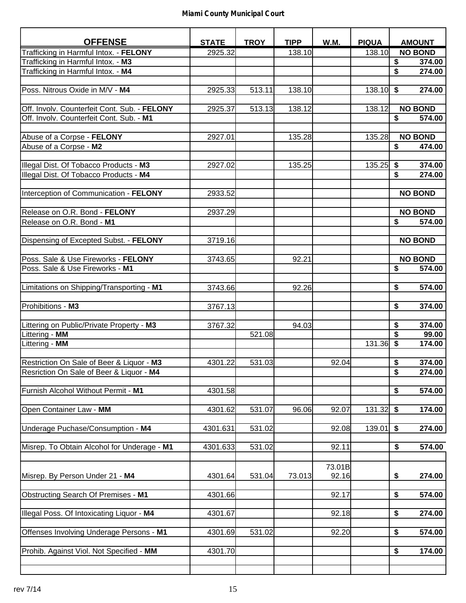| <b>OFFENSE</b>                                                                           | <b>STATE</b> | <b>TROY</b> | <b>TIPP</b> | W.M.   | <b>PIQUA</b> |                         | <b>AMOUNT</b>  |
|------------------------------------------------------------------------------------------|--------------|-------------|-------------|--------|--------------|-------------------------|----------------|
| Trafficking in Harmful Intox. - FELONY                                                   | 2925.32      |             | 138.10      |        | 138.10       |                         | <b>NO BOND</b> |
| Trafficking in Harmful Intox. - M3                                                       |              |             |             |        |              | \$                      | 374.00         |
| Trafficking in Harmful Intox. - M4                                                       |              |             |             |        |              | \$                      | 274.00         |
|                                                                                          |              |             |             |        |              |                         |                |
| Poss. Nitrous Oxide in M/V - M4                                                          | 2925.33      | 513.11      | 138.10      |        | 138.10       | \$                      | 274.00         |
|                                                                                          |              |             |             |        |              |                         |                |
| Off. Involv. Counterfeit Cont. Sub. - FELONY<br>Off. Involv. Counterfeit Cont. Sub. - M1 | 2925.37      | 513.13      | 138.12      |        | 138.12       | $\overline{\$}$         | <b>NO BOND</b> |
|                                                                                          |              |             |             |        |              |                         | 574.00         |
| Abuse of a Corpse - FELONY                                                               | 2927.01      |             | 135.28      |        | 135.28       |                         | <b>NO BOND</b> |
| Abuse of a Corpse - M2                                                                   |              |             |             |        |              | $\overline{\mathbf{s}}$ | 474.00         |
|                                                                                          |              |             |             |        |              |                         |                |
| Illegal Dist. Of Tobacco Products - M3                                                   | 2927.02      |             | 135.25      |        | 135.25       | \$                      | 374.00         |
| Illegal Dist. Of Tobacco Products - M4                                                   |              |             |             |        |              | \$                      | 274.00         |
|                                                                                          |              |             |             |        |              |                         |                |
| Interception of Communication - FELONY                                                   | 2933.52      |             |             |        |              |                         | <b>NO BOND</b> |
|                                                                                          |              |             |             |        |              |                         |                |
| Release on O.R. Bond - FELONY                                                            | 2937.29      |             |             |        |              |                         | <b>NO BOND</b> |
| Release on O.R. Bond - M1                                                                |              |             |             |        |              | \$                      | 574.00         |
| Dispensing of Excepted Subst. - FELONY                                                   | 3719.16      |             |             |        |              |                         | <b>NO BOND</b> |
|                                                                                          |              |             |             |        |              |                         |                |
| Poss. Sale & Use Fireworks - FELONY                                                      | 3743.65      |             | 92.21       |        |              |                         | <b>NO BOND</b> |
| Poss. Sale & Use Fireworks - M1                                                          |              |             |             |        |              | \$                      | 574.00         |
|                                                                                          |              |             |             |        |              |                         |                |
| Limitations on Shipping/Transporting - M1                                                | 3743.66      |             | 92.26       |        |              | \$                      | 574.00         |
|                                                                                          |              |             |             |        |              |                         |                |
| Prohibitions - M3                                                                        | 3767.13      |             |             |        |              | \$                      | 374.00         |
|                                                                                          |              |             |             |        |              | \$                      | 374.00         |
| Littering on Public/Private Property - M3<br>Littering - MM                              | 3767.32      | 521.08      | 94.03       |        |              | \$                      | 99.00          |
| Littering - MM                                                                           |              |             |             |        | 131.36       | \$                      | 174.00         |
|                                                                                          |              |             |             |        |              |                         |                |
| Restriction On Sale of Beer & Liquor - M3                                                | 4301.22      | 531.03      |             | 92.04  |              | $\overline{\$}$         | 374.00         |
| Resriction On Sale of Beer & Liquor - M4                                                 |              |             |             |        |              | \$                      | 274.00         |
|                                                                                          |              |             |             |        |              |                         |                |
| Furnish Alcohol Without Permit - M1                                                      | 4301.58      |             |             |        |              | \$                      | 574.00         |
|                                                                                          |              |             |             |        |              |                         |                |
| Open Container Law - MM                                                                  | 4301.62      | 531.07      | 96.06       | 92.07  | 131.32       | \$                      | 174.00         |
| Underage Puchase/Consumption - M4                                                        | 4301.631     | 531.02      |             | 92.08  | 139.01       | \$                      | 274.00         |
|                                                                                          |              |             |             |        |              |                         |                |
| Misrep. To Obtain Alcohol for Underage - M1                                              | 4301.633     | 531.02      |             | 92.11  |              | \$                      | 574.00         |
|                                                                                          |              |             |             |        |              |                         |                |
|                                                                                          |              |             |             | 73.01B |              |                         |                |
| Misrep. By Person Under 21 - M4                                                          | 4301.64      | 531.04      | 73.013      | 92.16  |              | \$                      | 274.00         |
|                                                                                          |              |             |             |        |              |                         |                |
| Obstructing Search Of Premises - M1                                                      | 4301.66      |             |             | 92.17  |              | \$                      | 574.00         |
|                                                                                          |              |             |             |        |              |                         |                |
| Illegal Poss. Of Intoxicating Liquor - M4                                                | 4301.67      |             |             | 92.18  |              | \$                      | 274.00         |
| Offenses Involving Underage Persons - M1                                                 | 4301.69      | 531.02      |             | 92.20  |              | \$                      | 574.00         |
|                                                                                          |              |             |             |        |              |                         |                |
| Prohib. Against Viol. Not Specified - MM                                                 | 4301.70      |             |             |        |              | \$                      | 174.00         |
|                                                                                          |              |             |             |        |              |                         |                |
|                                                                                          |              |             |             |        |              |                         |                |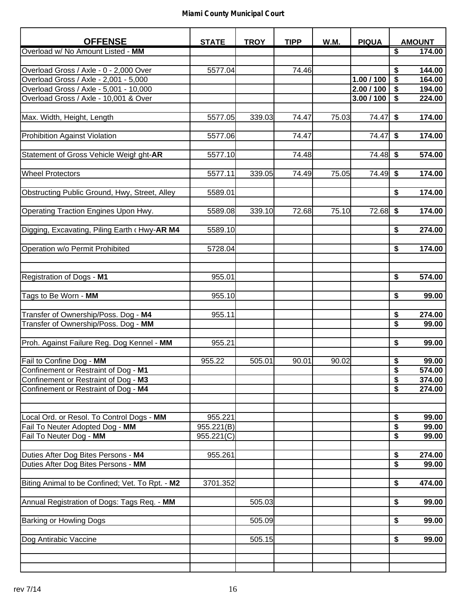| <b>OFFENSE</b>                                  | <b>STATE</b> | <b>TROY</b> | <b>TIPP</b> | W.M.  | <b>PIQUA</b> |                                      | <b>AMOUNT</b> |
|-------------------------------------------------|--------------|-------------|-------------|-------|--------------|--------------------------------------|---------------|
| Overload w/ No Amount Listed - MM               |              |             |             |       |              | $\overline{\boldsymbol{\mathsf{s}}}$ | 174.00        |
|                                                 |              |             |             |       |              |                                      |               |
| Overload Gross / Axle - 0 - 2,000 Over          | 5577.04      |             | 74.46       |       |              | \$                                   | 144.00        |
| Overload Gross / Axle - 2,001 - 5,000           |              |             |             |       | 1.00 / 100   | \$                                   | 164.00        |
| Overload Gross / Axle - 5,001 - 10,000          |              |             |             |       | 2.00 / 100   | \$                                   | 194.00        |
| Overload Gross / Axle - 10,001 & Over           |              |             |             |       | 3.00 / 100   | \$                                   | 224.00        |
|                                                 |              |             |             |       |              |                                      |               |
| Max. Width, Height, Length                      | 5577.05      | 339.03      | 74.47       | 75.03 | 74.47        | \$                                   | 174.00        |
|                                                 |              |             |             |       |              |                                      |               |
| <b>Prohibition Against Violation</b>            | 5577.06      |             | 74.47       |       | 74.47        | \$                                   | 174.00        |
|                                                 |              |             |             |       |              |                                      |               |
| Statement of Gross Vehicle Weigl ght-AR         | 5577.10      |             | 74.48       |       | $74.48$ \$   |                                      | 574.00        |
|                                                 |              |             |             |       |              |                                      |               |
| <b>Wheel Protectors</b>                         | 5577.11      | 339.05      | 74.49       | 75.05 | 74.49        | \$                                   | 174.00        |
|                                                 |              |             |             |       |              |                                      |               |
| Obstructing Public Ground, Hwy, Street, Alley   | 5589.01      |             |             |       |              | \$                                   | 174.00        |
|                                                 |              |             |             |       |              |                                      |               |
| Operating Traction Engines Upon Hwy.            | 5589.08      | 339.10      | 72.68       | 75.10 | 72.68        | \$                                   | 174.00        |
|                                                 |              |             |             |       |              |                                      |               |
|                                                 |              |             |             |       |              |                                      |               |
| Digging, Excavating, Piling Earth (Hwy-AR M4    | 5589.10      |             |             |       |              | \$                                   | 274.00        |
|                                                 |              |             |             |       |              |                                      |               |
| Operation w/o Permit Prohibited                 | 5728.04      |             |             |       |              | \$                                   | 174.00        |
|                                                 |              |             |             |       |              |                                      |               |
|                                                 |              |             |             |       |              |                                      |               |
| Registration of Dogs - M1                       | 955.01       |             |             |       |              | \$                                   | 574.00        |
|                                                 |              |             |             |       |              |                                      |               |
| Tags to Be Worn - MM                            | 955.10       |             |             |       |              | \$                                   | 99.00         |
|                                                 |              |             |             |       |              |                                      |               |
| Transfer of Ownership/Poss. Dog - M4            | 955.11       |             |             |       |              | \$                                   | 274.00        |
| Transfer of Ownership/Poss. Dog - MM            |              |             |             |       |              | \$                                   | 99.00         |
|                                                 |              |             |             |       |              |                                      |               |
| Proh. Against Failure Reg. Dog Kennel - MM      | 955.21       |             |             |       |              | \$                                   | 99.00         |
|                                                 |              |             |             |       |              |                                      |               |
| Fail to Confine Dog - MM                        | 955.22       | 505.01      | 90.01       | 90.02 |              | \$                                   | 99.00         |
| Confinement or Restraint of Dog - M1            |              |             |             |       |              | $\overline{\mathbf{S}}$              | 574.00        |
| Confinement or Restraint of Dog - M3            |              |             |             |       |              | $\overline{\boldsymbol{\mathsf{s}}}$ | 374.00        |
| Confinement or Restraint of Dog - M4            |              |             |             |       |              | $\overline{\$}$                      | 274.00        |
|                                                 |              |             |             |       |              |                                      |               |
|                                                 |              |             |             |       |              |                                      |               |
| Local Ord. or Resol. To Control Dogs - MM       | 955.221      |             |             |       |              | \$                                   | 99.00         |
| Fail To Neuter Adopted Dog - MM                 | 955.221(B)   |             |             |       |              | \$                                   | 99.00         |
| Fail To Neuter Dog - MM                         | 955.221(C)   |             |             |       |              | \$                                   | 99.00         |
|                                                 |              |             |             |       |              |                                      |               |
| Duties After Dog Bites Persons - M4             | 955.261      |             |             |       |              | \$                                   | 274.00        |
| Duties After Dog Bites Persons - MM             |              |             |             |       |              | \$                                   | 99.00         |
|                                                 |              |             |             |       |              |                                      |               |
| Biting Animal to be Confined; Vet. To Rpt. - M2 | 3701.352     |             |             |       |              | \$                                   | 474.00        |
|                                                 |              |             |             |       |              |                                      |               |
| Annual Registration of Dogs: Tags Req. - MM     |              | 505.03      |             |       |              | \$                                   | 99.00         |
|                                                 |              |             |             |       |              |                                      |               |
| Barking or Howling Dogs                         |              | 505.09      |             |       |              | \$                                   | 99.00         |
|                                                 |              |             |             |       |              |                                      |               |
| Dog Antirabic Vaccine                           |              | 505.15      |             |       |              | \$                                   | 99.00         |
|                                                 |              |             |             |       |              |                                      |               |
|                                                 |              |             |             |       |              |                                      |               |
|                                                 |              |             |             |       |              |                                      |               |
|                                                 |              |             |             |       |              |                                      |               |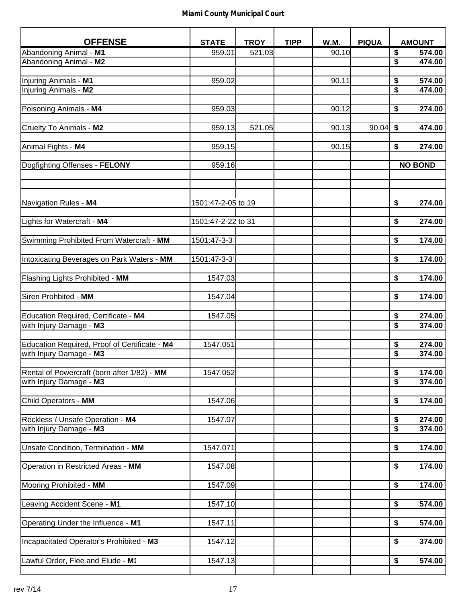| <b>OFFENSE</b>                                | <b>STATE</b>       | <b>TROY</b> | <b>TIPP</b> | W.M.  | <b>PIQUA</b> | <b>AMOUNT</b>                                  |
|-----------------------------------------------|--------------------|-------------|-------------|-------|--------------|------------------------------------------------|
| Abandoning Animal - M1                        | 959.01             | 521.03      |             | 90.10 |              | \$<br>574.00                                   |
| Abandoning Animal - M2                        |                    |             |             |       |              | \$<br>474.00                                   |
|                                               |                    |             |             |       |              |                                                |
| Injuring Animals - M1                         | 959.02             |             |             | 90.11 |              | \$<br>574.00                                   |
| Injuring Animals - M2                         |                    |             |             |       |              | \$<br>474.00                                   |
|                                               |                    |             |             |       |              |                                                |
| Poisoning Animals - M4                        | 959.03             |             |             | 90.12 |              | \$<br>274.00                                   |
|                                               |                    |             |             |       |              |                                                |
| Cruelty To Animals - M2                       | 959.13             | 521.05      |             | 90.13 | 90.04        | \$<br>474.00                                   |
|                                               |                    |             |             |       |              |                                                |
| Animal Fights - M4                            | 959.15             |             |             | 90.15 |              | \$<br>274.00                                   |
|                                               |                    |             |             |       |              |                                                |
| Dogfighting Offenses - FELONY                 | 959.16             |             |             |       |              | <b>NO BOND</b>                                 |
|                                               |                    |             |             |       |              |                                                |
|                                               |                    |             |             |       |              |                                                |
|                                               |                    |             |             |       |              |                                                |
| Navigation Rules - M4                         | 1501:47-2-05 to 19 |             |             |       |              | \$<br>274.00                                   |
|                                               |                    |             |             |       |              |                                                |
| Lights for Watercraft - M4                    | 1501:47-2-22 to 31 |             |             |       |              | \$<br>274.00                                   |
|                                               |                    |             |             |       |              |                                                |
| Swimming Prohibited From Watercraft - MM      | 1501:47-3-3        |             |             |       |              | \$<br>174.00                                   |
|                                               |                    |             |             |       |              |                                                |
| Intoxicating Beverages on Park Waters - MM    | 1501:47-3-3        |             |             |       |              | $\overline{\$}$<br>174.00                      |
|                                               |                    |             |             |       |              |                                                |
| Flashing Lights Prohibited - MM               | 1547.03            |             |             |       |              | \$<br>174.00                                   |
|                                               |                    |             |             |       |              |                                                |
| Siren Prohbited - MM                          | 1547.04            |             |             |       |              | \$<br>174.00                                   |
|                                               |                    |             |             |       |              |                                                |
| Education Required, Certificate - M4          | 1547.05            |             |             |       |              | \$<br>274.00                                   |
| with Injury Damage - M3                       |                    |             |             |       |              | $\overline{\boldsymbol{\mathsf{s}}}$<br>374.00 |
|                                               |                    |             |             |       |              |                                                |
| Education Required, Proof of Certificate - M4 | 1547.051           |             |             |       |              | \$<br>274.00                                   |
| with Injury Damage - M3                       |                    |             |             |       |              | \$<br>374.00                                   |
|                                               |                    |             |             |       |              |                                                |
| Rental of Powercraft (born after 1/82) - MM   | 1547.052           |             |             |       |              | $\frac{1}{2}$<br>174.00                        |
| with Injury Damage - M3                       |                    |             |             |       |              | $\overline{\mathbf{s}}$<br>374.00              |
|                                               |                    |             |             |       |              |                                                |
| Child Operators - MM                          | 1547.06            |             |             |       |              | \$<br>174.00                                   |
|                                               |                    |             |             |       |              |                                                |
| Reckless / Unsafe Operation - M4              | 1547.07            |             |             |       |              | \$<br>274.00                                   |
| with Injury Damage - M3                       |                    |             |             |       |              | \$<br>374.00                                   |
|                                               |                    |             |             |       |              |                                                |
| Unsafe Condition, Termination - MM            | 1547.071           |             |             |       |              | \$<br>174.00                                   |
|                                               |                    |             |             |       |              |                                                |
| Operation in Restricted Areas - MM            | 1547.08            |             |             |       |              | \$<br>174.00                                   |
|                                               |                    |             |             |       |              |                                                |
| Mooring Prohibited - MM                       | 1547.09            |             |             |       |              | \$<br>174.00                                   |
|                                               |                    |             |             |       |              |                                                |
| Leaving Accident Scene - M1                   | 1547.10            |             |             |       |              | \$<br>574.00                                   |
|                                               |                    |             |             |       |              |                                                |
| Operating Under the Influence - M1            | 1547.11            |             |             |       |              | \$<br>574.00                                   |
|                                               |                    |             |             |       |              |                                                |
| Incapacitated Operator's Prohibited - M3      | 1547.12            |             |             |       |              | \$<br>374.00                                   |
|                                               |                    |             |             |       |              |                                                |
| Lawful Order, Flee and Elude - M1             | 1547.13            |             |             |       |              | \$<br>574.00                                   |
|                                               |                    |             |             |       |              |                                                |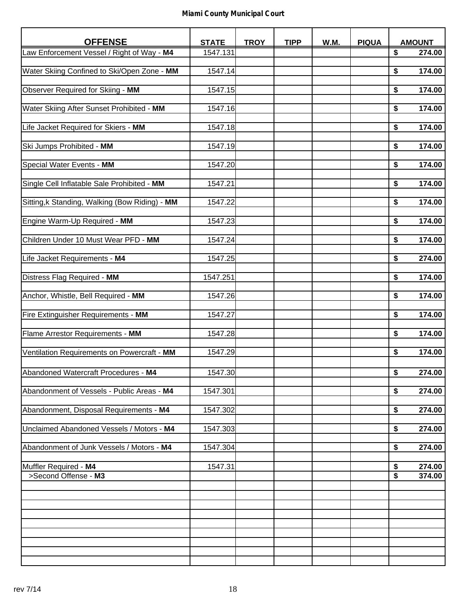| <b>OFFENSE</b>                                 | <b>STATE</b> | <b>TROY</b> | <b>TIPP</b> | W.M. | <b>PIQUA</b> |          | <b>AMOUNT</b>    |
|------------------------------------------------|--------------|-------------|-------------|------|--------------|----------|------------------|
| Law Enforcement Vessel / Right of Way - M4     | 1547.131     |             |             |      |              | \$       | 274.00           |
|                                                |              |             |             |      |              |          |                  |
| Water Skiing Confined to Ski/Open Zone - MM    | 1547.14      |             |             |      |              | \$       | 174.00           |
| Observer Required for Skiing - MM              | 1547.15      |             |             |      |              | \$       | 174.00           |
|                                                |              |             |             |      |              |          |                  |
| Water Skiing After Sunset Prohibited - MM      | 1547.16      |             |             |      |              | \$       | 174.00           |
|                                                |              |             |             |      |              |          | 174.00           |
| Life Jacket Required for Skiers - MM           | 1547.18      |             |             |      |              | \$       |                  |
| Ski Jumps Prohibited - MM                      | 1547.19      |             |             |      |              | \$       | 174.00           |
|                                                |              |             |             |      |              |          |                  |
| Special Water Events - MM                      | 1547.20      |             |             |      |              | \$       | 174.00           |
| Single Cell Inflatable Sale Prohibited - MM    | 1547.21      |             |             |      |              | \$       | 174.00           |
|                                                |              |             |             |      |              |          |                  |
| Sitting, k Standing, Walking (Bow Riding) - MM | 1547.22      |             |             |      |              | \$       | 174.00           |
|                                                |              |             |             |      |              |          |                  |
| Engine Warm-Up Required - MM                   | 1547.23      |             |             |      |              | \$       | 174.00           |
| Children Under 10 Must Wear PFD - MM           | 1547.24      |             |             |      |              | \$       | 174.00           |
|                                                |              |             |             |      |              |          |                  |
| Life Jacket Requirements - M4                  | 1547.25      |             |             |      |              | \$       | 274.00           |
|                                                |              |             |             |      |              |          |                  |
| Distress Flag Required - MM                    | 1547.251     |             |             |      |              | \$       | 174.00           |
| Anchor, Whistle, Bell Required - MM            | 1547.26      |             |             |      |              | \$       | 174.00           |
|                                                |              |             |             |      |              |          |                  |
| Fire Extinguisher Requirements - MM            | 1547.27      |             |             |      |              | \$       | 174.00           |
|                                                |              |             |             |      |              |          |                  |
| Flame Arrestor Requirements - MM               | 1547.28      |             |             |      |              | \$       | 174.00           |
| Ventilation Requirements on Powercraft - MM    | 1547.29      |             |             |      |              | \$       | 174.00           |
|                                                |              |             |             |      |              |          |                  |
| Abandoned Watercraft Procedures - M4           | 1547.30      |             |             |      |              | \$       | 274.00           |
|                                                |              |             |             |      |              |          |                  |
| Abandonment of Vessels - Public Areas - M4     | 1547.301     |             |             |      |              | \$       | 274.00           |
|                                                |              |             |             |      |              |          |                  |
| Abandonment, Disposal Requirements - M4        | 1547.302     |             |             |      |              | \$       | 274.00           |
| Unclaimed Abandoned Vessels / Motors - M4      | 1547.303     |             |             |      |              | \$       | 274.00           |
|                                                |              |             |             |      |              |          |                  |
| Abandonment of Junk Vessels / Motors - M4      | 1547.304     |             |             |      |              | \$       | 274.00           |
|                                                |              |             |             |      |              |          |                  |
| Muffler Required - M4<br>>Second Offense - M3  | 1547.31      |             |             |      |              | \$<br>\$ | 274.00<br>374.00 |
|                                                |              |             |             |      |              |          |                  |
|                                                |              |             |             |      |              |          |                  |
|                                                |              |             |             |      |              |          |                  |
|                                                |              |             |             |      |              |          |                  |
|                                                |              |             |             |      |              |          |                  |
|                                                |              |             |             |      |              |          |                  |
|                                                |              |             |             |      |              |          |                  |
|                                                |              |             |             |      |              |          |                  |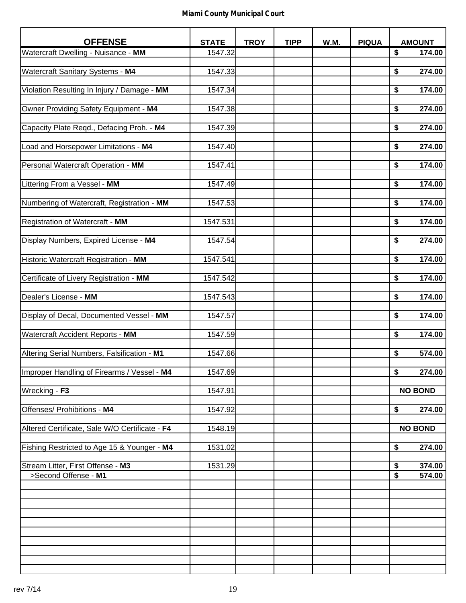| <b>OFFENSE</b>                                            | <b>STATE</b> | <b>TROY</b> | <b>TIPP</b> | W.M. | <b>PIQUA</b> | <b>AMOUNT</b>                                     |
|-----------------------------------------------------------|--------------|-------------|-------------|------|--------------|---------------------------------------------------|
| Watercraft Dwelling - Nuisance - MM                       | 1547.32      |             |             |      |              | \$<br>174.00                                      |
|                                                           |              |             |             |      |              |                                                   |
| Watercraft Sanitary Systems - M4                          | 1547.33      |             |             |      |              | 274.00<br>\$                                      |
| Violation Resulting In Injury / Damage - MM               | 1547.34      |             |             |      |              | \$<br>174.00                                      |
|                                                           |              |             |             |      |              |                                                   |
| Owner Providing Safety Equipment - M4                     | 1547.38      |             |             |      |              | \$<br>274.00                                      |
|                                                           |              |             |             |      |              |                                                   |
| Capacity Plate Reqd., Defacing Proh. - M4                 | 1547.39      |             |             |      |              | \$<br>274.00                                      |
| Load and Horsepower Limitations - M4                      | 1547.40      |             |             |      |              | \$<br>274.00                                      |
|                                                           |              |             |             |      |              |                                                   |
| Personal Watercraft Operation - MM                        | 1547.41      |             |             |      |              | \$<br>174.00                                      |
|                                                           |              |             |             |      |              |                                                   |
| Littering From a Vessel - MM                              | 1547.49      |             |             |      |              | \$<br>174.00                                      |
| Numbering of Watercraft, Registration - MM                | 1547.53      |             |             |      |              | \$<br>174.00                                      |
|                                                           |              |             |             |      |              |                                                   |
| Registration of Watercraft - MM                           | 1547.531     |             |             |      |              | \$<br>174.00                                      |
|                                                           |              |             |             |      |              |                                                   |
| Display Numbers, Expired License - M4                     | 1547.54      |             |             |      |              | \$<br>274.00                                      |
| Historic Watercraft Registration - MM                     | 1547.541     |             |             |      |              | \$<br>174.00                                      |
|                                                           |              |             |             |      |              |                                                   |
| Certificate of Livery Registration - MM                   | 1547.542     |             |             |      |              | \$<br>174.00                                      |
|                                                           |              |             |             |      |              |                                                   |
| Dealer's License - MM                                     | 1547.543     |             |             |      |              | \$<br>174.00                                      |
| Display of Decal, Documented Vessel - MM                  | 1547.57      |             |             |      |              | \$<br>174.00                                      |
|                                                           |              |             |             |      |              |                                                   |
| Watercraft Accident Reports - MM                          | 1547.59      |             |             |      |              | \$<br>174.00                                      |
|                                                           |              |             |             |      |              |                                                   |
| Altering Serial Numbers, Falsification - M1               | 1547.66      |             |             |      |              | \$<br>574.00                                      |
| Improper Handling of Firearms / Vessel - M4               | 1547.69      |             |             |      |              | \$<br>274.00                                      |
|                                                           |              |             |             |      |              |                                                   |
| Wrecking - F3                                             | 1547.91      |             |             |      |              | <b>NO BOND</b>                                    |
|                                                           |              |             |             |      |              |                                                   |
| Offenses/ Prohibitions - M4                               | 1547.92      |             |             |      |              | 274.00<br>\$                                      |
| Altered Certificate, Sale W/O Certificate - F4            | 1548.19      |             |             |      |              | <b>NO BOND</b>                                    |
|                                                           |              |             |             |      |              |                                                   |
| Fishing Restricted to Age 15 & Younger - M4               | 1531.02      |             |             |      |              | \$<br>274.00                                      |
|                                                           |              |             |             |      |              |                                                   |
| Stream Litter, First Offense - M3<br>>Second Offense - M1 | 1531.29      |             |             |      |              | \$<br>374.00<br>$\overline{\mathbf{S}}$<br>574.00 |
|                                                           |              |             |             |      |              |                                                   |
|                                                           |              |             |             |      |              |                                                   |
|                                                           |              |             |             |      |              |                                                   |
|                                                           |              |             |             |      |              |                                                   |
|                                                           |              |             |             |      |              |                                                   |
|                                                           |              |             |             |      |              |                                                   |
|                                                           |              |             |             |      |              |                                                   |
|                                                           |              |             |             |      |              |                                                   |
|                                                           |              |             |             |      |              |                                                   |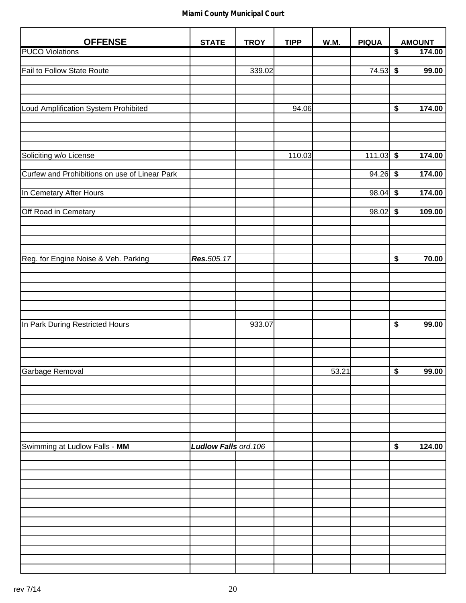| <b>OFFENSE</b>                                | <b>STATE</b>          | <b>TROY</b> | <b>TIPP</b> | <b>W.M.</b> | <b>PIQUA</b> |                                      | <b>AMOUNT</b> |
|-----------------------------------------------|-----------------------|-------------|-------------|-------------|--------------|--------------------------------------|---------------|
| <b>PUCO Violations</b>                        |                       |             |             |             |              | $\overline{\$}$                      | 174.00        |
|                                               |                       |             |             |             |              |                                      |               |
| <b>Fail to Follow State Route</b>             |                       | 339.02      |             |             | 74.53        | $\overline{\$}$                      | 99.00         |
|                                               |                       |             |             |             |              |                                      |               |
|                                               |                       |             |             |             |              |                                      |               |
|                                               |                       |             |             |             |              |                                      |               |
| Loud Amplification System Prohibited          |                       |             | 94.06       |             |              | \$                                   | 174.00        |
|                                               |                       |             |             |             |              |                                      |               |
|                                               |                       |             |             |             |              |                                      |               |
|                                               |                       |             |             |             |              |                                      |               |
| Soliciting w/o License                        |                       |             | 110.03      |             | 111.03       | $\overline{\boldsymbol{\mathsf{s}}}$ | 174.00        |
|                                               |                       |             |             |             |              |                                      |               |
| Curfew and Prohibitions on use of Linear Park |                       |             |             |             | $94.26$ \$   |                                      | 174.00        |
|                                               |                       |             |             |             |              |                                      |               |
| In Cemetary After Hours                       |                       |             |             |             | 98.04        | \$                                   | 174.00        |
|                                               |                       |             |             |             |              |                                      |               |
| Off Road in Cemetary                          |                       |             |             |             | 98.02        | \$                                   | 109.00        |
|                                               |                       |             |             |             |              |                                      |               |
|                                               |                       |             |             |             |              |                                      |               |
|                                               |                       |             |             |             |              |                                      |               |
| Reg. for Engine Noise & Veh. Parking          | Res.505.17            |             |             |             |              | $\overline{\$}$                      | 70.00         |
|                                               |                       |             |             |             |              |                                      |               |
|                                               |                       |             |             |             |              |                                      |               |
|                                               |                       |             |             |             |              |                                      |               |
|                                               |                       |             |             |             |              |                                      |               |
|                                               |                       |             |             |             |              |                                      |               |
|                                               |                       |             |             |             |              |                                      |               |
| In Park During Restricted Hours               |                       | 933.07      |             |             |              | $\overline{\boldsymbol{\mathsf{s}}}$ | 99.00         |
|                                               |                       |             |             |             |              |                                      |               |
|                                               |                       |             |             |             |              |                                      |               |
|                                               |                       |             |             |             |              |                                      |               |
|                                               |                       |             |             |             |              |                                      |               |
| Garbage Removal                               |                       |             |             | 53.21       |              | $\overline{\mathbf{S}}$              | 99.00         |
|                                               |                       |             |             |             |              |                                      |               |
|                                               |                       |             |             |             |              |                                      |               |
|                                               |                       |             |             |             |              |                                      |               |
|                                               |                       |             |             |             |              |                                      |               |
|                                               |                       |             |             |             |              |                                      |               |
|                                               |                       |             |             |             |              |                                      |               |
| Swimming at Ludlow Falls - MM                 | Ludlow Falls ord. 106 |             |             |             |              | \$                                   | 124.00        |
|                                               |                       |             |             |             |              |                                      |               |
|                                               |                       |             |             |             |              |                                      |               |
|                                               |                       |             |             |             |              |                                      |               |
|                                               |                       |             |             |             |              |                                      |               |
|                                               |                       |             |             |             |              |                                      |               |
|                                               |                       |             |             |             |              |                                      |               |
|                                               |                       |             |             |             |              |                                      |               |
|                                               |                       |             |             |             |              |                                      |               |
|                                               |                       |             |             |             |              |                                      |               |
|                                               |                       |             |             |             |              |                                      |               |
|                                               |                       |             |             |             |              |                                      |               |
|                                               |                       |             |             |             |              |                                      |               |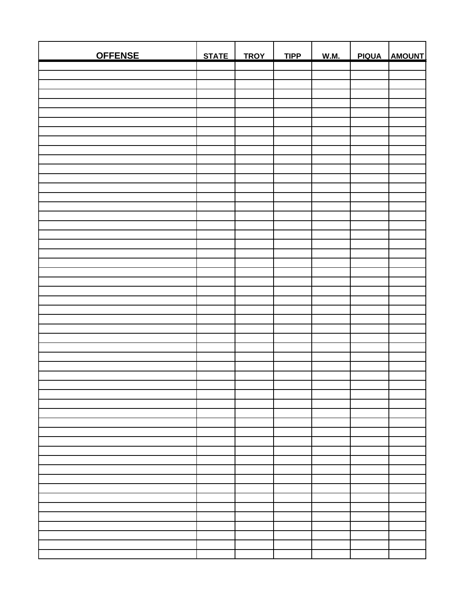| <b>OFFENSE</b> | STATE | <b>TROY</b> | <b>TIPP</b> | <b>W.M.</b> | PIQUA AMOUNT |
|----------------|-------|-------------|-------------|-------------|--------------|
|                |       |             |             |             |              |
|                |       |             |             |             |              |
|                |       |             |             |             |              |
|                |       |             |             |             |              |
|                |       |             |             |             |              |
|                |       |             |             |             |              |
|                |       |             |             |             |              |
|                |       |             |             |             |              |
|                |       |             |             |             |              |
|                |       |             |             |             |              |
|                |       |             |             |             |              |
|                |       |             |             |             |              |
|                |       |             |             |             |              |
|                |       |             |             |             |              |
|                |       |             |             |             |              |
|                |       |             |             |             |              |
|                |       |             |             |             |              |
|                |       |             |             |             |              |
|                |       |             |             |             |              |
|                |       |             |             |             |              |
|                |       |             |             |             |              |
|                |       |             |             |             |              |
|                |       |             |             |             |              |
|                |       |             |             |             |              |
|                |       |             |             |             |              |
|                |       |             |             |             |              |
|                |       |             |             |             |              |
|                |       |             |             |             |              |
|                |       |             |             |             |              |
|                |       |             |             |             |              |
|                |       |             |             |             |              |
|                |       |             |             |             |              |
|                |       |             |             |             |              |
|                |       |             |             |             |              |
|                |       |             |             |             |              |
|                |       |             |             |             |              |
|                |       |             |             |             |              |
|                |       |             |             |             |              |
|                |       |             |             |             |              |
|                |       |             |             |             |              |
|                |       |             |             |             |              |
|                |       |             |             |             |              |
|                |       |             |             |             |              |
|                |       |             |             |             |              |
|                |       |             |             |             |              |
|                |       |             |             |             |              |
|                |       |             |             |             |              |
|                |       |             |             |             |              |
|                |       |             |             |             |              |
|                |       |             |             |             |              |
|                |       |             |             |             |              |
|                |       |             |             |             |              |
|                |       |             |             |             |              |
|                |       |             |             |             |              |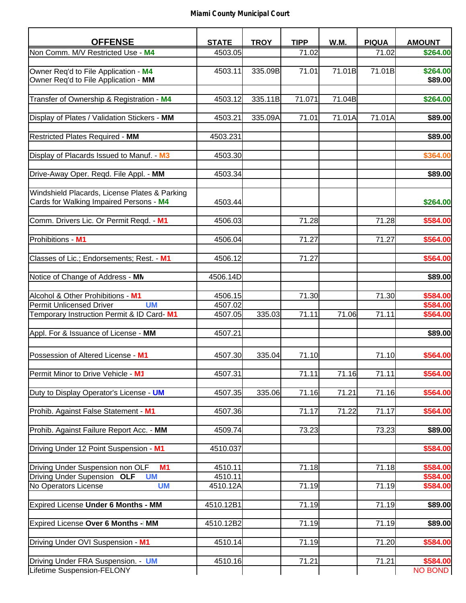| Non Comm. M/V Restricted Use - M4<br>4503.05<br>71.02<br>71.02<br>\$264.00<br>\$264.00<br>335.09B<br>71.01<br>71.01B<br>71.01B<br>4503.11<br>Owner Req'd to File Application - MM<br>\$89.00<br>335.11B<br>71.04B<br>Transfer of Ownership & Registration - M4<br>4503.12<br>71.071<br>Display of Plates / Validation Stickers - MM<br>4503.21<br>335.09A<br>71.01<br>71.01A<br>71.01A<br><b>Restricted Plates Required - MM</b><br>4503.231<br>Display of Placards Issued to Manuf. - M3<br>4503.30<br>4503.34<br>Windshield Placards, License Plates & Parking<br>Cards for Walking Impaired Persons - M4<br>4503.44<br>Comm. Drivers Lic. Or Permit Reqd. - M1<br>4506.03<br>71.28<br>71.28<br>Prohibitions - M1<br>71.27<br>71.27<br>4506.04<br>71.27<br>Classes of Lic.; Endorsements; Rest. - M1<br>4506.12<br>Notice of Change of Address - MN<br>4506.14D<br>Alcohol & Other Prohibitions - M1<br>71.30<br>71.30<br>4506.15<br><b>Permit Unlicensed Driver</b><br><b>UM</b><br>4507.02<br>Temporary Instruction Permit & ID Card-M1<br>71.11<br>4507.05<br>335.03<br>71.06<br>71.11<br>Appl. For & Issuance of License - MM<br>4507.21<br>Possession of Altered License - M1<br>4507.30<br>335.04<br>71.10<br>71.10<br>Permit Minor to Drive Vehicle - M1<br>4507.31<br>71.11<br>71.16<br>71.11<br>Duty to Display Operator's License - UM<br>4507.35<br>335.06<br>71.16<br>71.21<br>71.16<br>71.17<br>71.22<br>71.17<br>4507.36<br>73.23<br>73.23<br>4509.74<br>Driving Under 12 Point Suspension - M1<br>4510.037<br>Driving Under Suspension non OLF<br>M <sub>1</sub><br>4510.11<br>71.18<br>71.18<br><b>UM</b><br>Driving Under Supension<br>4510.11<br><b>OLF</b><br>No Operators License<br><b>UM</b><br>4510.12A<br>71.19<br>71.19<br>Expired License Under 6 Months - MM<br>71.19<br>71.19<br>4510.12B1<br>Expired License Over 6 Months - MM<br>4510.12B2<br>71.19<br>71.19<br>Driving Under OVI Suspension - M1<br>4510.14<br>71.19<br>71.20<br>71.21<br>71.21<br>4510.16 | <b>OFFENSE</b>                           | <b>STATE</b> | <b>TROY</b> | <b>TIPP</b> | W.M. | <b>PIQUA</b> | <b>AMOUNT</b> |
|----------------------------------------------------------------------------------------------------------------------------------------------------------------------------------------------------------------------------------------------------------------------------------------------------------------------------------------------------------------------------------------------------------------------------------------------------------------------------------------------------------------------------------------------------------------------------------------------------------------------------------------------------------------------------------------------------------------------------------------------------------------------------------------------------------------------------------------------------------------------------------------------------------------------------------------------------------------------------------------------------------------------------------------------------------------------------------------------------------------------------------------------------------------------------------------------------------------------------------------------------------------------------------------------------------------------------------------------------------------------------------------------------------------------------------------------------------------------------------------------------------------------------------------------------------------------------------------------------------------------------------------------------------------------------------------------------------------------------------------------------------------------------------------------------------------------------------------------------------------------------------------------------------------------------------------------------------------------------------------------|------------------------------------------|--------------|-------------|-------------|------|--------------|---------------|
|                                                                                                                                                                                                                                                                                                                                                                                                                                                                                                                                                                                                                                                                                                                                                                                                                                                                                                                                                                                                                                                                                                                                                                                                                                                                                                                                                                                                                                                                                                                                                                                                                                                                                                                                                                                                                                                                                                                                                                                              |                                          |              |             |             |      |              |               |
|                                                                                                                                                                                                                                                                                                                                                                                                                                                                                                                                                                                                                                                                                                                                                                                                                                                                                                                                                                                                                                                                                                                                                                                                                                                                                                                                                                                                                                                                                                                                                                                                                                                                                                                                                                                                                                                                                                                                                                                              |                                          |              |             |             |      |              |               |
| \$264.00<br>\$89.00                                                                                                                                                                                                                                                                                                                                                                                                                                                                                                                                                                                                                                                                                                                                                                                                                                                                                                                                                                                                                                                                                                                                                                                                                                                                                                                                                                                                                                                                                                                                                                                                                                                                                                                                                                                                                                                                                                                                                                          | Owner Req'd to File Application - M4     |              |             |             |      |              |               |
|                                                                                                                                                                                                                                                                                                                                                                                                                                                                                                                                                                                                                                                                                                                                                                                                                                                                                                                                                                                                                                                                                                                                                                                                                                                                                                                                                                                                                                                                                                                                                                                                                                                                                                                                                                                                                                                                                                                                                                                              |                                          |              |             |             |      |              |               |
|                                                                                                                                                                                                                                                                                                                                                                                                                                                                                                                                                                                                                                                                                                                                                                                                                                                                                                                                                                                                                                                                                                                                                                                                                                                                                                                                                                                                                                                                                                                                                                                                                                                                                                                                                                                                                                                                                                                                                                                              |                                          |              |             |             |      |              |               |
|                                                                                                                                                                                                                                                                                                                                                                                                                                                                                                                                                                                                                                                                                                                                                                                                                                                                                                                                                                                                                                                                                                                                                                                                                                                                                                                                                                                                                                                                                                                                                                                                                                                                                                                                                                                                                                                                                                                                                                                              |                                          |              |             |             |      |              |               |
| \$89.00<br>\$364.00<br>\$89.00<br>\$264.00<br>\$584.00<br>\$564.00<br>\$564.00<br>\$89.00<br>\$584.00<br>\$584.00<br>\$564.00<br>\$89.00<br>\$564.00<br>\$564.00<br>\$564.00<br>\$564.00<br>\$89.00<br>\$584.00<br>\$584.00<br>\$584.00<br>\$584.00<br>\$89.00<br>\$89.00<br>\$584.00<br>\$584.00<br>NO BOND                                                                                                                                                                                                                                                                                                                                                                                                                                                                                                                                                                                                                                                                                                                                                                                                                                                                                                                                                                                                                                                                                                                                                                                                                                                                                                                                                                                                                                                                                                                                                                                                                                                                                 |                                          |              |             |             |      |              |               |
|                                                                                                                                                                                                                                                                                                                                                                                                                                                                                                                                                                                                                                                                                                                                                                                                                                                                                                                                                                                                                                                                                                                                                                                                                                                                                                                                                                                                                                                                                                                                                                                                                                                                                                                                                                                                                                                                                                                                                                                              |                                          |              |             |             |      |              |               |
|                                                                                                                                                                                                                                                                                                                                                                                                                                                                                                                                                                                                                                                                                                                                                                                                                                                                                                                                                                                                                                                                                                                                                                                                                                                                                                                                                                                                                                                                                                                                                                                                                                                                                                                                                                                                                                                                                                                                                                                              |                                          |              |             |             |      |              |               |
|                                                                                                                                                                                                                                                                                                                                                                                                                                                                                                                                                                                                                                                                                                                                                                                                                                                                                                                                                                                                                                                                                                                                                                                                                                                                                                                                                                                                                                                                                                                                                                                                                                                                                                                                                                                                                                                                                                                                                                                              |                                          |              |             |             |      |              |               |
|                                                                                                                                                                                                                                                                                                                                                                                                                                                                                                                                                                                                                                                                                                                                                                                                                                                                                                                                                                                                                                                                                                                                                                                                                                                                                                                                                                                                                                                                                                                                                                                                                                                                                                                                                                                                                                                                                                                                                                                              |                                          |              |             |             |      |              |               |
|                                                                                                                                                                                                                                                                                                                                                                                                                                                                                                                                                                                                                                                                                                                                                                                                                                                                                                                                                                                                                                                                                                                                                                                                                                                                                                                                                                                                                                                                                                                                                                                                                                                                                                                                                                                                                                                                                                                                                                                              |                                          |              |             |             |      |              |               |
|                                                                                                                                                                                                                                                                                                                                                                                                                                                                                                                                                                                                                                                                                                                                                                                                                                                                                                                                                                                                                                                                                                                                                                                                                                                                                                                                                                                                                                                                                                                                                                                                                                                                                                                                                                                                                                                                                                                                                                                              | Drive-Away Oper. Reqd. File Appl. - MM   |              |             |             |      |              |               |
|                                                                                                                                                                                                                                                                                                                                                                                                                                                                                                                                                                                                                                                                                                                                                                                                                                                                                                                                                                                                                                                                                                                                                                                                                                                                                                                                                                                                                                                                                                                                                                                                                                                                                                                                                                                                                                                                                                                                                                                              |                                          |              |             |             |      |              |               |
|                                                                                                                                                                                                                                                                                                                                                                                                                                                                                                                                                                                                                                                                                                                                                                                                                                                                                                                                                                                                                                                                                                                                                                                                                                                                                                                                                                                                                                                                                                                                                                                                                                                                                                                                                                                                                                                                                                                                                                                              |                                          |              |             |             |      |              |               |
|                                                                                                                                                                                                                                                                                                                                                                                                                                                                                                                                                                                                                                                                                                                                                                                                                                                                                                                                                                                                                                                                                                                                                                                                                                                                                                                                                                                                                                                                                                                                                                                                                                                                                                                                                                                                                                                                                                                                                                                              |                                          |              |             |             |      |              |               |
|                                                                                                                                                                                                                                                                                                                                                                                                                                                                                                                                                                                                                                                                                                                                                                                                                                                                                                                                                                                                                                                                                                                                                                                                                                                                                                                                                                                                                                                                                                                                                                                                                                                                                                                                                                                                                                                                                                                                                                                              |                                          |              |             |             |      |              |               |
|                                                                                                                                                                                                                                                                                                                                                                                                                                                                                                                                                                                                                                                                                                                                                                                                                                                                                                                                                                                                                                                                                                                                                                                                                                                                                                                                                                                                                                                                                                                                                                                                                                                                                                                                                                                                                                                                                                                                                                                              |                                          |              |             |             |      |              |               |
|                                                                                                                                                                                                                                                                                                                                                                                                                                                                                                                                                                                                                                                                                                                                                                                                                                                                                                                                                                                                                                                                                                                                                                                                                                                                                                                                                                                                                                                                                                                                                                                                                                                                                                                                                                                                                                                                                                                                                                                              |                                          |              |             |             |      |              |               |
|                                                                                                                                                                                                                                                                                                                                                                                                                                                                                                                                                                                                                                                                                                                                                                                                                                                                                                                                                                                                                                                                                                                                                                                                                                                                                                                                                                                                                                                                                                                                                                                                                                                                                                                                                                                                                                                                                                                                                                                              |                                          |              |             |             |      |              |               |
|                                                                                                                                                                                                                                                                                                                                                                                                                                                                                                                                                                                                                                                                                                                                                                                                                                                                                                                                                                                                                                                                                                                                                                                                                                                                                                                                                                                                                                                                                                                                                                                                                                                                                                                                                                                                                                                                                                                                                                                              |                                          |              |             |             |      |              |               |
|                                                                                                                                                                                                                                                                                                                                                                                                                                                                                                                                                                                                                                                                                                                                                                                                                                                                                                                                                                                                                                                                                                                                                                                                                                                                                                                                                                                                                                                                                                                                                                                                                                                                                                                                                                                                                                                                                                                                                                                              |                                          |              |             |             |      |              |               |
|                                                                                                                                                                                                                                                                                                                                                                                                                                                                                                                                                                                                                                                                                                                                                                                                                                                                                                                                                                                                                                                                                                                                                                                                                                                                                                                                                                                                                                                                                                                                                                                                                                                                                                                                                                                                                                                                                                                                                                                              |                                          |              |             |             |      |              |               |
|                                                                                                                                                                                                                                                                                                                                                                                                                                                                                                                                                                                                                                                                                                                                                                                                                                                                                                                                                                                                                                                                                                                                                                                                                                                                                                                                                                                                                                                                                                                                                                                                                                                                                                                                                                                                                                                                                                                                                                                              |                                          |              |             |             |      |              |               |
|                                                                                                                                                                                                                                                                                                                                                                                                                                                                                                                                                                                                                                                                                                                                                                                                                                                                                                                                                                                                                                                                                                                                                                                                                                                                                                                                                                                                                                                                                                                                                                                                                                                                                                                                                                                                                                                                                                                                                                                              |                                          |              |             |             |      |              |               |
|                                                                                                                                                                                                                                                                                                                                                                                                                                                                                                                                                                                                                                                                                                                                                                                                                                                                                                                                                                                                                                                                                                                                                                                                                                                                                                                                                                                                                                                                                                                                                                                                                                                                                                                                                                                                                                                                                                                                                                                              |                                          |              |             |             |      |              |               |
|                                                                                                                                                                                                                                                                                                                                                                                                                                                                                                                                                                                                                                                                                                                                                                                                                                                                                                                                                                                                                                                                                                                                                                                                                                                                                                                                                                                                                                                                                                                                                                                                                                                                                                                                                                                                                                                                                                                                                                                              |                                          |              |             |             |      |              |               |
|                                                                                                                                                                                                                                                                                                                                                                                                                                                                                                                                                                                                                                                                                                                                                                                                                                                                                                                                                                                                                                                                                                                                                                                                                                                                                                                                                                                                                                                                                                                                                                                                                                                                                                                                                                                                                                                                                                                                                                                              |                                          |              |             |             |      |              |               |
|                                                                                                                                                                                                                                                                                                                                                                                                                                                                                                                                                                                                                                                                                                                                                                                                                                                                                                                                                                                                                                                                                                                                                                                                                                                                                                                                                                                                                                                                                                                                                                                                                                                                                                                                                                                                                                                                                                                                                                                              |                                          |              |             |             |      |              |               |
|                                                                                                                                                                                                                                                                                                                                                                                                                                                                                                                                                                                                                                                                                                                                                                                                                                                                                                                                                                                                                                                                                                                                                                                                                                                                                                                                                                                                                                                                                                                                                                                                                                                                                                                                                                                                                                                                                                                                                                                              |                                          |              |             |             |      |              |               |
|                                                                                                                                                                                                                                                                                                                                                                                                                                                                                                                                                                                                                                                                                                                                                                                                                                                                                                                                                                                                                                                                                                                                                                                                                                                                                                                                                                                                                                                                                                                                                                                                                                                                                                                                                                                                                                                                                                                                                                                              |                                          |              |             |             |      |              |               |
|                                                                                                                                                                                                                                                                                                                                                                                                                                                                                                                                                                                                                                                                                                                                                                                                                                                                                                                                                                                                                                                                                                                                                                                                                                                                                                                                                                                                                                                                                                                                                                                                                                                                                                                                                                                                                                                                                                                                                                                              |                                          |              |             |             |      |              |               |
|                                                                                                                                                                                                                                                                                                                                                                                                                                                                                                                                                                                                                                                                                                                                                                                                                                                                                                                                                                                                                                                                                                                                                                                                                                                                                                                                                                                                                                                                                                                                                                                                                                                                                                                                                                                                                                                                                                                                                                                              |                                          |              |             |             |      |              |               |
|                                                                                                                                                                                                                                                                                                                                                                                                                                                                                                                                                                                                                                                                                                                                                                                                                                                                                                                                                                                                                                                                                                                                                                                                                                                                                                                                                                                                                                                                                                                                                                                                                                                                                                                                                                                                                                                                                                                                                                                              |                                          |              |             |             |      |              |               |
|                                                                                                                                                                                                                                                                                                                                                                                                                                                                                                                                                                                                                                                                                                                                                                                                                                                                                                                                                                                                                                                                                                                                                                                                                                                                                                                                                                                                                                                                                                                                                                                                                                                                                                                                                                                                                                                                                                                                                                                              |                                          |              |             |             |      |              |               |
|                                                                                                                                                                                                                                                                                                                                                                                                                                                                                                                                                                                                                                                                                                                                                                                                                                                                                                                                                                                                                                                                                                                                                                                                                                                                                                                                                                                                                                                                                                                                                                                                                                                                                                                                                                                                                                                                                                                                                                                              |                                          |              |             |             |      |              |               |
|                                                                                                                                                                                                                                                                                                                                                                                                                                                                                                                                                                                                                                                                                                                                                                                                                                                                                                                                                                                                                                                                                                                                                                                                                                                                                                                                                                                                                                                                                                                                                                                                                                                                                                                                                                                                                                                                                                                                                                                              | Prohib. Against False Statement - M1     |              |             |             |      |              |               |
|                                                                                                                                                                                                                                                                                                                                                                                                                                                                                                                                                                                                                                                                                                                                                                                                                                                                                                                                                                                                                                                                                                                                                                                                                                                                                                                                                                                                                                                                                                                                                                                                                                                                                                                                                                                                                                                                                                                                                                                              |                                          |              |             |             |      |              |               |
|                                                                                                                                                                                                                                                                                                                                                                                                                                                                                                                                                                                                                                                                                                                                                                                                                                                                                                                                                                                                                                                                                                                                                                                                                                                                                                                                                                                                                                                                                                                                                                                                                                                                                                                                                                                                                                                                                                                                                                                              | Prohib. Against Failure Report Acc. - MM |              |             |             |      |              |               |
|                                                                                                                                                                                                                                                                                                                                                                                                                                                                                                                                                                                                                                                                                                                                                                                                                                                                                                                                                                                                                                                                                                                                                                                                                                                                                                                                                                                                                                                                                                                                                                                                                                                                                                                                                                                                                                                                                                                                                                                              |                                          |              |             |             |      |              |               |
|                                                                                                                                                                                                                                                                                                                                                                                                                                                                                                                                                                                                                                                                                                                                                                                                                                                                                                                                                                                                                                                                                                                                                                                                                                                                                                                                                                                                                                                                                                                                                                                                                                                                                                                                                                                                                                                                                                                                                                                              |                                          |              |             |             |      |              |               |
|                                                                                                                                                                                                                                                                                                                                                                                                                                                                                                                                                                                                                                                                                                                                                                                                                                                                                                                                                                                                                                                                                                                                                                                                                                                                                                                                                                                                                                                                                                                                                                                                                                                                                                                                                                                                                                                                                                                                                                                              |                                          |              |             |             |      |              |               |
|                                                                                                                                                                                                                                                                                                                                                                                                                                                                                                                                                                                                                                                                                                                                                                                                                                                                                                                                                                                                                                                                                                                                                                                                                                                                                                                                                                                                                                                                                                                                                                                                                                                                                                                                                                                                                                                                                                                                                                                              |                                          |              |             |             |      |              |               |
|                                                                                                                                                                                                                                                                                                                                                                                                                                                                                                                                                                                                                                                                                                                                                                                                                                                                                                                                                                                                                                                                                                                                                                                                                                                                                                                                                                                                                                                                                                                                                                                                                                                                                                                                                                                                                                                                                                                                                                                              |                                          |              |             |             |      |              |               |
|                                                                                                                                                                                                                                                                                                                                                                                                                                                                                                                                                                                                                                                                                                                                                                                                                                                                                                                                                                                                                                                                                                                                                                                                                                                                                                                                                                                                                                                                                                                                                                                                                                                                                                                                                                                                                                                                                                                                                                                              |                                          |              |             |             |      |              |               |
|                                                                                                                                                                                                                                                                                                                                                                                                                                                                                                                                                                                                                                                                                                                                                                                                                                                                                                                                                                                                                                                                                                                                                                                                                                                                                                                                                                                                                                                                                                                                                                                                                                                                                                                                                                                                                                                                                                                                                                                              |                                          |              |             |             |      |              |               |
|                                                                                                                                                                                                                                                                                                                                                                                                                                                                                                                                                                                                                                                                                                                                                                                                                                                                                                                                                                                                                                                                                                                                                                                                                                                                                                                                                                                                                                                                                                                                                                                                                                                                                                                                                                                                                                                                                                                                                                                              |                                          |              |             |             |      |              |               |
|                                                                                                                                                                                                                                                                                                                                                                                                                                                                                                                                                                                                                                                                                                                                                                                                                                                                                                                                                                                                                                                                                                                                                                                                                                                                                                                                                                                                                                                                                                                                                                                                                                                                                                                                                                                                                                                                                                                                                                                              |                                          |              |             |             |      |              |               |
|                                                                                                                                                                                                                                                                                                                                                                                                                                                                                                                                                                                                                                                                                                                                                                                                                                                                                                                                                                                                                                                                                                                                                                                                                                                                                                                                                                                                                                                                                                                                                                                                                                                                                                                                                                                                                                                                                                                                                                                              |                                          |              |             |             |      |              |               |
|                                                                                                                                                                                                                                                                                                                                                                                                                                                                                                                                                                                                                                                                                                                                                                                                                                                                                                                                                                                                                                                                                                                                                                                                                                                                                                                                                                                                                                                                                                                                                                                                                                                                                                                                                                                                                                                                                                                                                                                              |                                          |              |             |             |      |              |               |
|                                                                                                                                                                                                                                                                                                                                                                                                                                                                                                                                                                                                                                                                                                                                                                                                                                                                                                                                                                                                                                                                                                                                                                                                                                                                                                                                                                                                                                                                                                                                                                                                                                                                                                                                                                                                                                                                                                                                                                                              |                                          |              |             |             |      |              |               |
|                                                                                                                                                                                                                                                                                                                                                                                                                                                                                                                                                                                                                                                                                                                                                                                                                                                                                                                                                                                                                                                                                                                                                                                                                                                                                                                                                                                                                                                                                                                                                                                                                                                                                                                                                                                                                                                                                                                                                                                              | Driving Under FRA Suspension. - UM       |              |             |             |      |              |               |
|                                                                                                                                                                                                                                                                                                                                                                                                                                                                                                                                                                                                                                                                                                                                                                                                                                                                                                                                                                                                                                                                                                                                                                                                                                                                                                                                                                                                                                                                                                                                                                                                                                                                                                                                                                                                                                                                                                                                                                                              | Lifetime Suspension-FELONY               |              |             |             |      |              |               |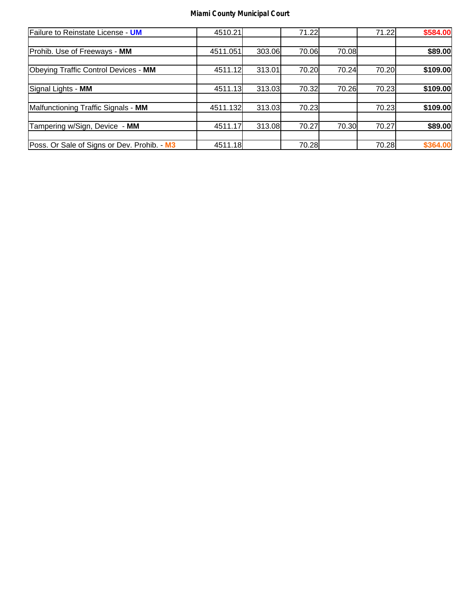| Failure to Reinstate License - UM           | 4510.21  |        | 71.22 |       | 71.22 | \$584.00 |
|---------------------------------------------|----------|--------|-------|-------|-------|----------|
|                                             |          |        |       |       |       |          |
| Prohib. Use of Freeways - MM                | 4511.051 | 303.06 | 70.06 | 70.08 |       | \$89.00  |
|                                             |          |        |       |       |       |          |
| Obeying Traffic Control Devices - MM        | 4511.12  | 313.01 | 70.20 | 70.24 | 70.20 | \$109.00 |
|                                             |          |        |       |       |       |          |
| Signal Lights - MM                          | 4511.13  | 313.03 | 70.32 | 70.26 | 70.23 | \$109.00 |
|                                             |          |        |       |       |       |          |
| Malfunctioning Traffic Signals - MM         | 4511.132 | 313.03 | 70.23 |       | 70.23 | \$109.00 |
|                                             |          |        |       |       |       |          |
| Tampering w/Sign, Device - MM               | 4511.17  | 313.08 | 70.27 | 70.30 | 70.27 | \$89.00  |
|                                             |          |        |       |       |       |          |
| Poss. Or Sale of Signs or Dev. Prohib. - M3 | 4511.18  |        | 70.28 |       | 70.28 | \$364.00 |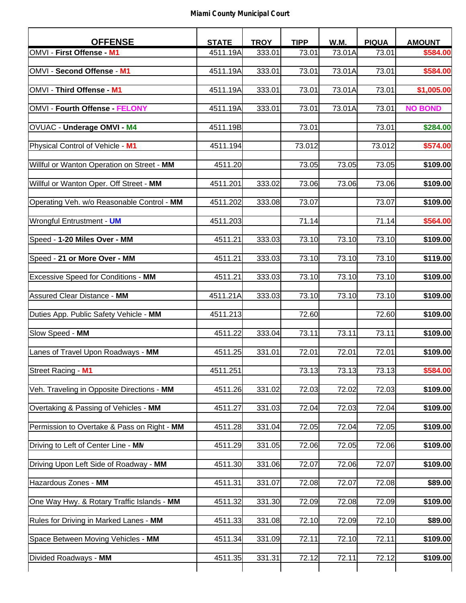| <b>OFFENSE</b>                              | <b>STATE</b> | <b>TROY</b> | <b>TIPP</b> | W.M.   | <b>PIQUA</b> | <b>AMOUNT</b>  |
|---------------------------------------------|--------------|-------------|-------------|--------|--------------|----------------|
| OMVI - First Offense - M1                   | 4511.19A     | 333.01      | 73.01       | 73.01A | 73.01        | \$584.00       |
|                                             |              |             |             |        |              |                |
| OMVI - Second Offense - M1                  | 4511.19A     | 333.01      | 73.01       | 73.01A | 73.01        | \$584.00       |
| OMVI - Third Offense - M1                   | 4511.19A     | 333.01      | 73.01       | 73.01A | 73.01        | \$1,005.00     |
|                                             |              |             |             |        |              |                |
| OMVI - Fourth Offense - FELONY              | 4511.19A     | 333.01      | 73.01       | 73.01A | 73.01        | <b>NO BOND</b> |
|                                             |              |             |             |        |              |                |
| OVUAC - Underage OMVI - M4                  | 4511.19B     |             | 73.01       |        | 73.01        | \$284.00       |
| Physical Control of Vehicle - M1            | 4511.194     |             | 73.012      |        | 73.012       | \$574.00       |
|                                             |              |             |             |        |              |                |
| Willful or Wanton Operation on Street - MM  | 4511.20      |             | 73.05       | 73.05  | 73.05        | \$109.00       |
|                                             |              |             |             |        |              |                |
| Willful or Wanton Oper. Off Street - MM     | 4511.201     | 333.02      | 73.06       | 73.06  | 73.06        | \$109.00       |
| Operating Veh. w/o Reasonable Control - MM  | 4511.202     | 333.08      | 73.07       |        | 73.07        | \$109.00       |
|                                             |              |             |             |        |              |                |
| Wrongful Entrustment - UM                   | 4511.203     |             | 71.14       |        | 71.14        | \$564.00       |
|                                             |              |             |             |        |              |                |
| Speed - 1-20 Miles Over - MM                | 4511.21      | 333.03      | 73.10       | 73.10  | 73.10        | \$109.00       |
| Speed - 21 or More Over - MM                | 4511.21      | 333.03      | 73.10       | 73.10  | 73.10        | \$119.00       |
|                                             |              |             |             |        |              |                |
| Excessive Speed for Conditions - MM         | 4511.21      | 333.03      | 73.10       | 73.10  | 73.10        | \$109.00       |
|                                             |              |             |             |        |              |                |
| Assured Clear Distance - MM                 | 4511.21A     | 333.03      | 73.10       | 73.10  | 73.10        | \$109.00       |
|                                             |              |             | 72.60       |        | 72.60        |                |
| Duties App. Public Safety Vehicle - MM      | 4511.213     |             |             |        |              | \$109.00       |
| Slow Speed - MM                             | 4511.22      | 333.04      | 73.11       | 73.11  | 73.11        | \$109.00       |
|                                             |              |             |             |        |              |                |
| Lanes of Travel Upon Roadways - MM          | 4511.25      | 331.01      | 72.01       | 72.01  | 72.01        | \$109.00       |
| Street Racing - M1                          | 4511.251     |             | 73.13       | 73.13  | 73.13        | \$584.00       |
|                                             |              |             |             |        |              |                |
| Veh. Traveling in Opposite Directions - MM  | 4511.26      | 331.02      | 72.03       | 72.02  | 72.03        | \$109.00       |
|                                             |              |             |             |        |              |                |
| Overtaking & Passing of Vehicles - MM       | 4511.27      | 331.03      | 72.04       | 72.03  | 72.04        | \$109.00       |
| Permission to Overtake & Pass on Right - MM | 4511.28      | 331.04      | 72.05       | 72.04  | 72.05        | \$109.00       |
|                                             |              |             |             |        |              |                |
| Driving to Left of Center Line - MN         | 4511.29      | 331.05      | 72.06       | 72.05  | 72.06        | \$109.00       |
|                                             |              |             |             |        |              |                |
| Driving Upon Left Side of Roadway - MM      | 4511.30      | 331.06      | 72.07       | 72.06  | 72.07        | \$109.00       |
| Hazardous Zones - MM                        |              |             | 72.08       | 72.07  | 72.08        | \$89.00        |
|                                             | 4511.31      | 331.07      |             |        |              |                |
| One Way Hwy. & Rotary Traffic Islands - MM  | 4511.32      | 331.30      | 72.09       | 72.08  | 72.09        | \$109.00       |
|                                             |              |             |             |        |              |                |
| Rules for Driving in Marked Lanes - MM      | 4511.33      | 331.08      | 72.10       | 72.09  | 72.10        | \$89.00        |
|                                             |              |             |             |        |              |                |
| Space Between Moving Vehicles - MM          | 4511.34      | 331.09      | 72.11       | 72.10  | 72.11        | \$109.00       |
| Divided Roadways - MM                       | 4511.35      | 331.31      | 72.12       | 72.11  | 72.12        | \$109.00       |
|                                             |              |             |             |        |              |                |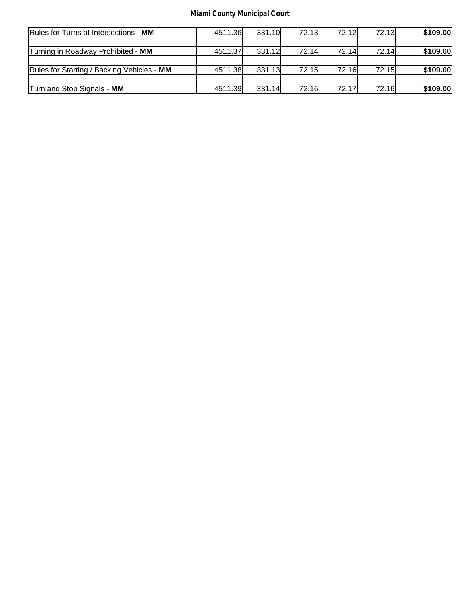| Rules for Turns at Intersections - MM      | 4511.36 | 331.10 | <b>72.13</b> | 72.12L | 72.13L       | \$109.00 |
|--------------------------------------------|---------|--------|--------------|--------|--------------|----------|
|                                            |         |        |              |        |              |          |
| Turning in Roadway Prohibited - MM         | 4511.37 | 331.12 | 72.14        | 72.14l | 72.14        | \$109.00 |
|                                            |         |        |              |        |              |          |
| Rules for Starting / Backing Vehicles - MM | 4511.38 | 331.13 | 72.15        | 72.16  | <b>72.15</b> | \$109.00 |
|                                            |         |        |              |        |              |          |
| Turn and Stop Signals - MM                 | 4511.39 | 331.14 | 72.16        | 72.17  | <b>72.16</b> | \$109.00 |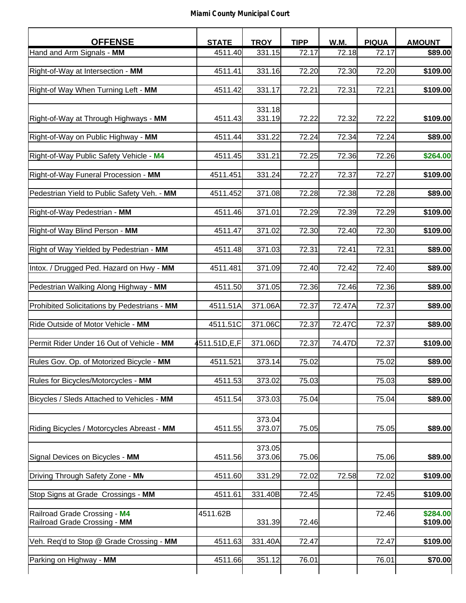| <b>OFFENSE</b>                               | <b>STATE</b> | <b>TROY</b> | <b>TIPP</b> | W.M.   | <b>PIQUA</b> | <b>AMOUNT</b> |
|----------------------------------------------|--------------|-------------|-------------|--------|--------------|---------------|
| Hand and Arm Signals - MM                    | 4511.40      | 331.15      | 72.17       | 72.18  | 72.17        | \$89.00       |
|                                              |              |             |             |        |              |               |
| Right-of-Way at Intersection - MM            | 4511.41      | 331.16      | 72.20       | 72.30  | 72.20        | \$109.00      |
| Right-of Way When Turning Left - MM          | 4511.42      | 331.17      | 72.21       | 72.31  | 72.21        | \$109.00      |
|                                              |              |             |             |        |              |               |
|                                              |              | 331.18      |             |        |              |               |
| Right-of-Way at Through Highways - MM        | 4511.43      | 331.19      | 72.22       | 72.32  | 72.22        | \$109.00      |
| Right-of-Way on Public Highway - MM          | 4511.44      | 331.22      | 72.24       | 72.34  | 72.24        | \$89.00       |
|                                              |              |             |             |        |              |               |
| Right-of-Way Public Safety Vehicle - M4      | 4511.45      | 331.21      | 72.25       | 72.36  | 72.26        | \$264.00      |
|                                              |              |             |             |        |              |               |
| Right-of-Way Funeral Procession - MM         | 4511.451     | 331.24      | 72.27       | 72.37  | 72.27        | \$109.00      |
| Pedestrian Yield to Public Safety Veh. - MM  | 4511.452     | 371.08      | 72.28       | 72.38  | 72.28        | \$89.00       |
|                                              |              |             |             |        |              |               |
| Right-of-Way Pedestrian - MM                 | 4511.46      | 371.01      | 72.29       | 72.39  | 72.29        | \$109.00      |
|                                              |              |             | 72.30       |        |              |               |
| Right-of Way Blind Person - MM               | 4511.47      | 371.02      |             | 72.40  | 72.30        | \$109.00      |
| Right of Way Yielded by Pedestrian - MM      | 4511.48      | 371.03      | 72.31       | 72.41  | 72.31        | \$89.00       |
|                                              |              |             |             |        |              |               |
| Intox. / Drugged Ped. Hazard on Hwy - MM     | 4511.481     | 371.09      | 72.40       | 72.42  | 72.40        | \$89.00       |
| Pedestrian Walking Along Highway - MM        | 4511.50      | 371.05      | 72.36       | 72.46  | 72.36        | \$89.00       |
|                                              |              |             |             |        |              |               |
| Prohibited Solicitations by Pedestrians - MM | 4511.51A     | 371.06A     | 72.37       | 72.47A | 72.37        | \$89.00       |
|                                              |              |             |             |        |              |               |
| Ride Outside of Motor Vehicle - MM           | 4511.51C     | 371.06C     | 72.37       | 72.47C | 72.37        | \$89.00       |
| Permit Rider Under 16 Out of Vehicle - MM    | 4511.51D,E,F | 371.06D     | 72.37       | 74.47D | 72.37        | \$109.00      |
|                                              |              |             |             |        |              |               |
| Rules Gov. Op. of Motorized Bicycle - MM     | 4511.521     | 373.14      | 75.02       |        | 75.02        | \$89.00       |
| Rules for Bicycles/Motorcycles - MM          | 4511.53      | 373.02      | 75.03       |        | 75.03        | \$89.00       |
|                                              |              |             |             |        |              |               |
| Bicycles / Sleds Attached to Vehicles - MM   | 4511.54      | 373.03      | 75.04       |        | 75.04        | \$89.00       |
|                                              |              |             |             |        |              |               |
|                                              |              | 373.04      |             |        |              |               |
| Riding Bicycles / Motorcycles Abreast - MM   | 4511.55      | 373.07      | 75.05       |        | 75.05        | \$89.00       |
|                                              |              | 373.05      |             |        |              |               |
| Signal Devices on Bicycles - MM              | 4511.56      | 373.06      | 75.06       |        | 75.06        | \$89.00       |
|                                              |              |             |             |        |              |               |
| Driving Through Safety Zone - MN             | 4511.60      | 331.29      | 72.02       | 72.58  | 72.02        | \$109.00      |
| Stop Signs at Grade Crossings - MM           | 4511.61      | 331.40B     | 72.45       |        | 72.45        | \$109.00      |
|                                              |              |             |             |        |              |               |
| Railroad Grade Crossing - M4                 | 4511.62B     |             |             |        | 72.46        | \$284.00      |
| Railroad Grade Crossing - MM                 |              | 331.39      | 72.46       |        |              | \$109.00      |
| Veh. Req'd to Stop @ Grade Crossing - MM     | 4511.63      | 331.40A     | 72.47       |        | 72.47        | \$109.00      |
|                                              |              |             |             |        |              |               |
| Parking on Highway - MM                      | 4511.66      | 351.12      | 76.01       |        | 76.01        | \$70.00       |
|                                              |              |             |             |        |              |               |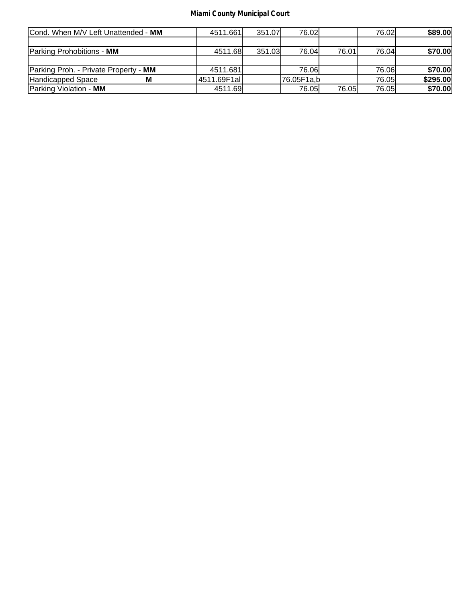| Cond. When M/V Left Unattended - MM   | 4511.661    | 351.07 | 76.02l     |        | 76.02L | \$89.00  |
|---------------------------------------|-------------|--------|------------|--------|--------|----------|
|                                       |             |        |            |        |        |          |
| Parking Prohobitions - MM             | 4511.68     | 351.03 | 76.04      | 76.01l | 76.04  | \$70.00  |
|                                       |             |        |            |        |        |          |
| Parking Proh. - Private Property - MM | 4511.681    |        | 76.06I     |        | 76.06I | \$70.00  |
| Handicapped Space                     | 4511.69F1al |        | 76.05F1a,b |        | 76.05I | \$295.00 |
| Parking Violation - MM                | 4511.69     |        | 76.05      | 76.05  | 76.05  | \$70.00  |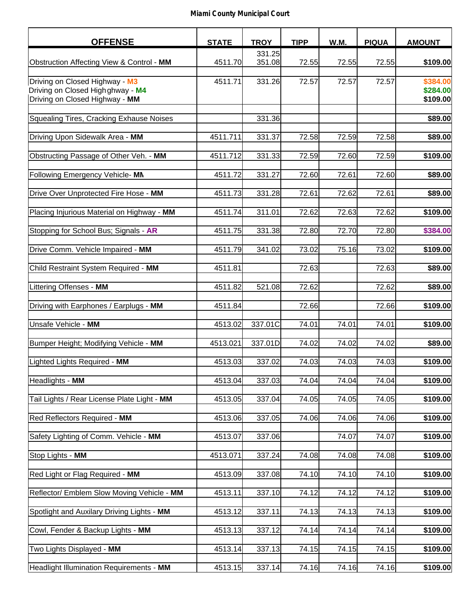| <b>OFFENSE</b>                              | <b>STATE</b> | <b>TROY</b> | <b>TIPP</b> | W.M.  | <b>PIQUA</b> | <b>AMOUNT</b> |
|---------------------------------------------|--------------|-------------|-------------|-------|--------------|---------------|
|                                             |              | 331.25      |             |       |              |               |
| Obstruction Affecting View & Control - MM   | 4511.70      | 351.08      | 72.55       | 72.55 | 72.55        | \$109.00      |
|                                             |              |             |             |       |              |               |
| Driving on Closed Highway - M3              | 4511.71      | 331.26      | 72.57       | 72.57 | 72.57        | \$384.00      |
| Driving on Closed High ghway - M4           |              |             |             |       |              | \$284.00      |
| Driving on Closed Highway - MM              |              |             |             |       |              | \$109.00      |
|                                             |              |             |             |       |              |               |
| Squealing Tires, Cracking Exhause Noises    |              | 331.36      |             |       |              | \$89.00       |
|                                             |              |             |             |       |              |               |
| Driving Upon Sidewalk Area - MM             | 4511.711     | 331.37      | 72.58       | 72.59 | 72.58        | \$89.00       |
| Obstructing Passage of Other Veh. - MM      | 4511.712     | 331.33      | 72.59       | 72.60 | 72.59        | \$109.00      |
|                                             |              |             |             |       |              |               |
| Following Emergency Vehicle- MN             | 4511.72      | 331.27      | 72.60       | 72.61 | 72.60        | \$89.00       |
|                                             |              |             |             |       |              |               |
| Drive Over Unprotected Fire Hose - MM       | 4511.73      | 331.28      | 72.61       | 72.62 | 72.61        | \$89.00       |
|                                             |              |             |             |       |              |               |
| Placing Injurious Material on Highway - MM  | 4511.74      | 311.01      | 72.62       | 72.63 | 72.62        | \$109.00      |
|                                             |              |             |             |       |              |               |
| Stopping for School Bus; Signals - AR       | 4511.75      | 331.38      | 72.80       | 72.70 | 72.80        | \$384.00      |
|                                             |              |             |             |       |              |               |
| Drive Comm. Vehicle Impaired - MM           | 4511.79      | 341.02      | 73.02       | 75.16 | 73.02        | \$109.00      |
|                                             |              |             |             |       |              |               |
| Child Restraint System Required - MM        | 4511.81      |             | 72.63       |       | 72.63        | \$89.00       |
|                                             |              |             |             |       |              |               |
| Littering Offenses - MM                     | 4511.82      | 521.08      | 72.62       |       | 72.62        | \$89.00       |
|                                             |              |             |             |       |              |               |
| Driving with Earphones / Earplugs - MM      | 4511.84      |             | 72.66       |       | 72.66        | \$109.00      |
|                                             |              |             |             |       |              |               |
| Unsafe Vehicle - MM                         | 4513.02      | 337.01C     | 74.01       | 74.01 | 74.01        | \$109.00      |
|                                             |              |             |             |       |              |               |
| Bumper Height; Modifying Vehicle - MM       | 4513.021     | 337.01D     | 74.02       | 74.02 | 74.02        | \$89.00       |
| Lighted Lights Required - MM                | 4513.03      | 337.02      | 74.03       | 74.03 | 74.03        | \$109.00      |
|                                             |              |             |             |       |              |               |
| Headlights - MM                             | 4513.04      | 337.03      | 74.04       | 74.04 | 74.04        | \$109.00      |
|                                             |              |             |             |       |              |               |
| Tail Lights / Rear License Plate Light - MM | 4513.05      | 337.04      | 74.05       | 74.05 | 74.05        | \$109.00      |
|                                             |              |             |             |       |              |               |
| Red Reflectors Required - MM                | 4513.06      | 337.05      | 74.06       | 74.06 | 74.06        | \$109.00      |
|                                             |              |             |             |       |              |               |
| Safety Lighting of Comm. Vehicle - MM       | 4513.07      | 337.06      |             | 74.07 | 74.07        | \$109.00      |
|                                             |              |             |             |       |              |               |
| Stop Lights - MM                            | 4513.071     | 337.24      | 74.08       | 74.08 | 74.08        | \$109.00      |
|                                             |              |             |             |       |              |               |
| Red Light or Flag Required - MM             | 4513.09      | 337.08      | 74.10       | 74.10 | 74.10        | \$109.00      |
|                                             |              |             |             |       |              |               |
| Reflector/ Emblem Slow Moving Vehicle - MM  | 4513.11      | 337.10      | 74.12       | 74.12 | 74.12        | \$109.00      |
|                                             |              |             |             |       |              |               |
| Spotlight and Auxilary Driving Lights - MM  | 4513.12      | 337.11      | 74.13       | 74.13 | 74.13        | \$109.00      |
|                                             |              |             |             |       |              |               |
| Cowl, Fender & Backup Lights - MM           | 4513.13      | 337.12      | 74.14       | 74.14 | 74.14        | \$109.00      |
| Two Lights Displayed - MM                   | 4513.14      | 337.13      | 74.15       | 74.15 | 74.15        | \$109.00      |
|                                             |              |             |             |       |              |               |
| Headlight Illumination Requirements - MM    | 4513.15      | 337.14      | 74.16       | 74.16 | 74.16        | \$109.00      |
|                                             |              |             |             |       |              |               |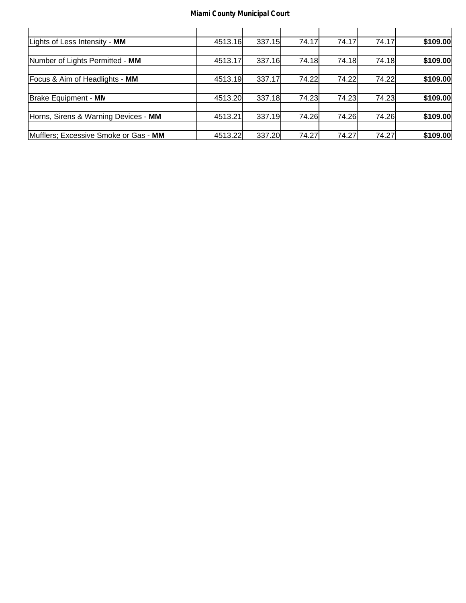| Lights of Less Intensity - MM         | 4513.16 | 337.15 | 74.17 | 74.17 | 74.17 | \$109.00 |
|---------------------------------------|---------|--------|-------|-------|-------|----------|
|                                       |         |        |       |       |       |          |
| Number of Lights Permitted - MM       | 4513.17 | 337.16 | 74.18 | 74.18 | 74.18 | \$109.00 |
|                                       |         |        |       |       |       |          |
| Focus & Aim of Headlights - MM        | 4513.19 | 337.17 | 74.22 | 74.22 | 74.22 | \$109.00 |
|                                       |         |        |       |       |       |          |
| Brake Equipment - MN                  | 4513.20 | 337.18 | 74.23 | 74.23 | 74.23 | \$109.00 |
|                                       |         |        |       |       |       |          |
| Horns, Sirens & Warning Devices - MM  | 4513.21 | 337.19 | 74.26 | 74.26 | 74.26 | \$109.00 |
|                                       |         |        |       |       |       |          |
| Mufflers; Excessive Smoke or Gas - MM | 4513.22 | 337.20 | 74.27 | 74.27 | 74.27 | \$109.00 |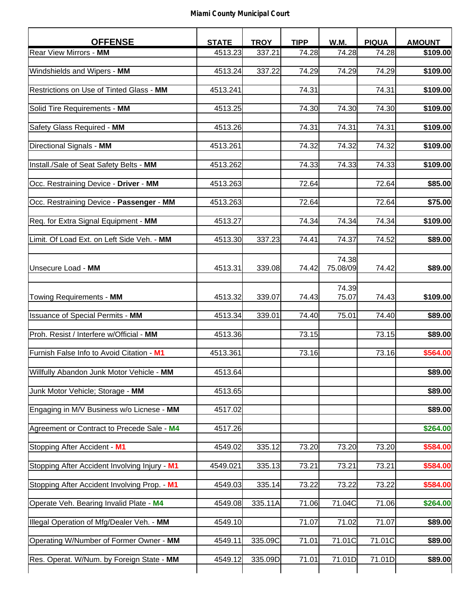| <b>OFFENSE</b>                                | <b>STATE</b> | <b>TROY</b> | <b>TIPP</b> | W.M.              | <b>PIQUA</b> | <b>AMOUNT</b> |
|-----------------------------------------------|--------------|-------------|-------------|-------------------|--------------|---------------|
| Rear View Mirrors - MM                        | 4513.23      | 337.21      | 74.28       | 74.28             | 74.28        | \$109.00      |
| Windshields and Wipers - MM                   | 4513.24      | 337.22      | 74.29       | 74.29             | 74.29        | \$109.00      |
| Restrictions on Use of Tinted Glass - MM      | 4513.241     |             | 74.31       |                   | 74.31        | \$109.00      |
| Solid Tire Requirements - MM                  | 4513.25      |             | 74.30       | 74.30             | 74.30        | \$109.00      |
|                                               |              |             |             |                   |              |               |
| Safety Glass Required - MM                    | 4513.26      |             | 74.31       | 74.31             | 74.31        | \$109.00      |
| Directional Signals - MM                      | 4513.261     |             | 74.32       | 74.32             | 74.32        | \$109.00      |
| Install./Sale of Seat Safety Belts - MM       | 4513.262     |             | 74.33       | 74.33             | 74.33        | \$109.00      |
| Occ. Restraining Device - Driver - MM         | 4513.263     |             | 72.64       |                   | 72.64        | \$85.00       |
| Occ. Restraining Device - Passenger - MM      | 4513.263     |             | 72.64       |                   | 72.64        | \$75.00       |
| Req. for Extra Signal Equipment - MM          | 4513.27      |             | 74.34       | 74.34             | 74.34        | \$109.00      |
| Limit. Of Load Ext. on Left Side Veh. - MM    | 4513.30      | 337.23      | 74.41       | 74.37             | 74.52        | \$89.00       |
| Unsecure Load - MM                            | 4513.31      | 339.08      | 74.42       | 74.38<br>75.08/09 | 74.42        | \$89.00       |
| Towing Requirements - MM                      | 4513.32      | 339.07      | 74.43       | 74.39<br>75.07    | 74.43        | \$109.00      |
| <b>Issuance of Special Permits - MM</b>       | 4513.34      | 339.01      | 74.40       | 75.01             | 74.40        | \$89.00       |
| Proh. Resist / Interfere w/Official - MM      | 4513.36      |             | 73.15       |                   | 73.15        | \$89.00       |
| Furnish False Info to Avoid Citation - M1     | 4513.361     |             | 73.16       |                   | 73.16        | \$564.00      |
| Willfully Abandon Junk Motor Vehicle - MM     | 4513.64      |             |             |                   |              | \$89.00       |
| Junk Motor Vehicle; Storage - MM              | 4513.65      |             |             |                   |              | \$89.00       |
| Engaging in M/V Business w/o Licnese - MM     | 4517.02      |             |             |                   |              | \$89.00       |
| Agreement or Contract to Precede Sale - M4    | 4517.26      |             |             |                   |              | \$264.00      |
| Stopping After Accident - M1                  | 4549.02      | 335.12      | 73.20       | 73.20             | 73.20        | \$584.00      |
| Stopping After Accident Involving Injury - M1 | 4549.021     | 335.13      | 73.21       | 73.21             | 73.21        | \$584.00      |
| Stopping After Accident Involving Prop. - M1  | 4549.03      | 335.14      | 73.22       | 73.22             | 73.22        | \$584.00      |
| Operate Veh. Bearing Invalid Plate - M4       | 4549.08      | 335.11A     | 71.06       | 71.04C            | 71.06        | \$264.00      |
| Illegal Operation of Mfg/Dealer Veh. - MM     | 4549.10      |             | 71.07       | 71.02             | 71.07        | \$89.00       |
| Operating W/Number of Former Owner - MM       | 4549.11      | 335.09C     | 71.01       | 71.01C            | 71.01C       | \$89.00       |
| Res. Operat. W/Num. by Foreign State - MM     | 4549.12      | 335.09D     | 71.01       | 71.01D            | 71.01D       | \$89.00       |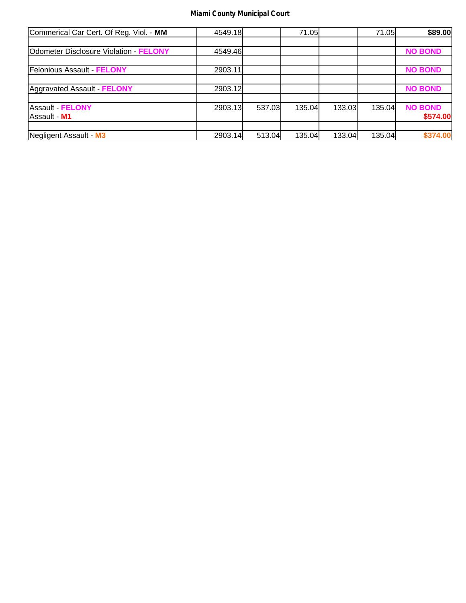| Commerical Car Cert. Of Reg. Viol. - MM       | 4549.18 |        | 71.05  |        | 71.05  | \$89.00        |
|-----------------------------------------------|---------|--------|--------|--------|--------|----------------|
|                                               |         |        |        |        |        |                |
| <b>Odometer Disclosure Violation - FELONY</b> | 4549.46 |        |        |        |        | <b>NO BOND</b> |
|                                               |         |        |        |        |        |                |
| <b>Felonious Assault FELONY</b>               | 2903.11 |        |        |        |        | <b>NO BOND</b> |
|                                               |         |        |        |        |        |                |
| Aggravated Assault - FELONY                   | 2903.12 |        |        |        |        | <b>NO BOND</b> |
|                                               |         |        |        |        |        |                |
| Assault - FELONY                              | 2903.13 | 537.03 | 135.04 | 133.03 | 135.04 | <b>NO BOND</b> |
| Assault - M1                                  |         |        |        |        |        | \$574.00       |
|                                               |         |        |        |        |        |                |
| Negligent Assault - M3                        | 2903.14 | 513.04 | 135.04 | 133.04 | 135.04 | \$374.00       |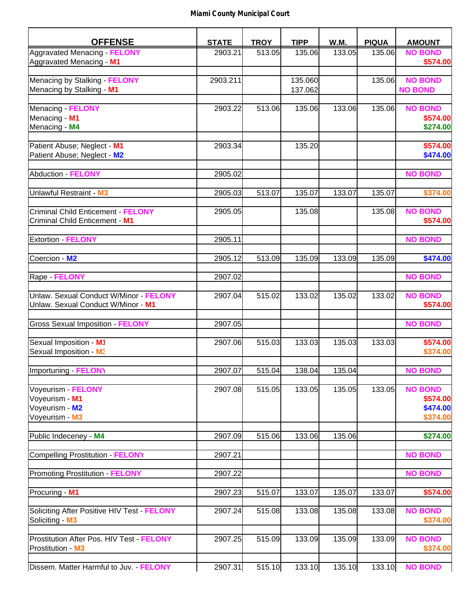| <b>OFFENSE</b>                            | <b>STATE</b> | <b>TROY</b> | <b>TIPP</b> | W.M.   | <b>PIQUA</b> | <b>AMOUNT</b>  |
|-------------------------------------------|--------------|-------------|-------------|--------|--------------|----------------|
| Aggravated Menacing FELONY                | 2903.21      | 513.05      | 135.06      | 133.05 | 135.06       | <b>NO BOND</b> |
| Aggravated Menacing - M1                  |              |             |             |        |              | \$574.00       |
|                                           |              |             |             |        |              |                |
| Menacing by Stalking - FELONY             | 2903.211     |             | 135.060     |        | 135.06       | <b>NO BOND</b> |
| Menacing by Stalking - M1                 |              |             | 137.062     |        |              | <b>NO BOND</b> |
|                                           |              |             |             |        |              |                |
| Menacing - FELONY                         | 2903.22      | 513.06      | 135.06      | 133.06 | 135.06       | <b>NO BOND</b> |
| Menacing - M1                             |              |             |             |        |              | \$574.00       |
| Menacing - M4                             |              |             |             |        |              | \$274.00       |
| Patient Abuse; Neglect - M1               | 2903.34      |             | 135.20      |        |              | \$574.00       |
| Patient Abuse; Neglect - M2               |              |             |             |        |              | \$474.00       |
|                                           |              |             |             |        |              |                |
| Abduction - FELONY                        | 2905.02      |             |             |        |              | <b>NO BOND</b> |
|                                           |              |             |             |        |              |                |
| Unlawful Restraint - M3                   | 2905.03      | 513.07      | 135.07      | 133.07 | 135.07       | \$374.00       |
|                                           |              |             |             |        |              |                |
| Criminal Child Enticement - FELONY        | 2905.05      |             | 135.08      |        | 135.08       | <b>NO BOND</b> |
| Criminal Child Enticement - M1            |              |             |             |        |              | \$574.00       |
|                                           |              |             |             |        |              |                |
| <b>Extortion - FELONY</b>                 | 2905.11      |             |             |        |              | <b>NO BOND</b> |
|                                           |              |             |             |        |              |                |
| Coercion - M2                             | 2905.12      | 513.09      | 135.09      | 133.09 | 135.09       | \$474.00       |
|                                           |              |             |             |        |              |                |
| Rape - FELONY                             | 2907.02      |             |             |        |              | <b>NO BOND</b> |
| Unlaw. Sexual Conduct W/Minor - FELONY    | 2907.04      | 515.02      | 133.02      | 135.02 | 133.02       | <b>NO BOND</b> |
| Unlaw. Sexual Conduct W/Minor - M1        |              |             |             |        |              | \$574.00       |
|                                           |              |             |             |        |              |                |
| <b>Gross Sexual Imposition - FELONY</b>   | 2907.05      |             |             |        |              | <b>NO BOND</b> |
|                                           |              |             |             |        |              |                |
| Sexual Imposition - M1                    | 2907.06      | 515.03      | 133.03      | 135.03 | 133.03       | \$574.00       |
| Sexual Imposition - M3                    |              |             |             |        |              | \$374.00       |
|                                           |              |             |             |        |              |                |
| Importuning - FELONY                      | 2907.07      | 515.04      | 138.04      | 135.04 |              | <b>NO BOND</b> |
|                                           |              |             |             |        |              |                |
| Voyeurism - FELONY                        | 2907.08      | 515.05      | 133.05      | 135.05 | 133.05       | <b>NO BOND</b> |
| Voyeurism - M1                            |              |             |             |        |              | \$574.00       |
| Voyeurism - M2                            |              |             |             |        |              | \$474.00       |
| Voyeurism - M3                            |              |             |             |        |              | \$374.00       |
|                                           |              |             |             |        |              |                |
| Public Indeceney - M4                     | 2907.09      | 515.06      | 133.06      | 135.06 |              | \$274.00       |
| Compelling Prostitution - FELONY          |              |             |             |        |              | <b>NO BOND</b> |
|                                           | 2907.21      |             |             |        |              |                |
| <b>Promoting Prostitution - FELONY</b>    | 2907.22      |             |             |        |              | <b>NO BOND</b> |
|                                           |              |             |             |        |              |                |
| Procuring - M1                            | 2907.23      | 515.07      | 133.07      | 135.07 | 133.07       | \$574.00       |
|                                           |              |             |             |        |              |                |
| Soliciting After Positive HIV Test FELONY | 2907.24      | 515.08      | 133.08      | 135.08 | 133.08       | <b>NO BOND</b> |
| Soliciting - M3                           |              |             |             |        |              | \$374.00       |
|                                           |              |             |             |        |              |                |
| Prostitution After Pos. HIV Test - FELONY | 2907.25      | 515.09      | 133.09      | 135.09 | 133.09       | <b>NO BOND</b> |
| Prostitution - M3                         |              |             |             |        |              | \$374.00       |
|                                           |              |             |             |        |              |                |
| Dissem. Matter Harmful to Juv. - FELONY   | 2907.31      | 515.10      | 133.10      | 135.10 | 133.10       | <b>NO BOND</b> |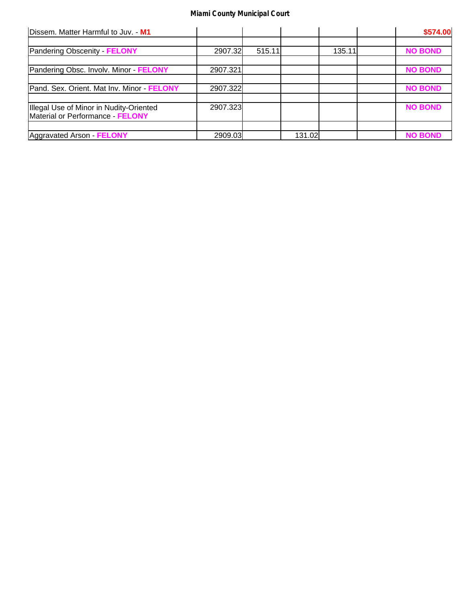| Dissem. Matter Harmful to Juv. - M1        |          |        |        |        | \$574.00       |
|--------------------------------------------|----------|--------|--------|--------|----------------|
|                                            |          |        |        |        |                |
| Pandering Obscenity FELONY                 | 2907.32  | 515.11 |        | 135.11 | <b>NO BOND</b> |
|                                            |          |        |        |        |                |
| Pandering Obsc. Involv. Minor FELONY       | 2907.321 |        |        |        | <b>NO BOND</b> |
|                                            |          |        |        |        |                |
| Pand. Sex. Orient. Mat Inv. Minor - FELONY | 2907.322 |        |        |        | <b>NO BOND</b> |
|                                            |          |        |        |        |                |
| Illegal Use of Minor in Nudity-Oriented    | 2907.323 |        |        |        | <b>NO BOND</b> |
| Material or Performance - FELONY           |          |        |        |        |                |
|                                            |          |        |        |        |                |
| Aggravated Arson - FELONY                  | 2909.03  |        | 131.02 |        | <b>NO BOND</b> |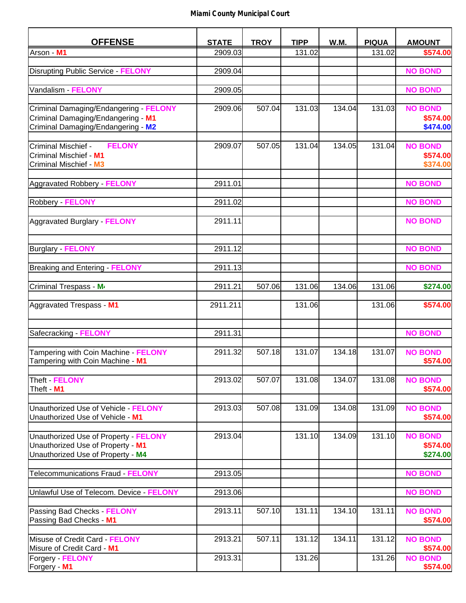| <b>OFFENSE</b>                                                           | <b>STATE</b> | <b>TROY</b> | <b>TIPP</b> | W.M.   | <b>PIQUA</b> | <b>AMOUNT</b>              |
|--------------------------------------------------------------------------|--------------|-------------|-------------|--------|--------------|----------------------------|
| Arson - M1                                                               | 2909.03      |             | 131.02      |        | 131.02       | \$574.00                   |
|                                                                          |              |             |             |        |              |                            |
| <b>Disrupting Public Service - FELONY</b>                                | 2909.04      |             |             |        |              | <b>NO BOND</b>             |
| Vandalism - FELONY                                                       | 2909.05      |             |             |        |              | <b>NO BOND</b>             |
|                                                                          |              |             |             |        |              |                            |
| Criminal Damaging/Endangering FELONY                                     | 2909.06      | 507.04      | 131.03      | 134.04 | 131.03       | <b>NO BOND</b>             |
| Criminal Damaging/Endangering - M1                                       |              |             |             |        |              | \$574.00                   |
| Criminal Damaging/Endangering - M2                                       |              |             |             |        |              | \$474.00                   |
| <b>FELONY</b><br>Criminal Mischief -                                     | 2909.07      | 507.05      | 131.04      | 134.05 | 131.04       | <b>NO BOND</b>             |
| Criminal Mischief - M1                                                   |              |             |             |        |              | \$574.00                   |
| Criminal Mischief - M3                                                   |              |             |             |        |              | \$374.00                   |
|                                                                          |              |             |             |        |              |                            |
| Aggravated Robbery - FELONY                                              | 2911.01      |             |             |        |              | <b>NO BOND</b>             |
| Robbery FELONY                                                           | 2911.02      |             |             |        |              | <b>NO BOND</b>             |
|                                                                          |              |             |             |        |              |                            |
| Aggravated Burglary - FELONY                                             | 2911.11      |             |             |        |              | <b>NO BOND</b>             |
|                                                                          |              |             |             |        |              |                            |
|                                                                          | 2911.12      |             |             |        |              | <b>NO BOND</b>             |
| Burglary FELONY                                                          |              |             |             |        |              |                            |
| Breaking and Entering FELONY                                             | 2911.13      |             |             |        |              | <b>NO BOND</b>             |
|                                                                          |              |             |             |        |              |                            |
| Criminal Trespass - M <sup>4</sup>                                       | 2911.21      | 507.06      | 131.06      | 134.06 | 131.06       | \$274.00                   |
| Aggravated Trespass - M1                                                 | 2911.211     |             | 131.06      |        | 131.06       | \$574.00                   |
|                                                                          |              |             |             |        |              |                            |
|                                                                          |              |             |             |        |              |                            |
| Safecracking - FELONY                                                    | 2911.31      |             |             |        |              | <b>NO BOND</b>             |
|                                                                          |              |             |             |        |              |                            |
| Tampering with Coin Machine - FELONY<br>Tampering with Coin Machine - M1 | 2911.32      | 507.18      | 131.07      | 134.18 | 131.07       | <b>NO BOND</b><br>\$574.00 |
|                                                                          |              |             |             |        |              |                            |
| Theft - FELONY                                                           | 2913.02      | 507.07      | 131.08      | 134.07 | 131.08       | <b>NO BOND</b>             |
| Theft - M1                                                               |              |             |             |        |              | \$574.00                   |
|                                                                          |              |             |             |        |              |                            |
| Unauthorized Use of Vehicle - FELONY<br>Unauthorized Use of Vehicle - M1 | 2913.03      | 507.08      | 131.09      | 134.08 | 131.09       | <b>NO BOND</b><br>\$574.00 |
|                                                                          |              |             |             |        |              |                            |
| Unauthorized Use of Property - FELONY                                    | 2913.04      |             | 131.10      | 134.09 | 131.10       | <b>NO BOND</b>             |
| Unauthorized Use of Property - M1                                        |              |             |             |        |              | \$574.00                   |
| Unauthorized Use of Property - M4                                        |              |             |             |        |              | \$274.00                   |
| Telecommunications Fraud - FELONY                                        | 2913.05      |             |             |        |              | <b>NO BOND</b>             |
|                                                                          |              |             |             |        |              |                            |
| Unlawful Use of Telecom. Device - FELONY                                 | 2913.06      |             |             |        |              | <b>NO BOND</b>             |
|                                                                          |              |             |             |        |              |                            |
| Passing Bad Checks - FELONY                                              | 2913.11      | 507.10      | 131.11      | 134.10 | 131.11       | <b>NO BOND</b>             |
| Passing Bad Checks - M1                                                  |              |             |             |        |              | \$574.00                   |
| Misuse of Credit Card - FELONY                                           | 2913.21      | 507.11      | 131.12      | 134.11 | 131.12       | <b>NO BOND</b>             |
| Misure of Credit Card - M1                                               |              |             |             |        |              | \$574.00                   |
| Forgery FELONY                                                           | 2913.31      |             | 131.26      |        | 131.26       | <b>NO BOND</b>             |
| Forgery - M1                                                             |              |             |             |        |              | \$574.00                   |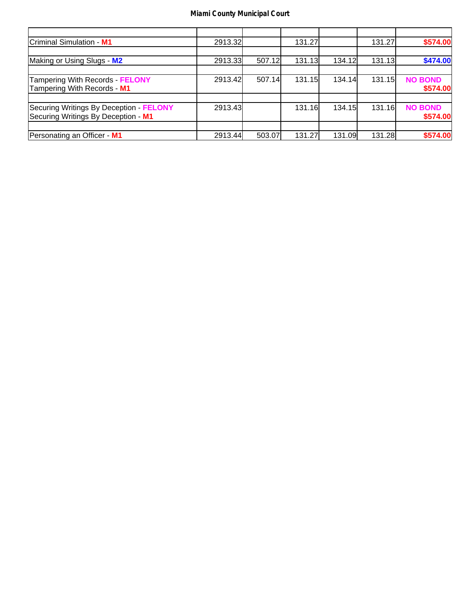| Criminal Simulation - M1                | 2913.32 |        | 131.27        |        | 131.27 | \$574.00       |
|-----------------------------------------|---------|--------|---------------|--------|--------|----------------|
|                                         |         |        |               |        |        |                |
| Making or Using Slugs - M2              | 2913.33 | 507.12 | 131.13        | 134.12 | 131.13 | \$474.00       |
|                                         |         |        |               |        |        |                |
| Tampering With Records - FELONY         | 2913.42 | 507.14 | <b>131.15</b> | 134.14 | 131.15 | <b>NO BOND</b> |
| Tampering With Records - M1             |         |        |               |        |        | \$574.00       |
|                                         |         |        |               |        |        |                |
| Securing Writings By Deception - FELONY | 2913.43 |        | 131.16        | 134.15 | 131.16 | <b>NO BOND</b> |
| Securing Writings By Deception - M1     |         |        |               |        |        | \$574.00       |
|                                         |         |        |               |        |        |                |
| Personating an Officer - M1             | 2913.44 | 503.07 | 131.27        | 131.09 | 131.28 | \$574.00       |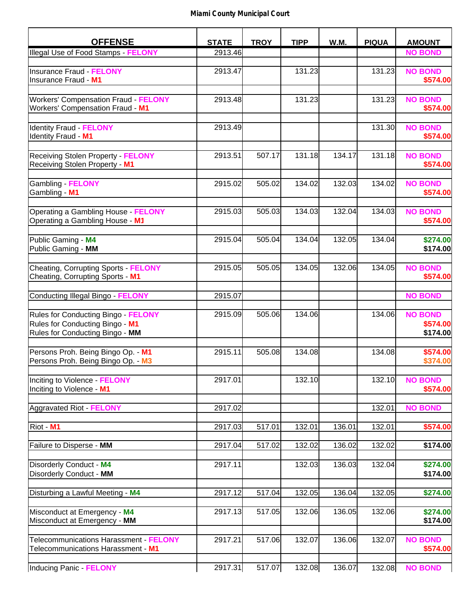| <b>OFFENSE</b>                                                                                            | <b>STATE</b> | <b>TROY</b> | <b>TIPP</b> | W.M.   | <b>PIQUA</b> | <b>AMOUNT</b>                          |
|-----------------------------------------------------------------------------------------------------------|--------------|-------------|-------------|--------|--------------|----------------------------------------|
| Illegal Use of Food Stamps - FELONY                                                                       | 2913.46      |             |             |        |              | <b>NO BOND</b>                         |
|                                                                                                           |              |             |             |        |              |                                        |
| Ilnsurance Fraud - FELONY<br>Insurance Fraud - M1                                                         | 2913.47      |             | 131.23      |        | 131.23       | <b>NO BOND</b><br>\$574.00             |
| <b>Workers' Compensation Fraud - FELONY</b><br>Workers' Compensation Fraud - M1                           | 2913.48      |             | 131.23      |        | 131.23       | <b>NO BOND</b><br>\$574.00             |
| <b>Identity Fraud - FELONY</b><br>Identity Fraud - M1                                                     | 2913.49      |             |             |        | 131.30       | <b>NO BOND</b><br>\$574.00             |
| <b>Receiving Stolen Property - FELONY</b><br>Receiving Stolen Property - M1                               | 2913.51      | 507.17      | 131.18      | 134.17 | 131.18       | <b>NO BOND</b><br>\$574.00             |
| Gambling FELONY<br>Gambling - M1                                                                          | 2915.02      | 505.02      | 134.02      | 132.03 | 134.02       | <b>NO BOND</b><br>\$574.00             |
| <b>Operating a Gambling House - FELONY</b><br>Operating a Gambling House - M1                             | 2915.03      | 505.03      | 134.03      | 132.04 | 134.03       | <b>NO BOND</b><br>\$574.00             |
| Public Gaming - M4<br>Public Gaming - MM                                                                  | 2915.04      | 505.04      | 134.04      | 132.05 | 134.04       | \$274.00<br>\$174.00                   |
| Cheating, Corrupting Sports - FELONY<br>Cheating, Corrupting Sports - M1                                  | 2915.05      | 505.05      | 134.05      | 132.06 | 134.05       | <b>NO BOND</b><br>\$574.00             |
| Conducting Illegal Bingo - FELONY                                                                         | 2915.07      |             |             |        |              | <b>NO BOND</b>                         |
| Rules for Conducting Bingo - FELONY<br>Rules for Conducting Bingo - M1<br>Rules for Conducting Bingo - MM | 2915.09      | 505.06      | 134.06      |        | 134.06       | <b>NO BOND</b><br>\$574.00<br>\$174.00 |
| Persons Proh. Being Bingo Op. - M1<br>Persons Proh. Being Bingo Op. - M3                                  | 2915.11      | 505.08      | 134.08      |        | 134.08       | \$574.00<br>\$374.00                   |
| Inciting to Violence - FELONY<br>Inciting to Violence - M1                                                | 2917.01      |             | 132.10      |        | 132.10       | <b>NO BOND</b><br>\$574.00             |
| Aggravated Riot - FELONY                                                                                  | 2917.02      |             |             |        | 132.01       | <b>NO BOND</b>                         |
| Riot - M1                                                                                                 | 2917.03      | 517.01      | 132.01      | 136.01 | 132.01       | \$574.00                               |
| Failure to Disperse - MM                                                                                  | 2917.04      | 517.02      | 132.02      | 136.02 | 132.02       | \$174.00                               |
| Disorderly Conduct - M4<br>Disorderly Conduct - MM                                                        | 2917.11      |             | 132.03      | 136.03 | 132.04       | \$274.00<br>\$174.00                   |
| Disturbing a Lawful Meeting - M4                                                                          | 2917.12      | 517.04      | 132.05      | 136.04 | 132.05       | \$274.00                               |
| Misconduct at Emergency - M4<br>Misconduct at Emergency - MM                                              | 2917.13      | 517.05      | 132.06      | 136.05 | 132.06       | \$274.00<br>\$174.00                   |
| Telecommunications Harassment - FELONY<br>Telecommunications Harassment - M1                              | 2917.21      | 517.06      | 132.07      | 136.06 | 132.07       | <b>NO BOND</b><br>\$574.00             |
| Inducing Panic - FELONY                                                                                   | 2917.31      | 517.07      | 132.08      | 136.07 | 132.08       | <b>NO BOND</b>                         |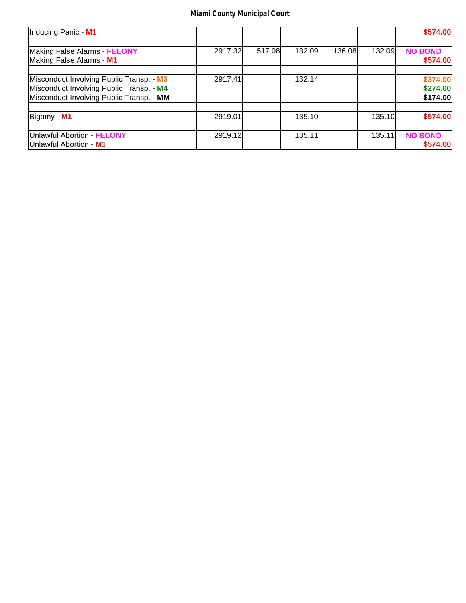| Inducing Panic - M1                                                                                                              |         |        |        |        |        | \$574.00                         |
|----------------------------------------------------------------------------------------------------------------------------------|---------|--------|--------|--------|--------|----------------------------------|
| Making False Alarms FELONY<br>Making False Alarms - M1                                                                           | 2917.32 | 517.08 | 132.09 | 136.08 | 132.09 | <b>NO BOND</b><br>\$574.00       |
| Misconduct Involving Public Transp. - M3<br>Misconduct Involving Public Transp. - M4<br>Misconduct Involving Public Transp. - MM | 2917.41 |        | 132.14 |        |        | \$374.00<br>\$274.00<br>\$174.00 |
| Bigamy - M1                                                                                                                      | 2919.01 |        | 135.10 |        | 135.10 | \$574.00                         |
| Unlawful Abortion - FELONY<br>Unlawful Abortion - M1                                                                             | 2919.12 |        | 135.11 |        | 135.11 | <b>NO BOND</b><br>\$574.00       |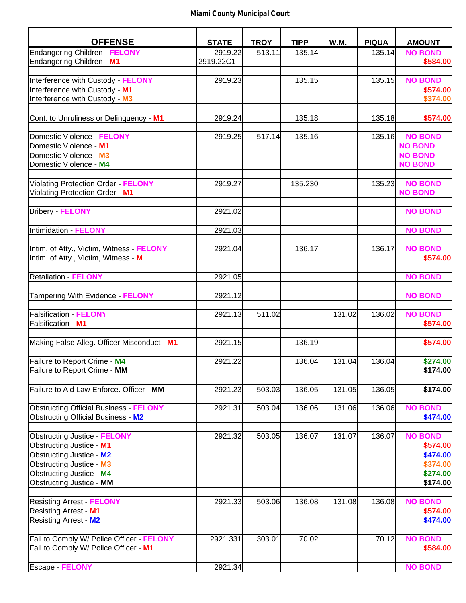| <b>OFFENSE</b>                                                                                                                                                                                       | <b>STATE</b>         | <b>TROY</b> | <b>TIPP</b> | W.M.   | <b>PIQUA</b> | <b>AMOUNT</b>                                                              |
|------------------------------------------------------------------------------------------------------------------------------------------------------------------------------------------------------|----------------------|-------------|-------------|--------|--------------|----------------------------------------------------------------------------|
| <b>Endangering Children - FELONY</b><br>Endangering Children - M1                                                                                                                                    | 2919.22<br>2919.22C1 | 513.11      | 135.14      |        | 135.14       | <b>NO BOND</b><br>\$584.00                                                 |
| Interference with Custody - FELONY<br>Interference with Custody - M1<br>Interference with Custody - M3                                                                                               | 2919.23              |             | 135.15      |        | 135.15       | <b>NO BOND</b><br>\$574.00<br>\$374.00                                     |
| Cont. to Unruliness or Delinquency - M1                                                                                                                                                              | 2919.24              |             | 135.18      |        | 135.18       | \$574.00                                                                   |
| Domestic Violence - FELONY<br>Domestic Violence - M1<br>Domestic Violence - M3<br>Domestic Violence - M4                                                                                             | 2919.25              | 517.14      | 135.16      |        | 135.16       | <b>NO BOND</b><br><b>NO BOND</b><br><b>NO BOND</b><br><b>NO BOND</b>       |
| Violating Protection Order - FELONY<br>Violating Protection Order - M1                                                                                                                               | 2919.27              |             | 135.230     |        | 135.23       | <b>NO BOND</b><br><b>NO BOND</b>                                           |
| <b>Bribery - FELONY</b>                                                                                                                                                                              | 2921.02              |             |             |        |              | <b>NO BOND</b>                                                             |
| Intimidation - FELONY                                                                                                                                                                                | 2921.03              |             |             |        |              | <b>NO BOND</b>                                                             |
| Intim. of Atty., Victim, Witness - FELONY<br>Intim. of Atty., Victim, Witness - M                                                                                                                    | 2921.04              |             | 136.17      |        | 136.17       | <b>NO BOND</b><br>\$574.00                                                 |
| <b>Retaliation - FELONY</b>                                                                                                                                                                          | 2921.05              |             |             |        |              | <b>NO BOND</b>                                                             |
| Tampering With Evidence - FELONY                                                                                                                                                                     | 2921.12              |             |             |        |              | <b>NO BOND</b>                                                             |
| <b>Falsification - FELONY</b><br>Falsification - M1                                                                                                                                                  | 2921.13              | 511.02      |             | 131.02 | 136.02       | <b>NO BOND</b><br>\$574.00                                                 |
| Making False Alleg. Officer Misconduct - M1                                                                                                                                                          | 2921.15              |             | 136.19      |        |              | \$574.00                                                                   |
| Failure to Report Crime - M4<br>Failure to Report Crime - MM                                                                                                                                         | 2921.22              |             | 136.04      | 131.04 | 136.04       | \$274.00<br>\$174.00                                                       |
| Failure to Aid Law Enforce. Officer - MM                                                                                                                                                             | 2921.23              | 503.03      | 136.05      | 131.05 | 136.05       | \$174.00                                                                   |
| <b>Obstructing Official Business - FELONY</b><br>Obstructing Official Business - M2                                                                                                                  | 2921.31              | 503.04      | 136.06      | 131.06 | 136.06       | <b>NO BOND</b><br>\$474.00                                                 |
| <b>Obstructing Justice - FELONY</b><br><b>Obstructing Justice - M1</b><br>Obstructing Justice - M2<br><b>Obstructing Justice - M3</b><br>Obstructing Justice - M4<br><b>Obstructing Justice - MM</b> | 2921.32              | 503.05      | 136.07      | 131.07 | 136.07       | <b>NO BOND</b><br>\$574.00<br>\$474.00<br>\$374.00<br>\$274.00<br>\$174.00 |
| <b>Resisting Arrest - FELONY</b><br><b>Resisting Arrest - M1</b><br>Resisting Arrest - M2                                                                                                            | 2921.33              | 503.06      | 136.08      | 131.08 | 136.08       | <b>NO BOND</b><br>\$574.00<br>\$474.00                                     |
| Fail to Comply W/ Police Officer FELONY<br>Fail to Comply W/ Police Officer - M1                                                                                                                     | 2921.331             | 303.01      | 70.02       |        | 70.12        | <b>NO BOND</b><br>\$584.00                                                 |
| Escape FELONY                                                                                                                                                                                        | 2921.34              |             |             |        |              | <b>NO BOND</b>                                                             |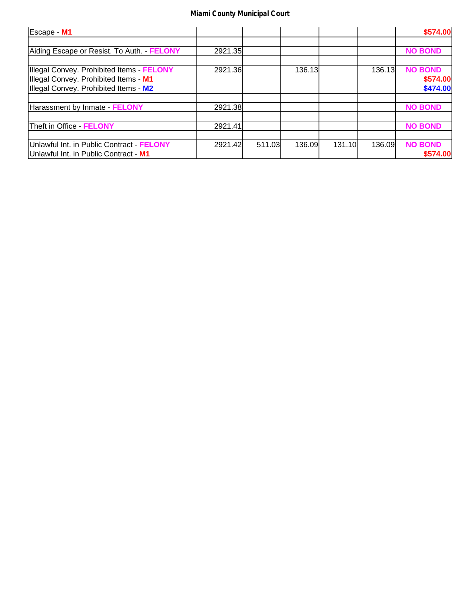| Escape - M1                                                                                                               |         |        |        |        |        | \$574.00                               |
|---------------------------------------------------------------------------------------------------------------------------|---------|--------|--------|--------|--------|----------------------------------------|
| Aiding Escape or Resist. To Auth. - FELONY                                                                                | 2921.35 |        |        |        |        | <b>NO BOND</b>                         |
| Illegal Convey. Prohibited Items FELONY<br>Illegal Convey. Prohibited Items - M1<br>Illegal Convey. Prohibited Items - M2 | 2921.36 |        | 136.13 |        | 136.13 | <b>NO BOND</b><br>\$574.00<br>\$474.00 |
| Harassment by Inmate FELONY                                                                                               | 2921.38 |        |        |        |        | <b>NO BOND</b>                         |
| Theft in Office - FELONY                                                                                                  | 2921.41 |        |        |        |        | <b>NO BOND</b>                         |
| Unlawful Int. in Public Contract - FELONY<br>Unlawful Int. in Public Contract - M1                                        | 2921.42 | 511.03 | 136.09 | 131.10 | 136.09 | <b>NO BOND</b><br>\$574.00             |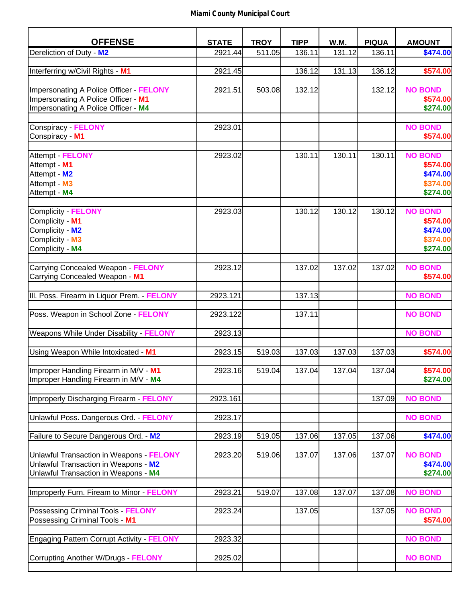| <b>OFFENSE</b>                                  | <b>STATE</b> | <b>TROY</b> | <b>TIPP</b> | W.M.   | <b>PIQUA</b> | <b>AMOUNT</b>  |
|-------------------------------------------------|--------------|-------------|-------------|--------|--------------|----------------|
| Dereliction of Duty - M2                        | 2921.44      | 511.05      | 136.11      | 131.12 | 136.11       | \$474.00       |
|                                                 |              |             |             |        |              |                |
| Interferring w/Civil Rights - M1                | 2921.45      |             | 136.12      | 131.13 | 136.12       | \$574.00       |
| Impersonating A Police Officer - FELONY         |              |             | 132.12      |        | 132.12       | <b>NO BOND</b> |
|                                                 | 2921.51      | 503.08      |             |        |              |                |
| Impersonating A Police Officer - M1             |              |             |             |        |              | \$574.00       |
| Impersonating A Police Officer - M4             |              |             |             |        |              | \$274.00       |
| Conspiracy - FELONY                             | 2923.01      |             |             |        |              | <b>NO BOND</b> |
| Conspiracy - M1                                 |              |             |             |        |              | \$574.00       |
|                                                 |              |             |             |        |              |                |
| Attempt - FELONY                                | 2923.02      |             | 130.11      | 130.11 | 130.11       | <b>NO BOND</b> |
| Attempt - M1                                    |              |             |             |        |              | \$574.00       |
| Attempt - M2                                    |              |             |             |        |              | \$474.00       |
| Attempt - M3                                    |              |             |             |        |              | \$374.00       |
| Attempt - M4                                    |              |             |             |        |              | \$274.00       |
|                                                 |              |             |             |        |              |                |
| Complicity - FELONY                             | 2923.03      |             | 130.12      | 130.12 | 130.12       | <b>NO BOND</b> |
| Complicity - M1                                 |              |             |             |        |              | \$574.00       |
| Complicity - M2                                 |              |             |             |        |              | \$474.00       |
| Complicity - M3                                 |              |             |             |        |              | \$374.00       |
| Complicity - M4                                 |              |             |             |        |              | \$274.00       |
|                                                 |              |             |             |        |              |                |
| Carrying Concealed Weapon - FELONY              | 2923.12      |             | 137.02      | 137.02 | 137.02       | <b>NO BOND</b> |
| Carrying Concealed Weapon - M1                  |              |             |             |        |              | \$574.00       |
|                                                 |              |             |             |        |              |                |
| III. Poss. Firearm in Liquor Prem. FELONY       | 2923.121     |             | 137.13      |        |              | <b>NO BOND</b> |
|                                                 |              |             |             |        |              |                |
| Poss. Weapon in School Zone - FELONY            | 2923.122     |             | 137.11      |        |              | <b>NO BOND</b> |
| Weapons While Under Disability - FELONY         | 2923.13      |             |             |        |              | <b>NO BOND</b> |
|                                                 |              |             |             |        |              |                |
| Using Weapon While Intoxicated - M1             | 2923.15      | 519.03      | 137.03      | 137.03 | 137.03       | \$574.00       |
|                                                 |              |             |             |        |              |                |
| Improper Handling Firearm in M/V - M1           | 2923.16      | 519.04      | 137.04      | 137.04 | 137.04       | \$574.00       |
| Improper Handling Firearm in M/V - M4           |              |             |             |        |              | \$274.00       |
| Improperly Discharging Firearm FELONY           | 2923.161     |             |             |        | 137.09       | <b>NO BOND</b> |
|                                                 |              |             |             |        |              |                |
| Unlawful Poss. Dangerous Ord. FELONY            | 2923.17      |             |             |        |              | <b>NO BOND</b> |
|                                                 |              |             |             |        |              |                |
| Failure to Secure Dangerous Ord. - M2           | 2923.19      | 519.05      | 137.06      | 137.05 | 137.06       | \$474.00       |
|                                                 |              |             |             |        |              |                |
| Unlawful Transaction in Weapons FELONY          | 2923.20      | 519.06      | 137.07      | 137.06 | 137.07       | <b>NO BOND</b> |
| Unlawful Transaction in Weapons - M2            |              |             |             |        |              | \$474.00       |
| Unlawful Transaction in Weapons - M4            |              |             |             |        |              | \$274.00       |
| Improperly Furn. Fiream to Minor - FELONY       |              |             |             |        |              | <b>NO BOND</b> |
|                                                 | 2923.21      | 519.07      | 137.08      | 137.07 | 137.08       |                |
| Possessing Criminal Tools - FELONY              | 2923.24      |             | 137.05      |        | 137.05       | <b>NO BOND</b> |
| Possessing Criminal Tools - M1                  |              |             |             |        |              | \$574.00       |
|                                                 |              |             |             |        |              |                |
| <b>Engaging Pattern Corrupt Activity FELONY</b> | 2923.32      |             |             |        |              | <b>NO BOND</b> |
|                                                 |              |             |             |        |              |                |
| Corrupting Another W/Drugs - FELONY             | 2925.02      |             |             |        |              | <b>NO BOND</b> |
|                                                 |              |             |             |        |              |                |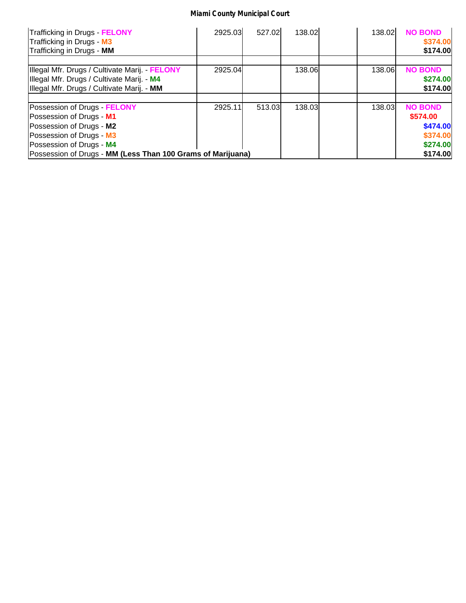| Trafficking in Drugs - FELONY<br>Trafficking in Drugs - M3<br>Trafficking in Drugs - MM  | 2925.03 | 527.02 | 138.02 | 138.02 | <b>NO BOND</b><br>\$374.00<br>\$174.00 |
|------------------------------------------------------------------------------------------|---------|--------|--------|--------|----------------------------------------|
| Illegal Mfr. Drugs / Cultivate Marij. - FELONY                                           | 2925.04 |        | 138.06 | 138.06 | <b>NO BOND</b>                         |
| Illegal Mfr. Drugs / Cultivate Marij. - M4<br>Illegal Mfr. Drugs / Cultivate Marij. - MM |         |        |        |        | \$274.00<br>\$174.00                   |
|                                                                                          |         |        |        |        |                                        |
| Possession of Drugs - FELONY<br>Possession of Drugs - M1                                 | 2925.11 | 513.03 | 138.03 | 138.03 | <b>NO BOND</b><br>\$574.00             |
| Possession of Drugs - M2<br>Possession of Drugs - M3                                     |         |        |        |        | \$474.00<br>\$374.00                   |
| Possession of Drugs - M4<br>Possession of Drugs - MM (Less Than 100 Grams of Marijuana)  |         |        |        |        | \$274.00<br>\$174.00                   |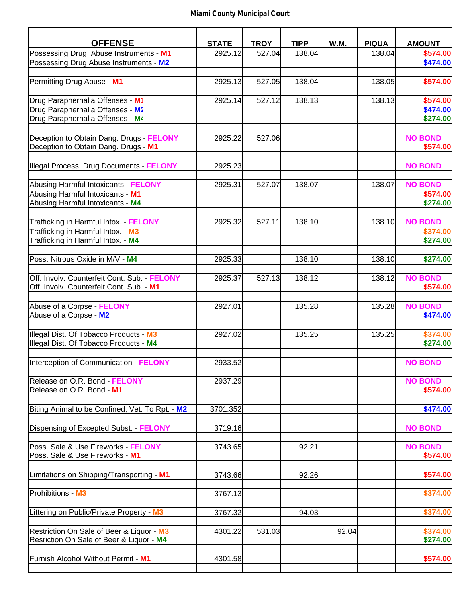| <b>OFFENSE</b>                                                                                                     | <b>STATE</b> | <b>TROY</b> | <b>TIPP</b> | W.M.  | <b>PIQUA</b> | <b>AMOUNT</b>                          |
|--------------------------------------------------------------------------------------------------------------------|--------------|-------------|-------------|-------|--------------|----------------------------------------|
| Possessing Drug Abuse Instruments - M1<br>Possessing Drug Abuse Instruments - M2                                   | 2925.12      | 527.04      | 138.04      |       | 138.04       | \$574.00<br>\$474.00                   |
| Permitting Drug Abuse - M1                                                                                         | 2925.13      | 527.05      | 138.04      |       | 138.05       | \$574.00                               |
|                                                                                                                    |              |             |             |       |              |                                        |
| Drug Paraphernalia Offenses - M1<br>Drug Paraphernalia Offenses - M2<br>Drug Paraphernalia Offenses - M4           | 2925.14      | 527.12      | 138.13      |       | 138.13       | \$574.00<br>\$474.00<br>\$274.00       |
| Deception to Obtain Dang. Drugs FELONY<br>Deception to Obtain Dang. Drugs - M1                                     | 2925.22      | 527.06      |             |       |              | <b>NO BOND</b><br>\$574.00             |
| Illegal Process. Drug Documents FELONY                                                                             | 2925.23      |             |             |       |              | <b>NO BOND</b>                         |
| Abusing Harmful Intoxicants - FELONY<br>Abusing Harmful Intoxicants - M1<br>Abusing Harmful Intoxicants - M4       | 2925.31      | 527.07      | 138.07      |       | 138.07       | <b>NO BOND</b><br>\$574.00<br>\$274.00 |
| Trafficking in Harmful Intox. - FELONY<br>Trafficking in Harmful Intox. - M3<br>Trafficking in Harmful Intox. - M4 | 2925.32      | 527.11      | 138.10      |       | 138.10       | <b>NO BOND</b><br>\$374.00<br>\$274.00 |
| Poss. Nitrous Oxide in M/V - M4                                                                                    | 2925.33      |             | 138.10      |       | 138.10       | \$274.00                               |
| Off. Involv. Counterfeit Cont. Sub. - FELONY<br>Off. Involv. Counterfeit Cont. Sub. - M1                           | 2925.37      | 527.13      | 138.12      |       | 138.12       | <b>NO BOND</b><br>\$574.00             |
| Abuse of a Corpse - FELONY<br>Abuse of a Corpse - M2                                                               | 2927.01      |             | 135.28      |       | 135.28       | <b>NO BOND</b><br>\$474.00             |
| Illegal Dist. Of Tobacco Products - M3<br>Illegal Dist. Of Tobacco Products - M4                                   | 2927.02      |             | 135.25      |       | 135.25       | \$374.00<br>\$274.00                   |
| Interception of Communication - FELONY                                                                             | 2933.52      |             |             |       |              | <b>NO BOND</b>                         |
| Release on O.R. Bond - FELONY<br>Release on O.R. Bond - M1                                                         | 2937.29      |             |             |       |              | <b>NO BOND</b><br>\$574.00             |
| Biting Animal to be Confined; Vet. To Rpt. - M2                                                                    | 3701.352     |             |             |       |              | \$474.00                               |
| Dispensing of Excepted Subst. FELONY                                                                               | 3719.16      |             |             |       |              | <b>NO BOND</b>                         |
| Poss. Sale & Use Fireworks - FELONY<br>Poss. Sale & Use Fireworks - M1                                             | 3743.65      |             | 92.21       |       |              | <b>NO BOND</b><br>\$574.00             |
| Limitations on Shipping/Transporting - M1                                                                          | 3743.66      |             | 92.26       |       |              | \$574.00                               |
| Prohibitions - M3                                                                                                  | 3767.13      |             |             |       |              | \$374.00                               |
| Littering on Public/Private Property - M3                                                                          | 3767.32      |             | 94.03       |       |              | \$374.00                               |
| Restriction On Sale of Beer & Liquor - M3<br>Resriction On Sale of Beer & Liquor - M4                              | 4301.22      | 531.03      |             | 92.04 |              | \$374.00<br>\$274.00                   |
| Furnish Alcohol Without Permit - M1                                                                                | 4301.58      |             |             |       |              | \$574.00                               |
|                                                                                                                    |              |             |             |       |              |                                        |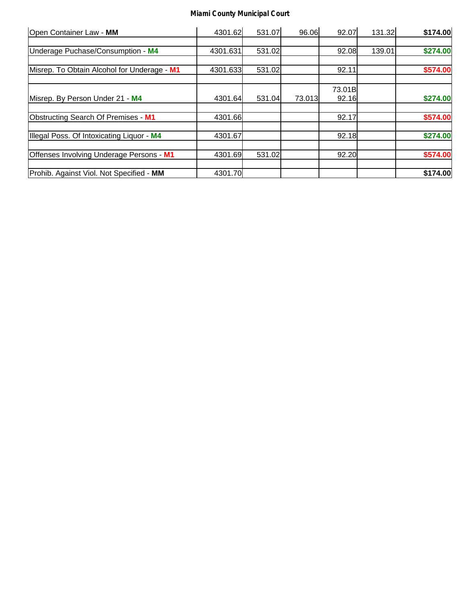| Open Container Law - MM                     | 4301.62  | 531.07 | 96.06  | 92.07  | 131.32 | \$174.00 |
|---------------------------------------------|----------|--------|--------|--------|--------|----------|
|                                             |          |        |        |        |        |          |
| Underage Puchase/Consumption - M4           | 4301.631 | 531.02 |        | 92.08  | 139.01 | \$274.00 |
|                                             |          |        |        |        |        |          |
| Misrep. To Obtain Alcohol for Underage - M1 | 4301.633 | 531.02 |        | 92.11  |        | \$574.00 |
|                                             |          |        |        | 73.01B |        |          |
| Misrep. By Person Under 21 - M4             | 4301.64  | 531.04 | 73.013 | 92.16  |        | \$274.00 |
| Obstructing Search Of Premises - M1         | 4301.66  |        |        | 92.17  |        | \$574.00 |
| Illegal Poss. Of Intoxicating Liquor - M4   | 4301.67  |        |        | 92.18  |        | \$274.00 |
| Offenses Involving Underage Persons - M1    | 4301.69  | 531.02 |        | 92.20  |        | \$574.00 |
| Prohib. Against Viol. Not Specified - MM    | 4301.70  |        |        |        |        | \$174.00 |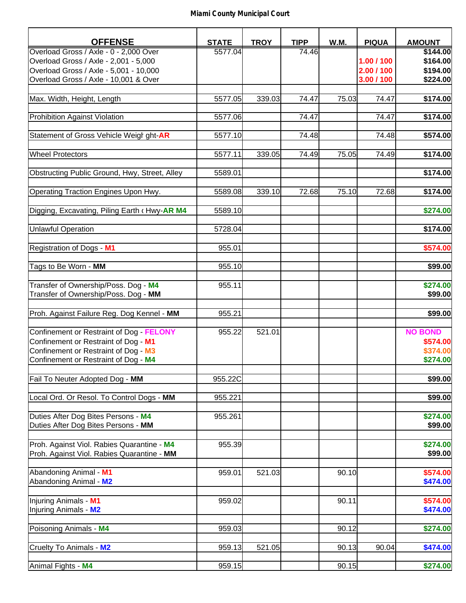| <b>OFFENSE</b>                                | <b>STATE</b> | <b>TROY</b> | <b>TIPP</b> | W.M.  | <b>PIQUA</b> | <b>AMOUNT</b>  |
|-----------------------------------------------|--------------|-------------|-------------|-------|--------------|----------------|
| Overload Gross / Axle - 0 - 2,000 Over        | 5577.04      |             | 74.46       |       |              | \$144.00       |
| Overload Gross / Axle - 2,001 - 5,000         |              |             |             |       | 1.00 / 100   | \$164.00       |
| Overload Gross / Axle - 5,001 - 10,000        |              |             |             |       | 2.00 / 100   | \$194.00       |
| Overload Gross / Axle - 10,001 & Over         |              |             |             |       | 3.00 / 100   | \$224.00       |
|                                               |              |             |             | 75.03 | 74.47        |                |
| Max. Width, Height, Length                    | 5577.05      | 339.03      | 74.47       |       |              | \$174.00       |
| <b>Prohibition Against Violation</b>          | 5577.06      |             | 74.47       |       | 74.47        | \$174.00       |
| Statement of Gross Vehicle Weigl ght-AR       | 5577.10      |             | 74.48       |       | 74.48        |                |
|                                               |              |             |             |       |              | \$574.00       |
| <b>Wheel Protectors</b>                       | 5577.11      | 339.05      | 74.49       | 75.05 | 74.49        | \$174.00       |
|                                               |              |             |             |       |              |                |
| Obstructing Public Ground, Hwy, Street, Alley | 5589.01      |             |             |       |              | \$174.00       |
| Operating Traction Engines Upon Hwy.          | 5589.08      | 339.10      | 72.68       | 75.10 | 72.68        | \$174.00       |
|                                               |              |             |             |       |              |                |
| Digging, Excavating, Piling Earth (Hwy-AR M4  | 5589.10      |             |             |       |              | \$274.00       |
| <b>Unlawful Operation</b>                     | 5728.04      |             |             |       |              | \$174.00       |
|                                               |              |             |             |       |              |                |
| Registration of Dogs - M1                     | 955.01       |             |             |       |              | \$574.00       |
|                                               |              |             |             |       |              |                |
| Tags to Be Worn - MM                          | 955.10       |             |             |       |              | \$99.00        |
| Transfer of Ownership/Poss. Dog - M4          | 955.11       |             |             |       |              | \$274.00       |
| Transfer of Ownership/Poss. Dog - MM          |              |             |             |       |              | \$99.00        |
|                                               |              |             |             |       |              |                |
| Proh. Against Failure Reg. Dog Kennel - MM    | 955.21       |             |             |       |              | \$99.00        |
| Confinement or Restraint of Dog - FELONY      | 955.22       | 521.01      |             |       |              | <b>NO BOND</b> |
| Confinement or Restraint of Dog - M1          |              |             |             |       |              | \$574.00       |
| Confinement or Restraint of Dog - M3          |              |             |             |       |              | \$374.00       |
| Confinement or Restraint of Dog - M4          |              |             |             |       |              | \$274.00       |
|                                               |              |             |             |       |              |                |
| Fail To Neuter Adopted Dog - MM               | 955.22C      |             |             |       |              | \$99.00        |
| Local Ord. Or Resol. To Control Dogs - MM     | 955.221      |             |             |       |              | \$99.00        |
|                                               |              |             |             |       |              |                |
| Duties After Dog Bites Persons - M4           | 955.261      |             |             |       |              | \$274.00       |
| Duties After Dog Bites Persons - MM           |              |             |             |       |              | \$99.00        |
| Proh. Against Viol. Rabies Quarantine - M4    | 955.39       |             |             |       |              | \$274.00       |
| Proh. Against Viol. Rabies Quarantine - MM    |              |             |             |       |              | \$99.00        |
|                                               |              |             |             |       |              |                |
| Abandoning Animal - M1                        | 959.01       | 521.03      |             | 90.10 |              | \$574.00       |
| Abandoning Animal - M2                        |              |             |             |       |              | \$474.00       |
|                                               |              |             |             |       |              |                |
| Injuring Animals - M1                         | 959.02       |             |             | 90.11 |              | \$574.00       |
| Injuring Animals - M2                         |              |             |             |       |              | \$474.00       |
| Poisoning Animals - M4                        | 959.03       |             |             | 90.12 |              | \$274.00       |
|                                               |              |             |             |       |              |                |
| Cruelty To Animals - M2                       | 959.13       | 521.05      |             | 90.13 | 90.04        | \$474.00       |
|                                               |              |             |             |       |              |                |
| Animal Fights - M4                            | 959.15       |             |             | 90.15 |              | \$274.00       |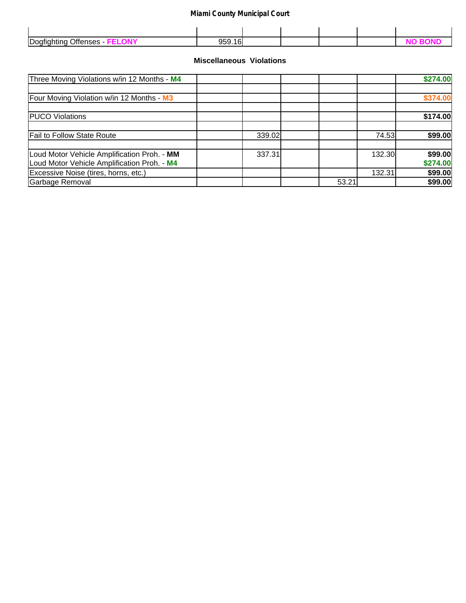| <b>Do</b> | ⌒<br>`` |  |  |  |
|-----------|---------|--|--|--|

## **Miscellaneous Violations**

| Three Moving Violations w/in 12 Months - M4                                                |        |       |        | \$274.00            |
|--------------------------------------------------------------------------------------------|--------|-------|--------|---------------------|
| Four Moving Violation w/in 12 Months - M3                                                  |        |       |        | \$374.00            |
| <b>PUCO Violations</b>                                                                     |        |       |        | \$174.00            |
| <b>Fail to Follow State Route</b>                                                          | 339.02 |       | 74.53  | \$99.00             |
| Loud Motor Vehicle Amplification Proh. - MM<br>Loud Motor Vehicle Amplification Proh. - M4 | 337.31 |       | 132.30 | \$99.00<br>\$274.00 |
| Excessive Noise (tires, horns, etc.)                                                       |        |       | 132.31 | \$99.00             |
| Garbage Removal                                                                            |        | 53.21 |        | \$99.00             |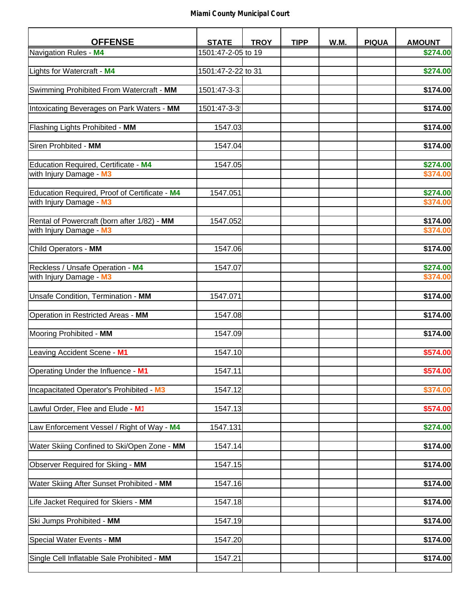| <b>OFFENSE</b>                                | <b>STATE</b>       | <b>TROY</b> | <b>TIPP</b> | W.M. | <b>PIQUA</b> | <b>AMOUNT</b> |
|-----------------------------------------------|--------------------|-------------|-------------|------|--------------|---------------|
| Navigation Rules - M4                         | 1501:47-2-05 to 19 |             |             |      |              | \$274.00      |
|                                               |                    |             |             |      |              |               |
| Lights for Watercraft - M4                    | 1501:47-2-22 to 31 |             |             |      |              | \$274.00      |
|                                               |                    |             |             |      |              |               |
| Swimming Prohibited From Watercraft - MM      | 1501:47-3-3        |             |             |      |              | \$174.00      |
| Intoxicating Beverages on Park Waters - MM    | 1501:47-3-3        |             |             |      |              | \$174.00      |
|                                               |                    |             |             |      |              |               |
| Flashing Lights Prohibited - MM               | 1547.03            |             |             |      |              | \$174.00      |
|                                               |                    |             |             |      |              |               |
| Siren Prohbited - MM                          | 1547.04            |             |             |      |              | \$174.00      |
| Education Required, Certificate - M4          | 1547.05            |             |             |      |              | \$274.00      |
| with Injury Damage - M3                       |                    |             |             |      |              | \$374.00      |
|                                               |                    |             |             |      |              |               |
| Education Required, Proof of Certificate - M4 | 1547.051           |             |             |      |              | \$274.00      |
| with Injury Damage - M3                       |                    |             |             |      |              | \$374.00      |
| Rental of Powercraft (born after 1/82) - MM   | 1547.052           |             |             |      |              | \$174.00      |
| with Injury Damage - M3                       |                    |             |             |      |              | \$374.00      |
|                                               |                    |             |             |      |              |               |
| Child Operators - MM                          | 1547.06            |             |             |      |              | \$174.00      |
|                                               |                    |             |             |      |              |               |
| Reckless / Unsafe Operation - M4              | 1547.07            |             |             |      |              | \$274.00      |
| with Injury Damage - M3                       |                    |             |             |      |              | \$374.00      |
| Unsafe Condition, Termination - MM            | 1547.071           |             |             |      |              | \$174.00      |
|                                               |                    |             |             |      |              |               |
| Operation in Restricted Areas - MM            | 1547.08            |             |             |      |              | \$174.00      |
|                                               |                    |             |             |      |              |               |
| Mooring Prohibited - MM                       | 1547.09            |             |             |      |              | \$174.00      |
| Leaving Accident Scene - M1                   | 1547.10            |             |             |      |              | \$574.00      |
|                                               |                    |             |             |      |              |               |
| Operating Under the Influence - M1            | 1547.11            |             |             |      |              | \$574.00      |
|                                               |                    |             |             |      |              |               |
| Incapacitated Operator's Prohibited - M3      | 1547.12            |             |             |      |              | \$374.00      |
|                                               |                    |             |             |      |              |               |
| Lawful Order, Flee and Elude - M1             | 1547.13            |             |             |      |              | \$574.00      |
| Law Enforcement Vessel / Right of Way - M4    | 1547.131           |             |             |      |              | \$274.00      |
|                                               |                    |             |             |      |              |               |
| Water Skiing Confined to Ski/Open Zone - MM   | 1547.14            |             |             |      |              | \$174.00      |
|                                               |                    |             |             |      |              |               |
| Observer Required for Skiing - MM             | 1547.15            |             |             |      |              | \$174.00      |
| Water Skiing After Sunset Prohibited - MM     | 1547.16            |             |             |      |              | \$174.00      |
|                                               |                    |             |             |      |              |               |
| Life Jacket Required for Skiers - MM          | 1547.18            |             |             |      |              | \$174.00      |
|                                               |                    |             |             |      |              |               |
| Ski Jumps Prohibited - MM                     | 1547.19            |             |             |      |              | \$174.00      |
| Special Water Events - MM                     | 1547.20            |             |             |      |              | \$174.00      |
|                                               |                    |             |             |      |              |               |
| Single Cell Inflatable Sale Prohibited - MM   | 1547.21            |             |             |      |              | \$174.00      |
|                                               |                    |             |             |      |              |               |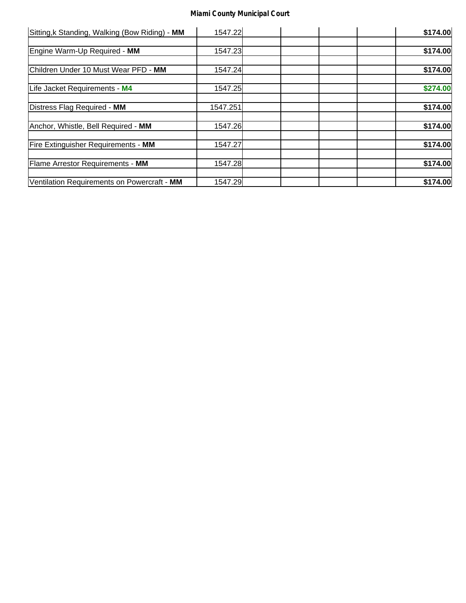| Sitting, k Standing, Walking (Bow Riding) - MM | 1547.22  | \$174.00 |  |
|------------------------------------------------|----------|----------|--|
|                                                |          |          |  |
| Engine Warm-Up Required - MM                   | 1547.23  | \$174.00 |  |
| Children Under 10 Must Wear PFD - MM           | 1547.24  | \$174.00 |  |
| Life Jacket Requirements - M4                  | 1547.25  | \$274.00 |  |
| Distress Flag Required - MM                    | 1547.251 | \$174.00 |  |
| Anchor, Whistle, Bell Required - MM            | 1547.26  | \$174.00 |  |
| Fire Extinguisher Requirements - MM            | 1547.27  | \$174.00 |  |
| <b>Flame Arrestor Requirements - MM</b>        | 1547.28  | \$174.00 |  |
| Ventilation Requirements on Powercraft - MM    | 1547.29  | \$174.00 |  |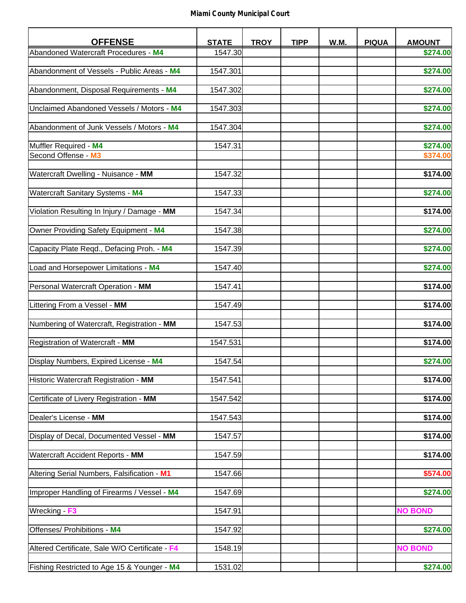| <b>OFFENSE</b>                               | <b>STATE</b> | <b>TROY</b> | <b>TIPP</b> | W.M. | <b>PIQUA</b> | <b>AMOUNT</b>  |
|----------------------------------------------|--------------|-------------|-------------|------|--------------|----------------|
| Abandoned Watercraft Procedures - M4         | 1547.30      |             |             |      |              | \$274.00       |
| Abandonment of Vessels - Public Areas - M4   | 1547.301     |             |             |      |              | \$274.00       |
| Abandonment, Disposal Requirements - M4      | 1547.302     |             |             |      |              | \$274.00       |
|                                              |              |             |             |      |              |                |
| Unclaimed Abandoned Vessels / Motors - M4    | 1547.303     |             |             |      |              | \$274.00       |
| Abandonment of Junk Vessels / Motors - M4    | 1547.304     |             |             |      |              | \$274.00       |
| Muffler Required - M4                        | 1547.31      |             |             |      |              | \$274.00       |
| Second Offense - M3                          |              |             |             |      |              | \$374.00       |
| Watercraft Dwelling - Nuisance - MM          | 1547.32      |             |             |      |              | \$174.00       |
|                                              |              |             |             |      |              |                |
| <b>Watercraft Sanitary Systems - M4</b>      | 1547.33      |             |             |      |              | \$274.00       |
| Violation Resulting In Injury / Damage - MM  | 1547.34      |             |             |      |              | \$174.00       |
| Owner Providing Safety Equipment - M4        | 1547.38      |             |             |      |              | \$274.00       |
| Capacity Plate Regd., Defacing Proh. - M4    | 1547.39      |             |             |      |              | \$274.00       |
|                                              |              |             |             |      |              |                |
| Load and Horsepower Limitations - M4         | 1547.40      |             |             |      |              | \$274.00       |
| Personal Watercraft Operation - MM           | 1547.41      |             |             |      |              | \$174.00       |
| Littering From a Vessel - MM                 | 1547.49      |             |             |      |              | \$174.00       |
| Numbering of Watercraft, Registration - MM   | 1547.53      |             |             |      |              | \$174.00       |
| Registration of Watercraft - MM              | 1547.531     |             |             |      |              | \$174.00       |
| Display Numbers, Expired License - M4        | 1547.54      |             |             |      |              | \$274.00       |
|                                              |              |             |             |      |              |                |
| Historic Watercraft Registration - MM        | 1547.541     |             |             |      |              | \$174.00       |
| Certificate of Livery Registration - MM      | 1547.542     |             |             |      |              | \$174.00       |
| Dealer's License - MM                        | 1547.543     |             |             |      |              | \$174.00       |
| Display of Decal, Documented Vessel - MM     | 1547.57      |             |             |      |              | \$174.00       |
|                                              |              |             |             |      |              |                |
| Watercraft Accident Reports - MM             | 1547.59      |             |             |      |              | \$174.00       |
| Altering Serial Numbers, Falsification - M1  | 1547.66      |             |             |      |              | \$574.00       |
| Improper Handling of Firearms / Vessel - M4  | 1547.69      |             |             |      |              | \$274.00       |
| Wrecking - F3                                | 1547.91      |             |             |      |              | <b>NO BOND</b> |
|                                              |              |             |             |      |              |                |
| Offenses/ Prohibitions - M4                  | 1547.92      |             |             |      |              | \$274.00       |
| Altered Certificate, Sale W/O Certificate F4 | 1548.19      |             |             |      |              | <b>NO BOND</b> |
| Fishing Restricted to Age 15 & Younger - M4  | 1531.02      |             |             |      |              | \$274.00       |
|                                              |              |             |             |      |              |                |